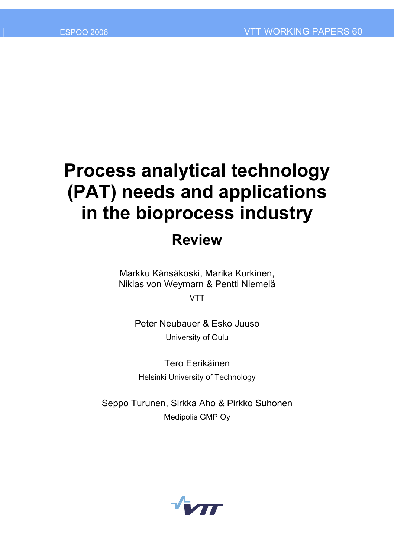# **Process analytical technology (PAT) needs and applications in the bioprocess industry**

# **Review**

Markku Känsäkoski, Marika Kurkinen, Niklas von Weymarn & Pentti Niemelä

**VTT** 

Peter Neubauer & Esko Juuso University of Oulu

Tero Eerikäinen Helsinki University of Technology

Seppo Turunen, Sirkka Aho & Pirkko Suhonen Medipolis GMP Oy

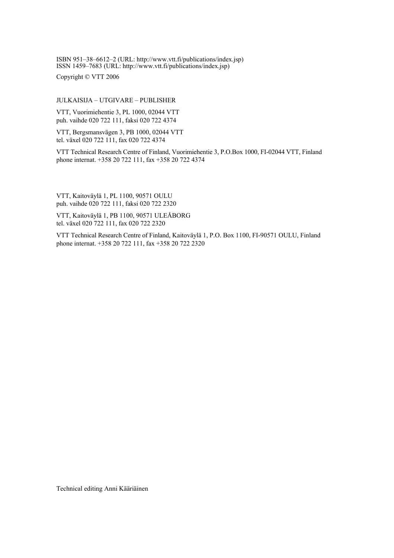ISBN 951-38-6612-2 (URL: http://www.vtt.fi/publications/index.jsp)  $\overline{1$ ISSN 1459–7683 (URL: http://www.vtt.fi/publications/index.jsp)

Copyright © VTT 2006

#### JULKAISIJA – UTGIVARE – PUBLISHER

VTT, Vuorimiehentie 3, PL 1000, 02044 VTT puh. vaihde 020 722 111, faksi 020 722 4374

VTT, Bergsmansvägen 3, PB 1000, 02044 VTT tel. växel 020 722 111, fax 020 722 4374

VTT Technical Research Centre of Finland, Vuorimiehentie 3, P.O.Box 1000, FI-02044 VTT, Finland phone internat. +358 20 722 111, fax +358 20 722 4374

VTT, Kaitoväylä 1, PL 1100, 90571 OULU puh. vaihde 020 722 111, faksi 020 722 2320

VTT, Kaitoväylä 1, PB 1100, 90571 ULEÅBORG tel. växel 020 722 111, fax 020 722 2320

VTT Technical Research Centre of Finland, Kaitoväylä 1, P.O. Box 1100, FI-90571 OULU, Finland phone internat. +358 20 722 111, fax +358 20 722 2320

Technical editing Anni Kääriäinen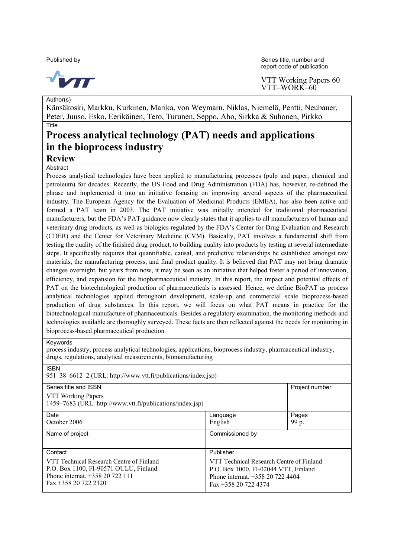

Author(s)

Published by Series title, number and  $\blacksquare$ report code of publication

> VTT Working Papers 60 VTT-WORK-60<sup>°</sup>

Känsäkoski, Markku, Kurkinen, Marika, von Weymarn, Niklas, Niemelä, Pentti, Neubauer, Peter, Juuso, Esko, Eerikäinen, Tero, Turunen, Seppo, Aho, Sirkka & Suhonen, Pirkko **Title** 

# **Process analytical technology (PAT) needs and applications in the bioprocess industry**

**Review**

**Abstract** 

Process analytical technologies have been applied to manufacturing processes (pulp and paper, chemical and petroleum) for decades. Recently, the US Food and Drug Administration (FDA) has, however, re-defined the phrase and implemented it into an initiative focusing on improving several aspects of the pharmaceutical industry. The European Agency for the Evaluation of Medicinal Products (EMEA), has also been active and formed a PAT team in 2003. The PAT initiative was initially intended for traditional pharmaceutical manufacturers, but the FDA's PAT guidance now clearly states that it applies to all manufacturers of human and veterinary drug products, as well as biologics regulated by the FDAís Center for Drug Evaluation and Research (CDER) and the Center for Veterinary Medicine (CVM). Basically, PAT involves a fundamental shift from testing the quality of the finished drug product, to building quality into products by testing at several intermediate steps. It specifically requires that quantifiable, causal, and predictive relationships be established amongst raw materials, the manufacturing process, and final product quality. It is believed that PAT may not bring dramatic changes overnight, but years from now, it may be seen as an initiative that helped foster a period of innovation, efficiency, and expansion for the biopharmaceutical industry. In this report, the impact and potential effects of PAT on the biotechnological production of pharmaceuticals is assessed. Hence, we define BioPAT as process analytical technologies applied throughout development, scale-up and commercial scale bioprocess-based production of drug substances. In this report, we will focus on what PAT means in practice for the biotechnological manufacture of pharmaceuticals. Besides a regulatory examination, the monitoring methods and technologies available are thoroughly surveyed. These facts are then reflected against the needs for monitoring in bioprocess-based pharmaceutical production.

#### Keywords

process industry, process analytical technologies, applications, bioprocess industry, pharmaceutical industry, drugs, regulations, analytical measurements, biomanufacturing

| <b>ISBN</b>                                                       |                                          |                |  |
|-------------------------------------------------------------------|------------------------------------------|----------------|--|
| 951–38–6612–2 (URL: http://www.vtt.fi/publications/index.jsp)     |                                          |                |  |
|                                                                   |                                          |                |  |
| Series title and ISSN                                             |                                          | Project number |  |
| VTT Working Papers                                                |                                          |                |  |
| 1459–7683 (URL: http://www.vtt.fi/publications/index.jsp)         |                                          |                |  |
|                                                                   |                                          |                |  |
| Date                                                              | Language                                 | Pages          |  |
| October 2006                                                      | English                                  | 99 p.          |  |
|                                                                   |                                          |                |  |
| Name of project                                                   | Commissioned by                          |                |  |
|                                                                   |                                          |                |  |
|                                                                   |                                          |                |  |
| Contact                                                           | Publisher                                |                |  |
| VTT Technical Research Centre of Finland                          | VTT Technical Research Centre of Finland |                |  |
| P.O. Box 1100, FI-90571 OULU, Finland                             | P.O. Box 1000, FI-02044 VTT, Finland     |                |  |
| Phone internat. $+35820722111$<br>Phone internat. $+358207224404$ |                                          |                |  |
|                                                                   |                                          |                |  |
| Fax +358 20 722 2320<br>Fax +358 20 722 4374                      |                                          |                |  |
|                                                                   |                                          |                |  |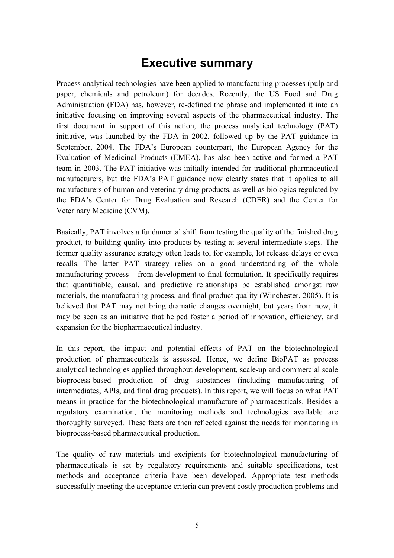### **Executive summary**

Process analytical technologies have been applied to manufacturing processes (pulp and paper, chemicals and petroleum) for decades. Recently, the US Food and Drug Administration (FDA) has, however, re-defined the phrase and implemented it into an initiative focusing on improving several aspects of the pharmaceutical industry. The first document in support of this action, the process analytical technology (PAT) initiative, was launched by the FDA in 2002, followed up by the PAT guidance in September, 2004. The FDA's European counterpart, the European Agency for the Evaluation of Medicinal Products (EMEA), has also been active and formed a PAT team in 2003. The PAT initiative was initially intended for traditional pharmaceutical manufacturers, but the FDA's PAT guidance now clearly states that it applies to all manufacturers of human and veterinary drug products, as well as biologics regulated by the FDAís Center for Drug Evaluation and Research (CDER) and the Center for Veterinary Medicine (CVM).

Basically, PAT involves a fundamental shift from testing the quality of the finished drug product, to building quality into products by testing at several intermediate steps. The former quality assurance strategy often leads to, for example, lot release delays or even recalls. The latter PAT strategy relies on a good understanding of the whole manufacturing process – from development to final formulation. It specifically requires that quantifiable, causal, and predictive relationships be established amongst raw materials, the manufacturing process, and final product quality (Winchester, 2005). It is believed that PAT may not bring dramatic changes overnight, but years from now, it may be seen as an initiative that helped foster a period of innovation, efficiency, and expansion for the biopharmaceutical industry.

In this report, the impact and potential effects of PAT on the biotechnological production of pharmaceuticals is assessed. Hence, we define BioPAT as process analytical technologies applied throughout development, scale-up and commercial scale bioprocess-based production of drug substances (including manufacturing of intermediates, APIs, and final drug products). In this report, we will focus on what PAT means in practice for the biotechnological manufacture of pharmaceuticals. Besides a regulatory examination, the monitoring methods and technologies available are thoroughly surveyed. These facts are then reflected against the needs for monitoring in bioprocess-based pharmaceutical production.

The quality of raw materials and excipients for biotechnological manufacturing of pharmaceuticals is set by regulatory requirements and suitable specifications, test methods and acceptance criteria have been developed. Appropriate test methods successfully meeting the acceptance criteria can prevent costly production problems and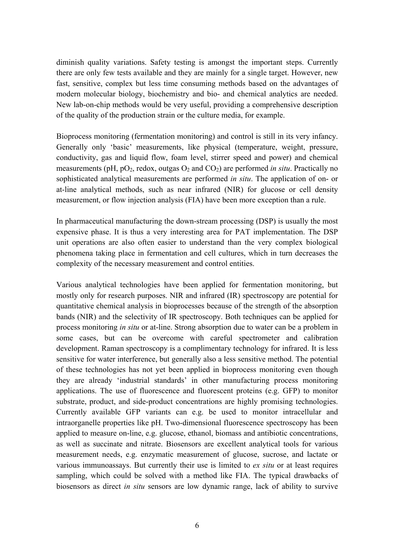diminish quality variations. Safety testing is amongst the important steps. Currently there are only few tests available and they are mainly for a single target. However, new fast, sensitive, complex but less time consuming methods based on the advantages of modern molecular biology, biochemistry and bio- and chemical analytics are needed. New lab-on-chip methods would be very useful, providing a comprehensive description of the quality of the production strain or the culture media, for example.

Bioprocess monitoring (fermentation monitoring) and control is still in its very infancy. Generally only 'basic' measurements, like physical (temperature, weight, pressure, conductivity, gas and liquid flow, foam level, stirrer speed and power) and chemical measurements ( $pH$ ,  $pO_2$ , redox, outgas  $O_2$  and  $CO_2$ ) are performed *in situ*. Practically no sophisticated analytical measurements are performed *in situ*. The application of on- or at-line analytical methods, such as near infrared (NIR) for glucose or cell density measurement, or flow injection analysis (FIA) have been more exception than a rule.

In pharmaceutical manufacturing the down-stream processing (DSP) is usually the most expensive phase. It is thus a very interesting area for PAT implementation. The DSP unit operations are also often easier to understand than the very complex biological phenomena taking place in fermentation and cell cultures, which in turn decreases the complexity of the necessary measurement and control entities.

Various analytical technologies have been applied for fermentation monitoring, but mostly only for research purposes. NIR and infrared (IR) spectroscopy are potential for quantitative chemical analysis in bioprocesses because of the strength of the absorption bands (NIR) and the selectivity of IR spectroscopy. Both techniques can be applied for process monitoring *in situ* or at-line. Strong absorption due to water can be a problem in some cases, but can be overcome with careful spectrometer and calibration development. Raman spectroscopy is a complimentary technology for infrared. It is less sensitive for water interference, but generally also a less sensitive method. The potential of these technologies has not yet been applied in bioprocess monitoring even though they are already 'industrial standards' in other manufacturing process monitoring applications. The use of fluorescence and fluorescent proteins (e.g. GFP) to monitor substrate, product, and side-product concentrations are highly promising technologies. Currently available GFP variants can e.g. be used to monitor intracellular and intraorganelle properties like pH. Two-dimensional fluorescence spectroscopy has been applied to measure on-line, e.g. glucose, ethanol, biomass and antibiotic concentrations, as well as succinate and nitrate. Biosensors are excellent analytical tools for various measurement needs, e.g. enzymatic measurement of glucose, sucrose, and lactate or various immunoassays. But currently their use is limited to *ex situ* or at least requires sampling, which could be solved with a method like FIA. The typical drawbacks of biosensors as direct *in situ* sensors are low dynamic range, lack of ability to survive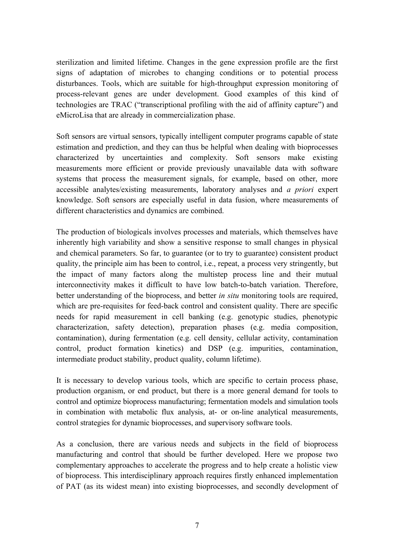sterilization and limited lifetime. Changes in the gene expression profile are the first signs of adaptation of microbes to changing conditions or to potential process disturbances. Tools, which are suitable for high-throughput expression monitoring of process-relevant genes are under development. Good examples of this kind of technologies are TRAC ("transcriptional profiling with the aid of affinity capture") and eMicroLisa that are already in commercialization phase.

Soft sensors are virtual sensors, typically intelligent computer programs capable of state estimation and prediction, and they can thus be helpful when dealing with bioprocesses characterized by uncertainties and complexity. Soft sensors make existing measurements more efficient or provide previously unavailable data with software systems that process the measurement signals, for example, based on other, more accessible analytes/existing measurements, laboratory analyses and *a priori* expert knowledge. Soft sensors are especially useful in data fusion, where measurements of different characteristics and dynamics are combined.

The production of biologicals involves processes and materials, which themselves have inherently high variability and show a sensitive response to small changes in physical and chemical parameters. So far, to guarantee (or to try to guarantee) consistent product quality, the principle aim has been to control, i.e., repeat, a process very stringently, but the impact of many factors along the multistep process line and their mutual interconnectivity makes it difficult to have low batch-to-batch variation. Therefore, better understanding of the bioprocess, and better *in situ* monitoring tools are required, which are pre-requisites for feed-back control and consistent quality. There are specific needs for rapid measurement in cell banking (e.g. genotypic studies, phenotypic characterization, safety detection), preparation phases (e.g. media composition, contamination), during fermentation (e.g. cell density, cellular activity, contamination control, product formation kinetics) and DSP (e.g. impurities, contamination, intermediate product stability, product quality, column lifetime).

It is necessary to develop various tools, which are specific to certain process phase, production organism, or end product, but there is a more general demand for tools to control and optimize bioprocess manufacturing; fermentation models and simulation tools in combination with metabolic flux analysis, at- or on-line analytical measurements, control strategies for dynamic bioprocesses, and supervisory software tools.

As a conclusion, there are various needs and subjects in the field of bioprocess manufacturing and control that should be further developed. Here we propose two complementary approaches to accelerate the progress and to help create a holistic view of bioprocess. This interdisciplinary approach requires firstly enhanced implementation of PAT (as its widest mean) into existing bioprocesses, and secondly development of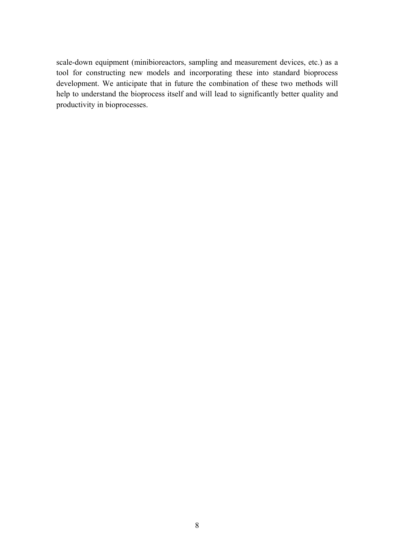scale-down equipment (minibioreactors, sampling and measurement devices, etc.) as a tool for constructing new models and incorporating these into standard bioprocess development. We anticipate that in future the combination of these two methods will help to understand the bioprocess itself and will lead to significantly better quality and productivity in bioprocesses.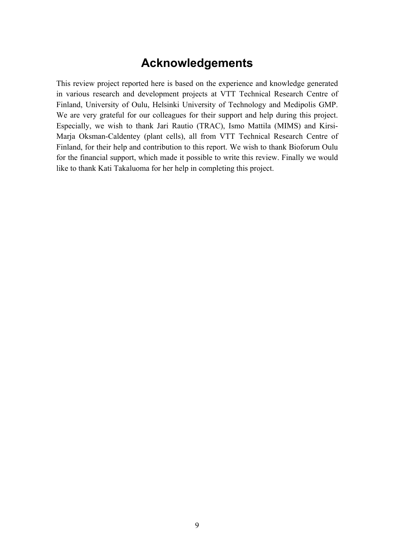### **Acknowledgements**

This review project reported here is based on the experience and knowledge generated in various research and development projects at VTT Technical Research Centre of Finland, University of Oulu, Helsinki University of Technology and Medipolis GMP. We are very grateful for our colleagues for their support and help during this project. Especially, we wish to thank Jari Rautio (TRAC), Ismo Mattila (MIMS) and Kirsi-Marja Oksman-Caldentey (plant cells), all from VTT Technical Research Centre of Finland, for their help and contribution to this report. We wish to thank Bioforum Oulu for the financial support, which made it possible to write this review. Finally we would like to thank Kati Takaluoma for her help in completing this project.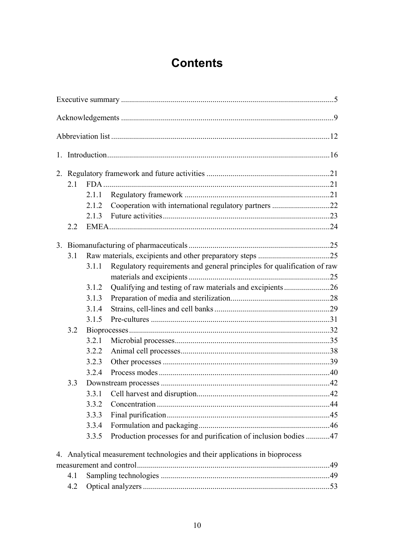# **Contents**

| 2.1 |            |                                                                  |                                                                                                                                                                                                                    |
|-----|------------|------------------------------------------------------------------|--------------------------------------------------------------------------------------------------------------------------------------------------------------------------------------------------------------------|
|     | 2.1.1      |                                                                  |                                                                                                                                                                                                                    |
|     | 2.1.2      | Cooperation with international regulatory partners 22            |                                                                                                                                                                                                                    |
|     |            |                                                                  |                                                                                                                                                                                                                    |
| 2.2 |            |                                                                  |                                                                                                                                                                                                                    |
|     |            |                                                                  |                                                                                                                                                                                                                    |
|     |            |                                                                  |                                                                                                                                                                                                                    |
|     |            |                                                                  |                                                                                                                                                                                                                    |
|     |            |                                                                  |                                                                                                                                                                                                                    |
|     | 3.1.2      |                                                                  |                                                                                                                                                                                                                    |
|     | 3.1.3      |                                                                  |                                                                                                                                                                                                                    |
|     | 3.1.4      |                                                                  |                                                                                                                                                                                                                    |
|     | 3.1.5      |                                                                  |                                                                                                                                                                                                                    |
| 3.2 |            |                                                                  |                                                                                                                                                                                                                    |
|     | 3.2.1      |                                                                  |                                                                                                                                                                                                                    |
|     | 3.2.2      |                                                                  |                                                                                                                                                                                                                    |
|     | 3.2.3      |                                                                  |                                                                                                                                                                                                                    |
|     | 3.2.4      |                                                                  |                                                                                                                                                                                                                    |
| 3.3 |            |                                                                  |                                                                                                                                                                                                                    |
|     | 3.3.1      |                                                                  |                                                                                                                                                                                                                    |
|     | 3.3.2      |                                                                  |                                                                                                                                                                                                                    |
|     | 3.3.3      |                                                                  |                                                                                                                                                                                                                    |
|     | 3.3.4      |                                                                  |                                                                                                                                                                                                                    |
|     | 3.3.5      | Production processes for and purification of inclusion bodies 47 |                                                                                                                                                                                                                    |
|     |            |                                                                  |                                                                                                                                                                                                                    |
|     |            |                                                                  |                                                                                                                                                                                                                    |
|     |            |                                                                  |                                                                                                                                                                                                                    |
| 4.2 |            |                                                                  |                                                                                                                                                                                                                    |
|     | 3.1<br>4.1 | 3.1.1                                                            | Regulatory requirements and general principles for qualification of raw<br>Qualifying and testing of raw materials and excipients26<br>4. Analytical measurement technologies and their applications in bioprocess |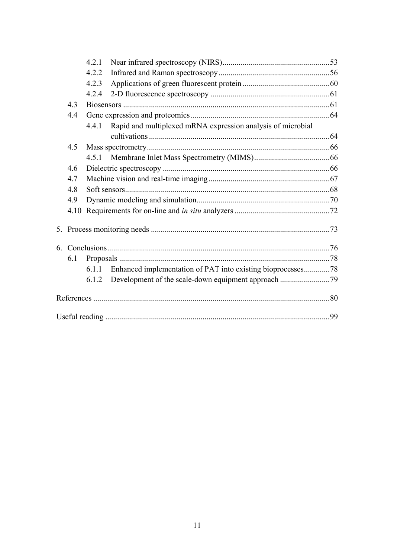|    |     | 4.2.1                                                                |  |
|----|-----|----------------------------------------------------------------------|--|
|    |     | 4.2.2                                                                |  |
|    |     | 4.2.3                                                                |  |
|    |     | 4.2.4                                                                |  |
|    | 4.3 |                                                                      |  |
|    | 4.4 |                                                                      |  |
|    |     | Rapid and multiplexed mRNA expression analysis of microbial<br>4.4.1 |  |
|    |     |                                                                      |  |
|    | 4.5 |                                                                      |  |
|    |     |                                                                      |  |
|    | 4.6 |                                                                      |  |
|    | 4.7 |                                                                      |  |
|    | 4.8 |                                                                      |  |
|    | 4.9 |                                                                      |  |
|    |     |                                                                      |  |
| 5. |     |                                                                      |  |
|    |     |                                                                      |  |
|    | 6.1 |                                                                      |  |
|    |     | Enhanced implementation of PAT into existing bioprocesses78<br>6.1.1 |  |
|    |     | 6.1.2                                                                |  |
|    |     |                                                                      |  |
|    |     |                                                                      |  |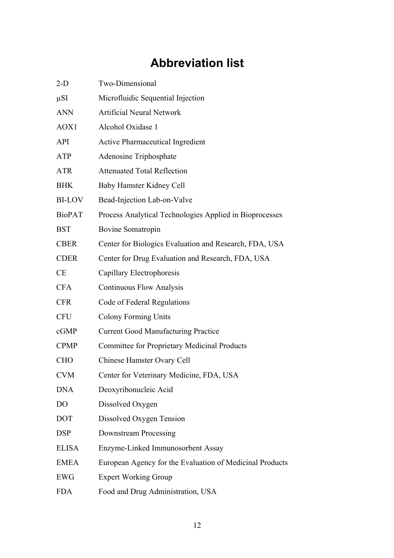# **Abbreviation list**

| $2-D$         | Two-Dimensional                                          |
|---------------|----------------------------------------------------------|
| μSΙ           | Microfluidic Sequential Injection                        |
| <b>ANN</b>    | <b>Artificial Neural Network</b>                         |
| AOX1          | Alcohol Oxidase 1                                        |
| API           | <b>Active Pharmaceutical Ingredient</b>                  |
| ATP           | Adenosine Triphosphate                                   |
| ATR           | <b>Attenuated Total Reflection</b>                       |
| BHK           | Baby Hamster Kidney Cell                                 |
| <b>BI-LOV</b> | Bead-Injection Lab-on-Valve                              |
| <b>BioPAT</b> | Process Analytical Technologies Applied in Bioprocesses  |
| BST           | Bovine Somatropin                                        |
| <b>CBER</b>   | Center for Biologics Evaluation and Research, FDA, USA   |
| <b>CDER</b>   | Center for Drug Evaluation and Research, FDA, USA        |
| <b>CE</b>     | Capillary Electrophoresis                                |
| CFA           | <b>Continuous Flow Analysis</b>                          |
| <b>CFR</b>    | Code of Federal Regulations                              |
| <b>CFU</b>    | <b>Colony Forming Units</b>                              |
| cGMP          | <b>Current Good Manufacturing Practice</b>               |
| <b>CPMP</b>   | <b>Committee for Proprietary Medicinal Products</b>      |
| CHO           | Chinese Hamster Ovary Cell                               |
| CVM           | Center for Veterinary Medicine, FDA, USA                 |
| DNA           | Deoxyribonucleic Acid                                    |
| DO            | Dissolved Oxygen                                         |
| DOT           | Dissolved Oxygen Tension                                 |
| DSP           | Downstream Processing                                    |
| ELISA         | Enzyme-Linked Immunosorbent Assay                        |
| <b>EMEA</b>   | European Agency for the Evaluation of Medicinal Products |
| EWG           | <b>Expert Working Group</b>                              |
| <b>FDA</b>    | Food and Drug Administration, USA                        |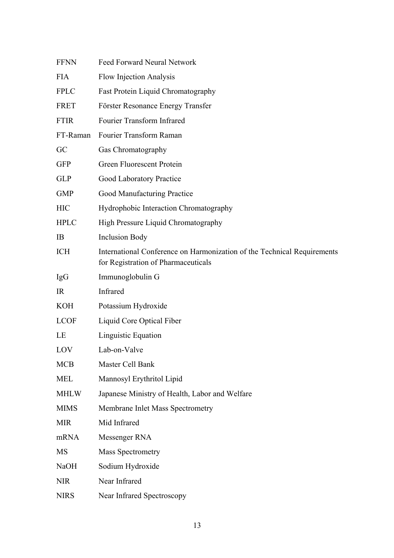| <b>FFNN</b> | Feed Forward Neural Network                                                                                    |
|-------------|----------------------------------------------------------------------------------------------------------------|
| <b>FIA</b>  | Flow Injection Analysis                                                                                        |
| <b>FPLC</b> | Fast Protein Liquid Chromatography                                                                             |
| FRET        | Förster Resonance Energy Transfer                                                                              |
| <b>FTIR</b> | Fourier Transform Infrared                                                                                     |
| FT-Raman    | Fourier Transform Raman                                                                                        |
| GC          | Gas Chromatography                                                                                             |
| <b>GFP</b>  | Green Fluorescent Protein                                                                                      |
| <b>GLP</b>  | Good Laboratory Practice                                                                                       |
| <b>GMP</b>  | Good Manufacturing Practice                                                                                    |
| <b>HIC</b>  | Hydrophobic Interaction Chromatography                                                                         |
| <b>HPLC</b> | High Pressure Liquid Chromatography                                                                            |
| IB          | <b>Inclusion Body</b>                                                                                          |
| <b>ICH</b>  | International Conference on Harmonization of the Technical Requirements<br>for Registration of Pharmaceuticals |
| <b>IgG</b>  | Immunoglobulin G                                                                                               |
| IR          | Infrared                                                                                                       |
| <b>KOH</b>  | Potassium Hydroxide                                                                                            |
| <b>LCOF</b> | Liquid Core Optical Fiber                                                                                      |
| LE          | Linguistic Equation                                                                                            |
| LOV         | Lab-on-Valve                                                                                                   |
| <b>MCB</b>  | Master Cell Bank                                                                                               |
| <b>MEL</b>  | Mannosyl Erythritol Lipid                                                                                      |
| <b>MHLW</b> | Japanese Ministry of Health, Labor and Welfare                                                                 |
| <b>MIMS</b> | Membrane Inlet Mass Spectrometry                                                                               |
| <b>MIR</b>  | Mid Infrared                                                                                                   |
| mRNA        | Messenger RNA                                                                                                  |
| <b>MS</b>   | <b>Mass Spectrometry</b>                                                                                       |
| <b>NaOH</b> | Sodium Hydroxide                                                                                               |
| <b>NIR</b>  | Near Infrared                                                                                                  |
| <b>NIRS</b> | Near Infrared Spectroscopy                                                                                     |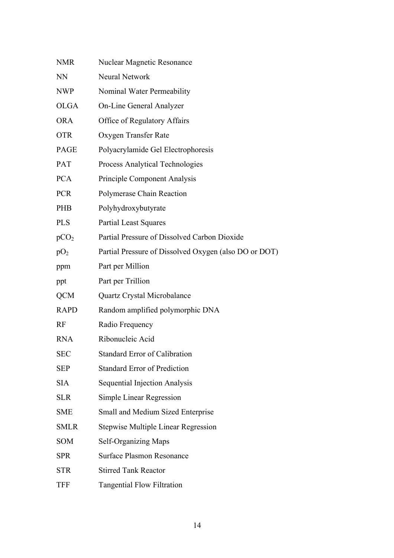| <b>NMR</b>       | Nuclear Magnetic Resonance                            |
|------------------|-------------------------------------------------------|
| <b>NN</b>        | Neural Network                                        |
| <b>NWP</b>       | Nominal Water Permeability                            |
| <b>OLGA</b>      | <b>On-Line General Analyzer</b>                       |
| <b>ORA</b>       | Office of Regulatory Affairs                          |
| <b>OTR</b>       | Oxygen Transfer Rate                                  |
| <b>PAGE</b>      | Polyacrylamide Gel Electrophoresis                    |
| PAT              | Process Analytical Technologies                       |
| <b>PCA</b>       | Principle Component Analysis                          |
| <b>PCR</b>       | Polymerase Chain Reaction                             |
| <b>PHB</b>       | Polyhydroxybutyrate                                   |
| <b>PLS</b>       | <b>Partial Least Squares</b>                          |
| pCO <sub>2</sub> | Partial Pressure of Dissolved Carbon Dioxide          |
| pO <sub>2</sub>  | Partial Pressure of Dissolved Oxygen (also DO or DOT) |
| ppm              | Part per Million                                      |
| ppt              | Part per Trillion                                     |
| <b>QCM</b>       | Quartz Crystal Microbalance                           |
| <b>RAPD</b>      | Random amplified polymorphic DNA                      |
| RF               | Radio Frequency                                       |
| <b>RNA</b>       | Ribonucleic Acid                                      |
| <b>SEC</b>       | <b>Standard Error of Calibration</b>                  |
| <b>SEP</b>       | <b>Standard Error of Prediction</b>                   |
| <b>SIA</b>       | <b>Sequential Injection Analysis</b>                  |
| <b>SLR</b>       | Simple Linear Regression                              |
| <b>SME</b>       | Small and Medium Sized Enterprise                     |
| <b>SMLR</b>      | <b>Stepwise Multiple Linear Regression</b>            |
| <b>SOM</b>       | Self-Organizing Maps                                  |
| <b>SPR</b>       | <b>Surface Plasmon Resonance</b>                      |
| <b>STR</b>       | <b>Stirred Tank Reactor</b>                           |
| <b>TFF</b>       | <b>Tangential Flow Filtration</b>                     |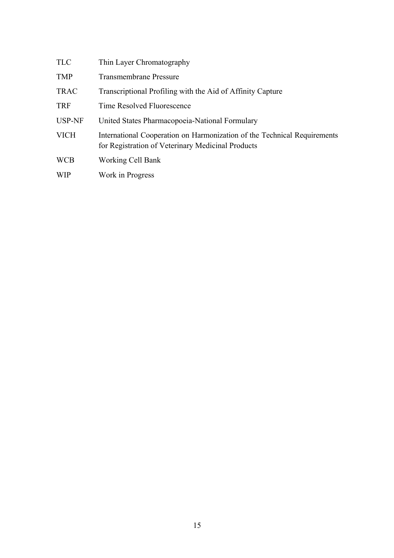| <b>TLC</b>    | Thin Layer Chromatography                                                                                                     |
|---------------|-------------------------------------------------------------------------------------------------------------------------------|
| <b>TMP</b>    | <b>Transmembrane Pressure</b>                                                                                                 |
| <b>TRAC</b>   | Transcriptional Profiling with the Aid of Affinity Capture                                                                    |
| <b>TRF</b>    | Time Resolved Fluorescence                                                                                                    |
| <b>USP-NF</b> | United States Pharmacopoeia-National Formulary                                                                                |
| <b>VICH</b>   | International Cooperation on Harmonization of the Technical Requirements<br>for Registration of Veterinary Medicinal Products |
| <b>WCB</b>    | Working Cell Bank                                                                                                             |
| <b>WIP</b>    | Work in Progress                                                                                                              |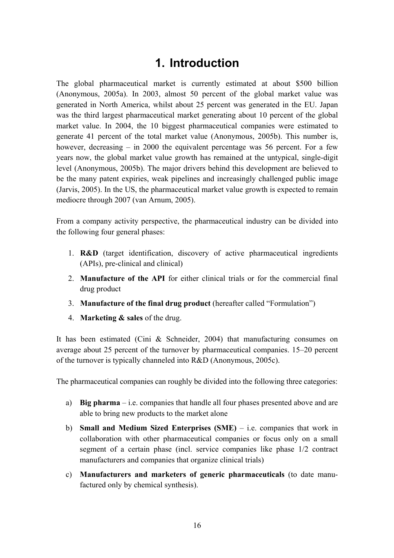# **1. Introduction**

The global pharmaceutical market is currently estimated at about \$500 billion (Anonymous, 2005a). In 2003, almost 50 percent of the global market value was generated in North America, whilst about 25 percent was generated in the EU. Japan was the third largest pharmaceutical market generating about 10 percent of the global market value. In 2004, the 10 biggest pharmaceutical companies were estimated to generate 41 percent of the total market value (Anonymous, 2005b). This number is, however, decreasing  $-$  in 2000 the equivalent percentage was 56 percent. For a few years now, the global market value growth has remained at the untypical, single-digit level (Anonymous, 2005b). The major drivers behind this development are believed to be the many patent expiries, weak pipelines and increasingly challenged public image (Jarvis, 2005). In the US, the pharmaceutical market value growth is expected to remain mediocre through 2007 (van Arnum, 2005).

From a company activity perspective, the pharmaceutical industry can be divided into the following four general phases:

- 1. **R&D** (target identification, discovery of active pharmaceutical ingredients (APIs), pre-clinical and clinical)
- 2. **Manufacture of the API** for either clinical trials or for the commercial final drug product
- 3. **Manufacture of the final drug product** (hereafter called "Formulation")
- 4. **Marketing & sales** of the drug.

It has been estimated (Cini & Schneider, 2004) that manufacturing consumes on average about 25 percent of the turnover by pharmaceutical companies.  $15-20$  percent of the turnover is typically channeled into R&D (Anonymous, 2005c).

The pharmaceutical companies can roughly be divided into the following three categories:

- a) **Big pharma**  $-i.e.$  companies that handle all four phases presented above and are able to bring new products to the market alone
- b) **Small and Medium Sized Enterprises (SME)** i.e. companies that work in collaboration with other pharmaceutical companies or focus only on a small segment of a certain phase (incl. service companies like phase 1/2 contract manufacturers and companies that organize clinical trials)
- c) **Manufacturers and marketers of generic pharmaceuticals** (to date manufactured only by chemical synthesis).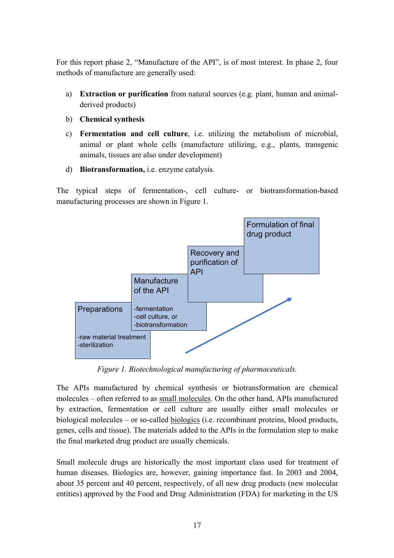For this report phase 2, "Manufacture of the API", is of most interest. In phase 2, four methods of manufacture are generally used:

- a) **Extraction or purification** from natural sources (e.g. plant, human and animalderived products)
- b) **Chemical synthesis**
- c) **Fermentation and cell culture**, i.e. utilizing the metabolism of microbial, animal or plant whole cells (manufacture utilizing, e.g., plants, transgenic animals, tissues are also under development)
- d) **Biotransformation,** i.e. enzyme catalysis.

The typical steps of fermentation-, cell culture- or biotransformation-based manufacturing processes are shown in Figure 1.



*Figure 1. Biotechnological manufacturing of pharmaceuticals.* 

The APIs manufactured by chemical synthesis or biotransformation are chemical molecules – often referred to as small molecules. On the other hand, APIs manufactured by extraction, fermentation or cell culture are usually either small molecules or biological molecules  $-$  or so-called biologics (i.e. recombinant proteins, blood products, genes, cells and tissue). The materials added to the APIs in the formulation step to make the final marketed drug product are usually chemicals.

Small molecule drugs are historically the most important class used for treatment of human diseases. Biologics are, however, gaining importance fast. In 2003 and 2004, about 35 percent and 40 percent, respectively, of all new drug products (new molecular entities) approved by the Food and Drug Administration (FDA) for marketing in the US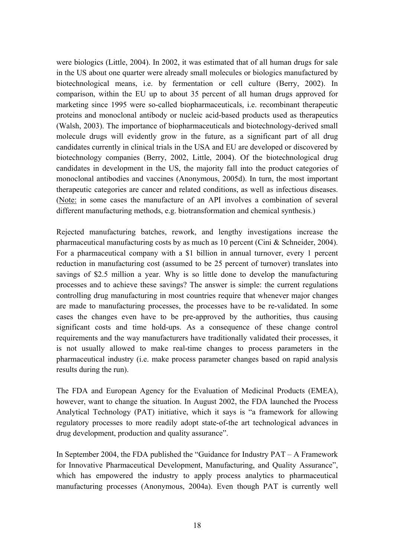were biologics (Little, 2004). In 2002, it was estimated that of all human drugs for sale in the US about one quarter were already small molecules or biologics manufactured by biotechnological means, i.e. by fermentation or cell culture (Berry, 2002). In comparison, within the EU up to about 35 percent of all human drugs approved for marketing since 1995 were so-called biopharmaceuticals, i.e. recombinant therapeutic proteins and monoclonal antibody or nucleic acid-based products used as therapeutics (Walsh, 2003). The importance of biopharmaceuticals and biotechnology-derived small molecule drugs will evidently grow in the future, as a significant part of all drug candidates currently in clinical trials in the USA and EU are developed or discovered by biotechnology companies (Berry, 2002, Little, 2004). Of the biotechnological drug candidates in development in the US, the majority fall into the product categories of monoclonal antibodies and vaccines (Anonymous, 2005d). In turn, the most important therapeutic categories are cancer and related conditions, as well as infectious diseases. (Note: in some cases the manufacture of an API involves a combination of several different manufacturing methods, e.g. biotransformation and chemical synthesis.)

Rejected manufacturing batches, rework, and lengthy investigations increase the pharmaceutical manufacturing costs by as much as 10 percent (Cini & Schneider, 2004). For a pharmaceutical company with a \$1 billion in annual turnover, every 1 percent reduction in manufacturing cost (assumed to be 25 percent of turnover) translates into savings of \$2.5 million a year. Why is so little done to develop the manufacturing processes and to achieve these savings? The answer is simple: the current regulations controlling drug manufacturing in most countries require that whenever major changes are made to manufacturing processes, the processes have to be re-validated. In some cases the changes even have to be pre-approved by the authorities, thus causing significant costs and time hold-ups. As a consequence of these change control requirements and the way manufacturers have traditionally validated their processes, it is not usually allowed to make real-time changes to process parameters in the pharmaceutical industry (i.e. make process parameter changes based on rapid analysis results during the run).

The FDA and European Agency for the Evaluation of Medicinal Products (EMEA), however, want to change the situation. In August 2002, the FDA launched the Process Analytical Technology (PAT) initiative, which it says is "a framework for allowing regulatory processes to more readily adopt state-of-the art technological advances in drug development, production and quality assurance".

In September 2004, the FDA published the "Guidance for Industry  $PAT - A$  Framework for Innovative Pharmaceutical Development, Manufacturing, and Quality Assurance", which has empowered the industry to apply process analytics to pharmaceutical manufacturing processes (Anonymous, 2004a). Even though PAT is currently well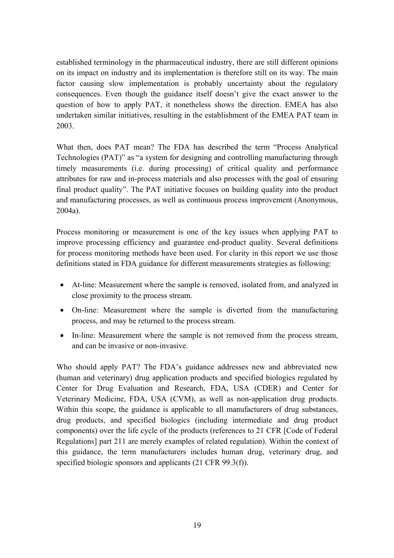established terminology in the pharmaceutical industry, there are still different opinions on its impact on industry and its implementation is therefore still on its way. The main factor causing slow implementation is probably uncertainty about the regulatory consequences. Even though the guidance itself doesn't give the exact answer to the question of how to apply PAT, it nonetheless shows the direction. EMEA has also undertaken similar initiatives, resulting in the establishment of the EMEA PAT team in 2003.

What then, does PAT mean? The FDA has described the term "Process Analytical Technologies (PAT)" as "a system for designing and controlling manufacturing through timely measurements (i.e. during processing) of critical quality and performance attributes for raw and in-process materials and also processes with the goal of ensuring final product quality". The PAT initiative focuses on building quality into the product and manufacturing processes, as well as continuous process improvement (Anonymous, 2004a).

Process monitoring or measurement is one of the key issues when applying PAT to improve processing efficiency and guarantee end-product quality. Several definitions for process monitoring methods have been used. For clarity in this report we use those definitions stated in FDA guidance for different measurements strategies as following:

- At-line: Measurement where the sample is removed, isolated from, and analyzed in close proximity to the process stream.
- On-line: Measurement where the sample is diverted from the manufacturing process, and may be returned to the process stream.
- In-line: Measurement where the sample is not removed from the process stream, and can be invasive or non-invasive.

Who should apply PAT? The FDA's guidance addresses new and abbreviated new (human and veterinary) drug application products and specified biologics regulated by Center for Drug Evaluation and Research, FDA, USA (CDER) and Center for Veterinary Medicine, FDA, USA (CVM), as well as non-application drug products. Within this scope, the guidance is applicable to all manufacturers of drug substances, drug products, and specified biologics (including intermediate and drug product components) over the life cycle of the products (references to 21 CFR [Code of Federal Regulations] part 211 are merely examples of related regulation). Within the context of this guidance, the term manufacturers includes human drug, veterinary drug, and specified biologic sponsors and applicants (21 CFR 99.3(f)).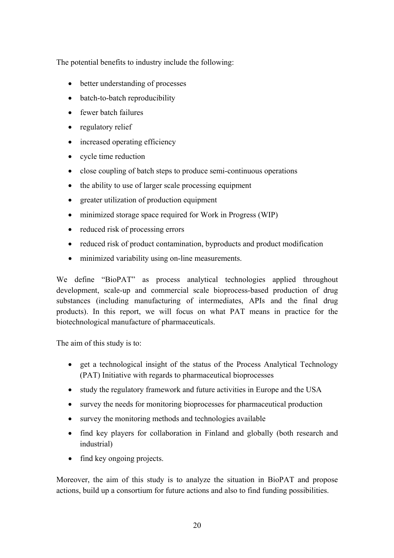The potential benefits to industry include the following:

- better understanding of processes
- batch-to-batch reproducibility
- fewer batch failures
- regulatory relief
- increased operating efficiency
- cycle time reduction
- close coupling of batch steps to produce semi-continuous operations
- the ability to use of larger scale processing equipment
- greater utilization of production equipment
- minimized storage space required for Work in Progress (WIP)
- reduced risk of processing errors
- reduced risk of product contamination, byproducts and product modification
- minimized variability using on-line measurements.

We define "BioPAT" as process analytical technologies applied throughout development, scale-up and commercial scale bioprocess-based production of drug substances (including manufacturing of intermediates, APIs and the final drug products). In this report, we will focus on what PAT means in practice for the biotechnological manufacture of pharmaceuticals.

The aim of this study is to:

- get a technological insight of the status of the Process Analytical Technology (PAT) Initiative with regards to pharmaceutical bioprocesses
- study the regulatory framework and future activities in Europe and the USA
- survey the needs for monitoring bioprocesses for pharmaceutical production
- survey the monitoring methods and technologies available
- find key players for collaboration in Finland and globally (both research and industrial)
- find key ongoing projects.

Moreover, the aim of this study is to analyze the situation in BioPAT and propose actions, build up a consortium for future actions and also to find funding possibilities.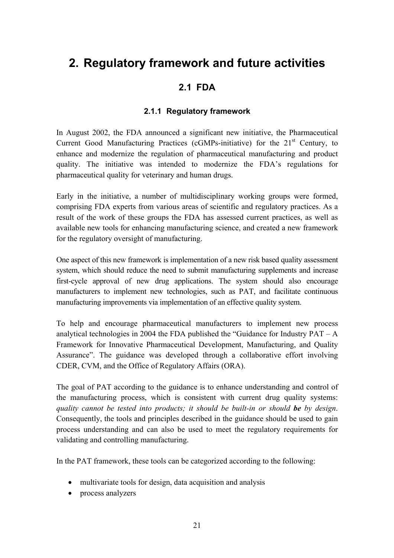# **2. Regulatory framework and future activities**

#### **2.1 FDA**

#### **2.1.1 Regulatory framework**

In August 2002, the FDA announced a significant new initiative, the Pharmaceutical Current Good Manufacturing Practices (cGMPs-initiative) for the  $21<sup>st</sup>$  Century, to enhance and modernize the regulation of pharmaceutical manufacturing and product quality. The initiative was intended to modernize the FDA's regulations for pharmaceutical quality for veterinary and human drugs.

Early in the initiative, a number of multidisciplinary working groups were formed, comprising FDA experts from various areas of scientific and regulatory practices. As a result of the work of these groups the FDA has assessed current practices, as well as available new tools for enhancing manufacturing science, and created a new framework for the regulatory oversight of manufacturing.

One aspect of this new framework is implementation of a new risk based quality assessment system, which should reduce the need to submit manufacturing supplements and increase first-cycle approval of new drug applications. The system should also encourage manufacturers to implement new technologies, such as PAT, and facilitate continuous manufacturing improvements via implementation of an effective quality system.

To help and encourage pharmaceutical manufacturers to implement new process analytical technologies in 2004 the FDA published the "Guidance for Industry  $PAT - A$ Framework for Innovative Pharmaceutical Development, Manufacturing, and Quality Assurance". The guidance was developed through a collaborative effort involving CDER, CVM, and the Office of Regulatory Affairs (ORA).

The goal of PAT according to the guidance is to enhance understanding and control of the manufacturing process, which is consistent with current drug quality systems: *quality cannot be tested into products; it should be built-in or should be by design*. Consequently, the tools and principles described in the guidance should be used to gain process understanding and can also be used to meet the regulatory requirements for validating and controlling manufacturing.

In the PAT framework, these tools can be categorized according to the following:

- multivariate tools for design, data acquisition and analysis
- process analyzers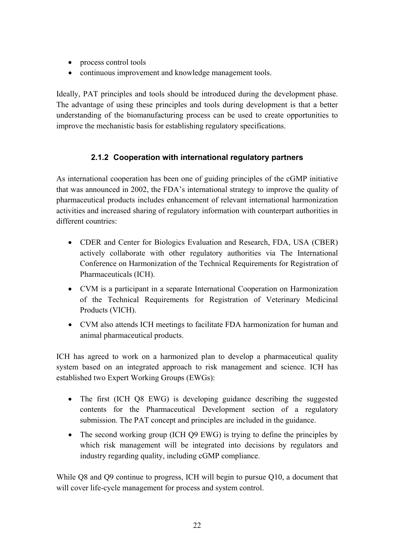- process control tools
- continuous improvement and knowledge management tools.

Ideally, PAT principles and tools should be introduced during the development phase. The advantage of using these principles and tools during development is that a better understanding of the biomanufacturing process can be used to create opportunities to improve the mechanistic basis for establishing regulatory specifications.

#### **2.1.2 Cooperation with international regulatory partners**

As international cooperation has been one of guiding principles of the cGMP initiative that was announced in 2002, the FDA's international strategy to improve the quality of pharmaceutical products includes enhancement of relevant international harmonization activities and increased sharing of regulatory information with counterpart authorities in different countries:

- CDER and Center for Biologics Evaluation and Research, FDA, USA (CBER) actively collaborate with other regulatory authorities via The International Conference on Harmonization of the Technical Requirements for Registration of Pharmaceuticals (ICH).
- CVM is a participant in a separate International Cooperation on Harmonization of the Technical Requirements for Registration of Veterinary Medicinal Products (VICH).
- CVM also attends ICH meetings to facilitate FDA harmonization for human and animal pharmaceutical products.

ICH has agreed to work on a harmonized plan to develop a pharmaceutical quality system based on an integrated approach to risk management and science. ICH has established two Expert Working Groups (EWGs):

- The first (ICH Q8 EWG) is developing guidance describing the suggested contents for the Pharmaceutical Development section of a regulatory submission. The PAT concept and principles are included in the guidance.
- The second working group (ICH Q9 EWG) is trying to define the principles by which risk management will be integrated into decisions by regulators and industry regarding quality, including cGMP compliance.

While Q8 and Q9 continue to progress, ICH will begin to pursue Q10, a document that will cover life-cycle management for process and system control.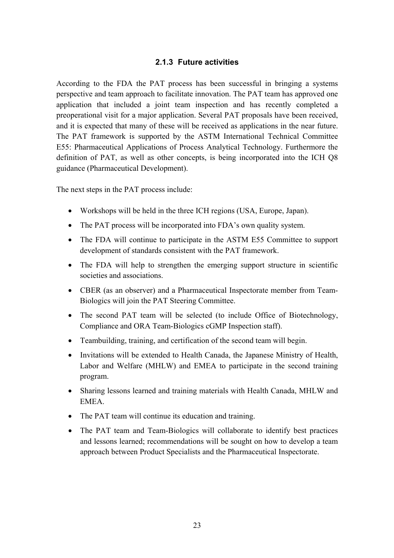#### **2.1.3 Future activities**

According to the FDA the PAT process has been successful in bringing a systems perspective and team approach to facilitate innovation. The PAT team has approved one application that included a joint team inspection and has recently completed a preoperational visit for a major application. Several PAT proposals have been received, and it is expected that many of these will be received as applications in the near future. The PAT framework is supported by the ASTM International Technical Committee E55: Pharmaceutical Applications of Process Analytical Technology. Furthermore the definition of PAT, as well as other concepts, is being incorporated into the ICH Q8 guidance (Pharmaceutical Development).

The next steps in the PAT process include:

- Workshops will be held in the three ICH regions (USA, Europe, Japan).
- The PAT process will be incorporated into FDA's own quality system.
- The FDA will continue to participate in the ASTM E55 Committee to support development of standards consistent with the PAT framework.
- The FDA will help to strengthen the emerging support structure in scientific societies and associations.
- CBER (as an observer) and a Pharmaceutical Inspectorate member from Team-Biologics will join the PAT Steering Committee.
- The second PAT team will be selected (to include Office of Biotechnology, Compliance and ORA Team-Biologics cGMP Inspection staff).
- Teambuilding, training, and certification of the second team will begin.
- Invitations will be extended to Health Canada, the Japanese Ministry of Health, Labor and Welfare (MHLW) and EMEA to participate in the second training program.
- Sharing lessons learned and training materials with Health Canada, MHLW and EMEA.
- The PAT team will continue its education and training.
- The PAT team and Team-Biologics will collaborate to identify best practices and lessons learned; recommendations will be sought on how to develop a team approach between Product Specialists and the Pharmaceutical Inspectorate.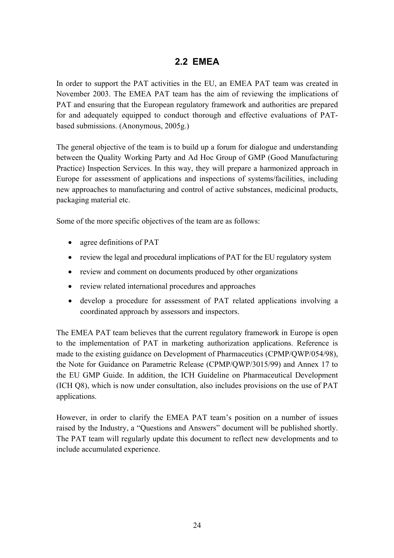### **2.2 EMEA**

In order to support the PAT activities in the EU, an EMEA PAT team was created in November 2003. The EMEA PAT team has the aim of reviewing the implications of PAT and ensuring that the European regulatory framework and authorities are prepared for and adequately equipped to conduct thorough and effective evaluations of PATbased submissions. (Anonymous, 2005g.)

The general objective of the team is to build up a forum for dialogue and understanding between the Quality Working Party and Ad Hoc Group of GMP (Good Manufacturing Practice) Inspection Services. In this way, they will prepare a harmonized approach in Europe for assessment of applications and inspections of systems/facilities, including new approaches to manufacturing and control of active substances, medicinal products, packaging material etc.

Some of the more specific objectives of the team are as follows:

- agree definitions of PAT
- review the legal and procedural implications of PAT for the EU regulatory system
- review and comment on documents produced by other organizations
- review related international procedures and approaches
- develop a procedure for assessment of PAT related applications involving a coordinated approach by assessors and inspectors.

The EMEA PAT team believes that the current regulatory framework in Europe is open to the implementation of PAT in marketing authorization applications. Reference is made to the existing guidance on Development of Pharmaceutics (CPMP/QWP/054/98), the Note for Guidance on Parametric Release (CPMP/QWP/3015/99) and Annex 17 to the EU GMP Guide. In addition, the ICH Guideline on Pharmaceutical Development (ICH Q8), which is now under consultation, also includes provisions on the use of PAT applications.

However, in order to clarify the EMEA PAT team's position on a number of issues raised by the Industry, a "Questions and Answers" document will be published shortly. The PAT team will regularly update this document to reflect new developments and to include accumulated experience.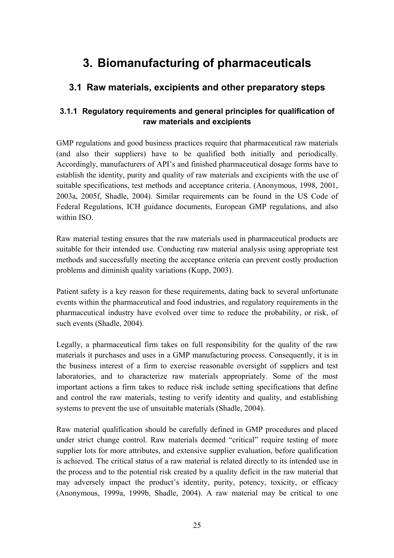# **3. Biomanufacturing of pharmaceuticals**

### **3.1 Raw materials, excipients and other preparatory steps**

#### **3.1.1 Regulatory requirements and general principles for qualification of raw materials and excipients**

GMP regulations and good business practices require that pharmaceutical raw materials (and also their suppliers) have to be qualified both initially and periodically. Accordingly, manufacturers of API's and finished pharmaceutical dosage forms have to establish the identity, purity and quality of raw materials and excipients with the use of suitable specifications, test methods and acceptance criteria. (Anonymous, 1998, 2001, 2003a, 2005f, Shadle, 2004). Similar requirements can be found in the US Code of Federal Regulations, ICH guidance documents, European GMP regulations, and also within ISO.

Raw material testing ensures that the raw materials used in pharmaceutical products are suitable for their intended use. Conducting raw material analysis using appropriate test methods and successfully meeting the acceptance criteria can prevent costly production problems and diminish quality variations (Kupp, 2003).

Patient safety is a key reason for these requirements, dating back to several unfortunate events within the pharmaceutical and food industries, and regulatory requirements in the pharmaceutical industry have evolved over time to reduce the probability, or risk, of such events (Shadle, 2004).

Legally, a pharmaceutical firm takes on full responsibility for the quality of the raw materials it purchases and uses in a GMP manufacturing process. Consequently, it is in the business interest of a firm to exercise reasonable oversight of suppliers and test laboratories, and to characterize raw materials appropriately. Some of the most important actions a firm takes to reduce risk include setting specifications that define and control the raw materials, testing to verify identity and quality, and establishing systems to prevent the use of unsuitable materials (Shadle, 2004).

Raw material qualification should be carefully defined in GMP procedures and placed under strict change control. Raw materials deemed "critical" require testing of more supplier lots for more attributes, and extensive supplier evaluation, before qualification is achieved. The critical status of a raw material is related directly to its intended use in the process and to the potential risk created by a quality deficit in the raw material that may adversely impact the product's identity, purity, potency, toxicity, or efficacy (Anonymous, 1999a, 1999b, Shadle, 2004). A raw material may be critical to one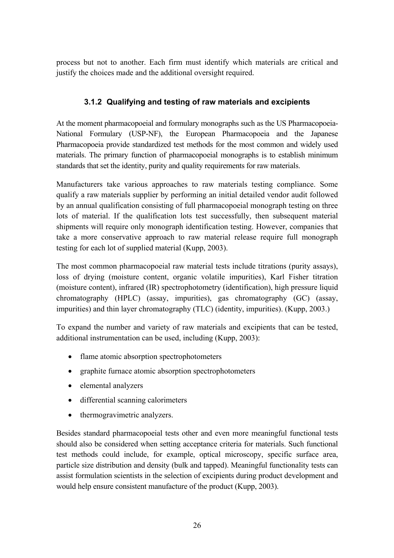process but not to another. Each firm must identify which materials are critical and justify the choices made and the additional oversight required.

#### **3.1.2 Qualifying and testing of raw materials and excipients**

At the moment pharmacopoeial and formulary monographs such as the US Pharmacopoeia-National Formulary (USP-NF), the European Pharmacopoeia and the Japanese Pharmacopoeia provide standardized test methods for the most common and widely used materials. The primary function of pharmacopoeial monographs is to establish minimum standards that set the identity, purity and quality requirements for raw materials.

Manufacturers take various approaches to raw materials testing compliance. Some qualify a raw materials supplier by performing an initial detailed vendor audit followed by an annual qualification consisting of full pharmacopoeial monograph testing on three lots of material. If the qualification lots test successfully, then subsequent material shipments will require only monograph identification testing. However, companies that take a more conservative approach to raw material release require full monograph testing for each lot of supplied material (Kupp, 2003).

The most common pharmacopoeial raw material tests include titrations (purity assays), loss of drying (moisture content, organic volatile impurities), Karl Fisher titration (moisture content), infrared (IR) spectrophotometry (identification), high pressure liquid chromatography (HPLC) (assay, impurities), gas chromatography (GC) (assay, impurities) and thin layer chromatography (TLC) (identity, impurities). (Kupp, 2003.)

To expand the number and variety of raw materials and excipients that can be tested, additional instrumentation can be used, including (Kupp, 2003):

- flame atomic absorption spectrophotometers
- graphite furnace atomic absorption spectrophotometers
- elemental analyzers
- differential scanning calorimeters
- thermogravimetric analyzers.

Besides standard pharmacopoeial tests other and even more meaningful functional tests should also be considered when setting acceptance criteria for materials. Such functional test methods could include, for example, optical microscopy, specific surface area, particle size distribution and density (bulk and tapped). Meaningful functionality tests can assist formulation scientists in the selection of excipients during product development and would help ensure consistent manufacture of the product (Kupp, 2003).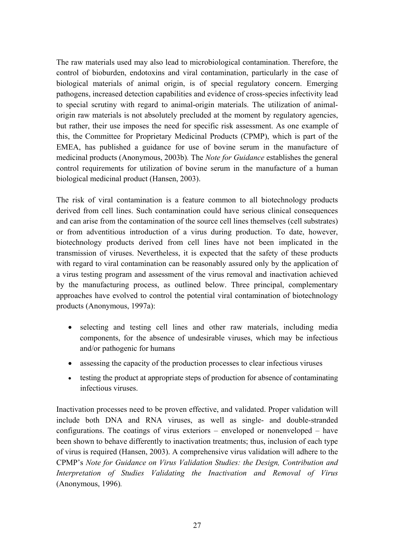The raw materials used may also lead to microbiological contamination. Therefore, the control of bioburden, endotoxins and viral contamination, particularly in the case of biological materials of animal origin, is of special regulatory concern. Emerging pathogens, increased detection capabilities and evidence of cross-species infectivity lead to special scrutiny with regard to animal-origin materials. The utilization of animalorigin raw materials is not absolutely precluded at the moment by regulatory agencies, but rather, their use imposes the need for specific risk assessment. As one example of this, the Committee for Proprietary Medicinal Products (CPMP), which is part of the EMEA, has published a guidance for use of bovine serum in the manufacture of medicinal products (Anonymous, 2003b)*.* The *Note for Guidance* establishes the general control requirements for utilization of bovine serum in the manufacture of a human biological medicinal product (Hansen, 2003).

The risk of viral contamination is a feature common to all biotechnology products derived from cell lines. Such contamination could have serious clinical consequences and can arise from the contamination of the source cell lines themselves (cell substrates) or from adventitious introduction of a virus during production. To date, however, biotechnology products derived from cell lines have not been implicated in the transmission of viruses. Nevertheless, it is expected that the safety of these products with regard to viral contamination can be reasonably assured only by the application of a virus testing program and assessment of the virus removal and inactivation achieved by the manufacturing process, as outlined below. Three principal, complementary approaches have evolved to control the potential viral contamination of biotechnology products (Anonymous, 1997a):

- selecting and testing cell lines and other raw materials, including media components, for the absence of undesirable viruses, which may be infectious and/or pathogenic for humans
- assessing the capacity of the production processes to clear infectious viruses
- testing the product at appropriate steps of production for absence of contaminating infectious viruses.

Inactivation processes need to be proven effective, and validated. Proper validation will include both DNA and RNA viruses, as well as single- and double-stranded configurations. The coatings of virus exteriors  $-$  enveloped or nonenveloped  $-$  have been shown to behave differently to inactivation treatments; thus, inclusion of each type of virus is required (Hansen, 2003). A comprehensive virus validation will adhere to the CPMPís *Note for Guidance on Virus Validation Studies: the Design, Contribution and Interpretation of Studies Validating the Inactivation and Removal of Virus*  (Anonymous, 1996)*.*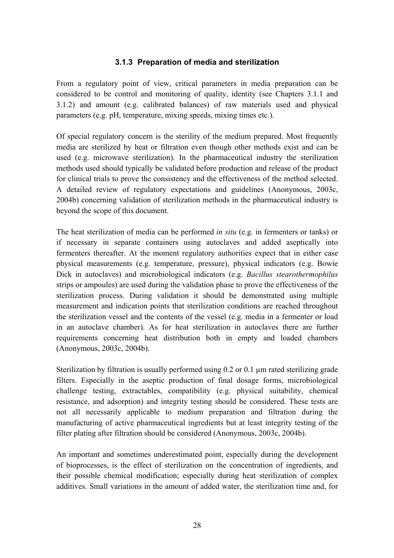#### **3.1.3 Preparation of media and sterilization**

From a regulatory point of view, critical parameters in media preparation can be considered to be control and monitoring of quality, identity (see Chapters 3.1.1 and 3.1.2) and amount (e.g. calibrated balances) of raw materials used and physical parameters (e.g. pH, temperature, mixing speeds, mixing times etc.).

Of special regulatory concern is the sterility of the medium prepared. Most frequently media are sterilized by heat or filtration even though other methods exist and can be used (e.g. microwave sterilization). In the pharmaceutical industry the sterilization methods used should typically be validated before production and release of the product for clinical trials to prove the consistency and the effectiveness of the method selected. A detailed review of regulatory expectations and guidelines (Anonymous, 2003c, 2004b) concerning validation of sterilization methods in the pharmaceutical industry is beyond the scope of this document.

The heat sterilization of media can be performed *in situ* (e.g. in fermenters or tanks) or if necessary in separate containers using autoclaves and added aseptically into fermenters thereafter. At the moment regulatory authorities expect that in either case physical measurements (e.g. temperature, pressure), physical indicators (e.g. Bowie Dick in autoclaves) and microbiological indicators (e.g. *Bacillus stearothermophilus* strips or ampoules) are used during the validation phase to prove the effectiveness of the sterilization process. During validation it should be demonstrated using multiple measurement and indication points that sterilization conditions are reached throughout the sterilization vessel and the contents of the vessel (e.g. media in a fermenter or load in an autoclave chamber). As for heat sterilization in autoclaves there are further requirements concerning heat distribution both in empty and loaded chambers (Anonymous, 2003c, 2004b).

Sterilization by filtration is usually performed using 0.2 or 0.1 µm rated sterilizing grade filters. Especially in the aseptic production of final dosage forms, microbiological challenge testing, extractables, compatibility (e.g. physical suitability, chemical resistance, and adsorption) and integrity testing should be considered. These tests are not all necessarily applicable to medium preparation and filtration during the manufacturing of active pharmaceutical ingredients but at least integrity testing of the filter plating after filtration should be considered (Anonymous, 2003c, 2004b).

An important and sometimes underestimated point, especially during the development of bioprocesses, is the effect of sterilization on the concentration of ingredients, and their possible chemical modification; especially during heat sterilization of complex additives. Small variations in the amount of added water, the sterilization time and, for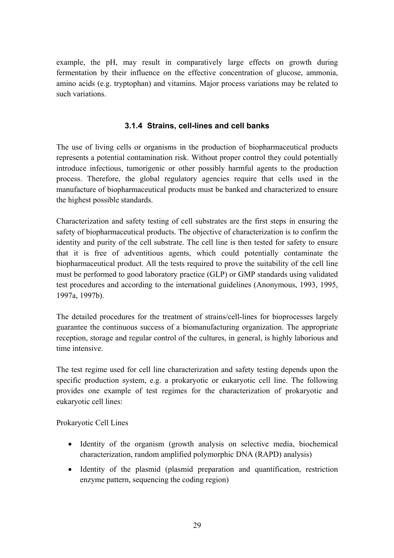example, the pH, may result in comparatively large effects on growth during fermentation by their influence on the effective concentration of glucose, ammonia, amino acids (e.g. tryptophan) and vitamins. Major process variations may be related to such variations.

#### **3.1.4 Strains, cell-lines and cell banks**

The use of living cells or organisms in the production of biopharmaceutical products represents a potential contamination risk. Without proper control they could potentially introduce infectious, tumorigenic or other possibly harmful agents to the production process. Therefore, the global regulatory agencies require that cells used in the manufacture of biopharmaceutical products must be banked and characterized to ensure the highest possible standards.

Characterization and safety testing of cell substrates are the first steps in ensuring the safety of biopharmaceutical products. The objective of characterization is to confirm the identity and purity of the cell substrate. The cell line is then tested for safety to ensure that it is free of adventitious agents, which could potentially contaminate the biopharmaceutical product. All the tests required to prove the suitability of the cell line must be performed to good laboratory practice (GLP) or GMP standards using validated test procedures and according to the international guidelines (Anonymous, 1993, 1995, 1997a, 1997b).

The detailed procedures for the treatment of strains/cell-lines for bioprocesses largely guarantee the continuous success of a biomanufacturing organization. The appropriate reception, storage and regular control of the cultures, in general, is highly laborious and time intensive.

The test regime used for cell line characterization and safety testing depends upon the specific production system, e.g. a prokaryotic or eukaryotic cell line. The following provides one example of test regimes for the characterization of prokaryotic and eukaryotic cell lines:

Prokaryotic Cell Lines

- Identity of the organism (growth analysis on selective media, biochemical characterization, random amplified polymorphic DNA (RAPD) analysis)
- Identity of the plasmid (plasmid preparation and quantification, restriction enzyme pattern, sequencing the coding region)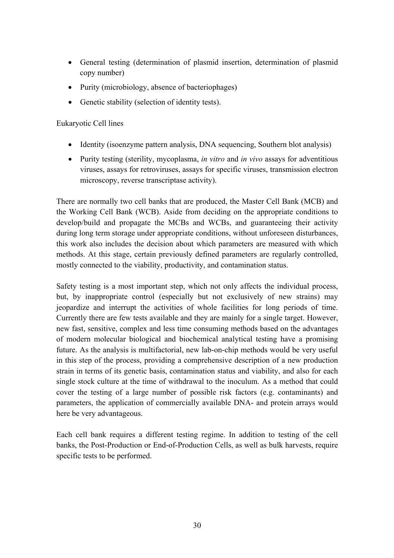- General testing (determination of plasmid insertion, determination of plasmid copy number)
- Purity (microbiology, absence of bacteriophages)
- Genetic stability (selection of identity tests).

#### Eukaryotic Cell lines

- Identity (isoenzyme pattern analysis, DNA sequencing, Southern blot analysis)
- Purity testing (sterility, mycoplasma, *in vitro* and *in vivo* assays for adventitious viruses, assays for retroviruses, assays for specific viruses, transmission electron microscopy, reverse transcriptase activity).

There are normally two cell banks that are produced, the Master Cell Bank (MCB) and the Working Cell Bank (WCB). Aside from deciding on the appropriate conditions to develop/build and propagate the MCBs and WCBs, and guaranteeing their activity during long term storage under appropriate conditions, without unforeseen disturbances, this work also includes the decision about which parameters are measured with which methods. At this stage, certain previously defined parameters are regularly controlled, mostly connected to the viability, productivity, and contamination status.

Safety testing is a most important step, which not only affects the individual process, but, by inappropriate control (especially but not exclusively of new strains) may jeopardize and interrupt the activities of whole facilities for long periods of time. Currently there are few tests available and they are mainly for a single target. However, new fast, sensitive, complex and less time consuming methods based on the advantages of modern molecular biological and biochemical analytical testing have a promising future. As the analysis is multifactorial, new lab-on-chip methods would be very useful in this step of the process, providing a comprehensive description of a new production strain in terms of its genetic basis, contamination status and viability, and also for each single stock culture at the time of withdrawal to the inoculum. As a method that could cover the testing of a large number of possible risk factors (e.g. contaminants) and parameters, the application of commercially available DNA- and protein arrays would here be very advantageous.

Each cell bank requires a different testing regime. In addition to testing of the cell banks, the Post-Production or End-of-Production Cells, as well as bulk harvests, require specific tests to be performed.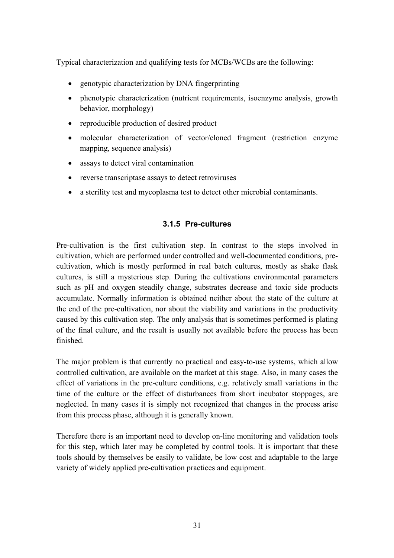Typical characterization and qualifying tests for MCBs/WCBs are the following:

- genotypic characterization by DNA fingerprinting
- phenotypic characterization (nutrient requirements, isoenzyme analysis, growth behavior, morphology)
- reproducible production of desired product
- molecular characterization of vector/cloned fragment (restriction enzyme mapping, sequence analysis)
- assays to detect viral contamination
- reverse transcriptase assays to detect retroviruses
- a sterility test and mycoplasma test to detect other microbial contaminants.

#### **3.1.5 Pre-cultures**

Pre-cultivation is the first cultivation step. In contrast to the steps involved in cultivation, which are performed under controlled and well-documented conditions, precultivation, which is mostly performed in real batch cultures, mostly as shake flask cultures, is still a mysterious step. During the cultivations environmental parameters such as pH and oxygen steadily change, substrates decrease and toxic side products accumulate. Normally information is obtained neither about the state of the culture at the end of the pre-cultivation, nor about the viability and variations in the productivity caused by this cultivation step. The only analysis that is sometimes performed is plating of the final culture, and the result is usually not available before the process has been finished.

The major problem is that currently no practical and easy-to-use systems, which allow controlled cultivation, are available on the market at this stage. Also, in many cases the effect of variations in the pre-culture conditions, e.g. relatively small variations in the time of the culture or the effect of disturbances from short incubator stoppages, are neglected. In many cases it is simply not recognized that changes in the process arise from this process phase, although it is generally known.

Therefore there is an important need to develop on-line monitoring and validation tools for this step, which later may be completed by control tools. It is important that these tools should by themselves be easily to validate, be low cost and adaptable to the large variety of widely applied pre-cultivation practices and equipment.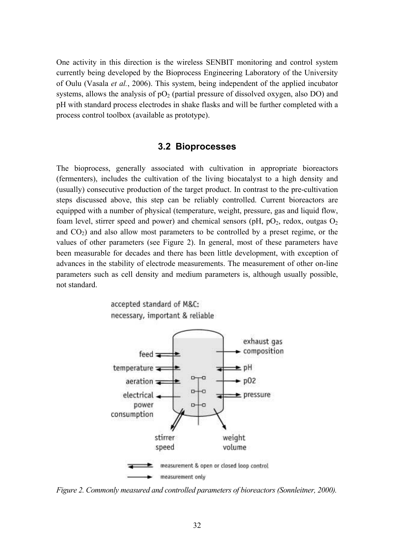One activity in this direction is the wireless SENBIT monitoring and control system currently being developed by the Bioprocess Engineering Laboratory of the University of Oulu (Vasala *et al.*, 2006). This system, being independent of the applied incubator systems, allows the analysis of  $pO_2$  (partial pressure of dissolved oxygen, also DO) and pH with standard process electrodes in shake flasks and will be further completed with a process control toolbox (available as prototype).

#### **3.2 Bioprocesses**

The bioprocess, generally associated with cultivation in appropriate bioreactors (fermenters), includes the cultivation of the living biocatalyst to a high density and (usually) consecutive production of the target product. In contrast to the pre-cultivation steps discussed above, this step can be reliably controlled. Current bioreactors are equipped with a number of physical (temperature, weight, pressure, gas and liquid flow, foam level, stirrer speed and power) and chemical sensors (pH,  $pO_2$ , redox, outgas  $O_2$ and  $CO<sub>2</sub>$ ) and also allow most parameters to be controlled by a preset regime, or the values of other parameters (see Figure 2). In general, most of these parameters have been measurable for decades and there has been little development, with exception of advances in the stability of electrode measurements. The measurement of other on-line parameters such as cell density and medium parameters is, although usually possible, not standard.



*Figure 2. Commonly measured and controlled parameters of bioreactors (Sonnleitner, 2000).*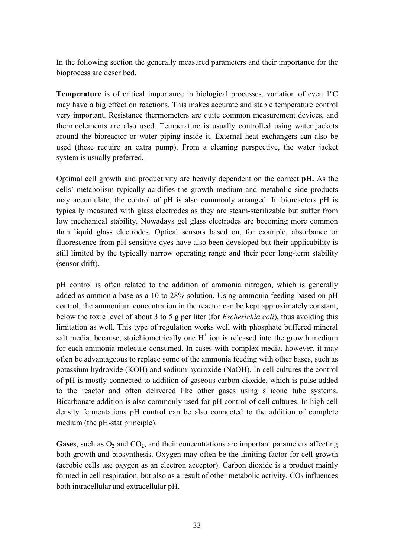In the following section the generally measured parameters and their importance for the bioprocess are described.

**Temperature** is of critical importance in biological processes, variation of even 1ºC may have a big effect on reactions. This makes accurate and stable temperature control very important. Resistance thermometers are quite common measurement devices, and thermoelements are also used. Temperature is usually controlled using water jackets around the bioreactor or water piping inside it. External heat exchangers can also be used (these require an extra pump). From a cleaning perspective, the water jacket system is usually preferred.

Optimal cell growth and productivity are heavily dependent on the correct **pH.** As the cells' metabolism typically acidifies the growth medium and metabolic side products may accumulate, the control of pH is also commonly arranged. In bioreactors pH is typically measured with glass electrodes as they are steam-sterilizable but suffer from low mechanical stability. Nowadays gel glass electrodes are becoming more common than liquid glass electrodes. Optical sensors based on, for example, absorbance or fluorescence from pH sensitive dyes have also been developed but their applicability is still limited by the typically narrow operating range and their poor long-term stability (sensor drift).

pH control is often related to the addition of ammonia nitrogen, which is generally added as ammonia base as a 10 to 28% solution. Using ammonia feeding based on pH control, the ammonium concentration in the reactor can be kept approximately constant, below the toxic level of about 3 to 5 g per liter (for *Escherichia coli*), thus avoiding this limitation as well. This type of regulation works well with phosphate buffered mineral salt media, because, stoichiometrically one  $H^+$  ion is released into the growth medium for each ammonia molecule consumed. In cases with complex media, however, it may often be advantageous to replace some of the ammonia feeding with other bases, such as potassium hydroxide (KOH) and sodium hydroxide (NaOH). In cell cultures the control of pH is mostly connected to addition of gaseous carbon dioxide, which is pulse added to the reactor and often delivered like other gases using silicone tube systems. Bicarbonate addition is also commonly used for pH control of cell cultures. In high cell density fermentations pH control can be also connected to the addition of complete medium (the pH-stat principle).

**Gases**, such as  $O_2$  and  $CO_2$ , and their concentrations are important parameters affecting both growth and biosynthesis. Oxygen may often be the limiting factor for cell growth (aerobic cells use oxygen as an electron acceptor). Carbon dioxide is a product mainly formed in cell respiration, but also as a result of other metabolic activity.  $CO<sub>2</sub>$  influences both intracellular and extracellular pH.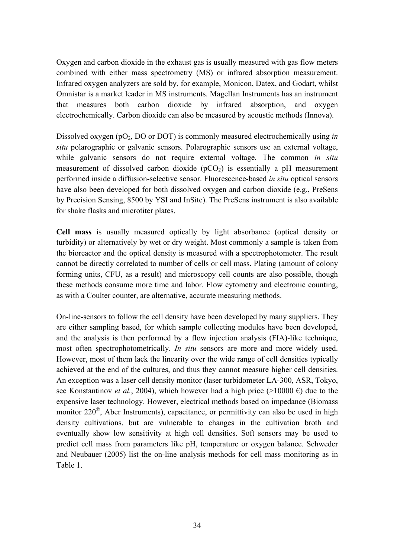Oxygen and carbon dioxide in the exhaust gas is usually measured with gas flow meters combined with either mass spectrometry (MS) or infrared absorption measurement. Infrared oxygen analyzers are sold by, for example, Monicon, Datex, and Godart, whilst Omnistar is a market leader in MS instruments. Magellan Instruments has an instrument that measures both carbon dioxide by infrared absorption, and oxygen electrochemically. Carbon dioxide can also be measured by acoustic methods (Innova).

Dissolved oxygen (pO2, DO or DOT) is commonly measured electrochemically using *in situ* polarographic or galvanic sensors. Polarographic sensors use an external voltage, while galvanic sensors do not require external voltage. The common *in situ* measurement of dissolved carbon dioxide  $(pCO<sub>2</sub>)$  is essentially a pH measurement performed inside a diffusion-selective sensor. Fluorescence-based *in situ* optical sensors have also been developed for both dissolved oxygen and carbon dioxide (e.g., PreSens by Precision Sensing, 8500 by YSI and InSite). The PreSens instrument is also available for shake flasks and microtiter plates.

**Cell mass** is usually measured optically by light absorbance (optical density or turbidity) or alternatively by wet or dry weight. Most commonly a sample is taken from the bioreactor and the optical density is measured with a spectrophotometer. The result cannot be directly correlated to number of cells or cell mass. Plating (amount of colony forming units, CFU, as a result) and microscopy cell counts are also possible, though these methods consume more time and labor. Flow cytometry and electronic counting, as with a Coulter counter, are alternative, accurate measuring methods.

On-line-sensors to follow the cell density have been developed by many suppliers. They are either sampling based, for which sample collecting modules have been developed, and the analysis is then performed by a flow injection analysis (FIA)-like technique, most often spectrophotometrically. *In situ* sensors are more and more widely used. However, most of them lack the linearity over the wide range of cell densities typically achieved at the end of the cultures, and thus they cannot measure higher cell densities. An exception was a laser cell density monitor (laser turbidometer LA-300, ASR, Tokyo, see Konstantinov *et al.*, 2004), which however had a high price (>10000  $\epsilon$ ) due to the expensive laser technology. However, electrical methods based on impedance (Biomass monitor  $220^{\circ}$ , Aber Instruments), capacitance, or permittivity can also be used in high density cultivations, but are vulnerable to changes in the cultivation broth and eventually show low sensitivity at high cell densities. Soft sensors may be used to predict cell mass from parameters like pH, temperature or oxygen balance. Schweder and Neubauer (2005) list the on-line analysis methods for cell mass monitoring as in Table 1.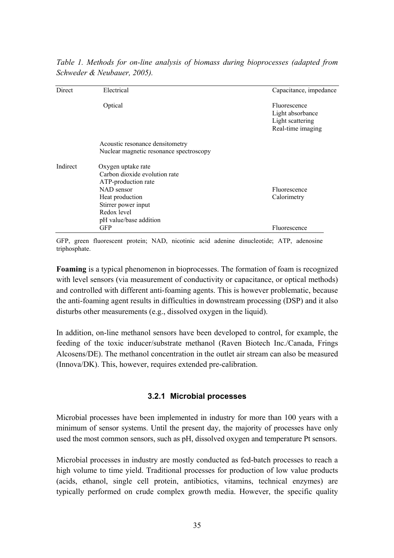| Direct   | Electrical                                                                                                                                                                  | Capacitance, impedance                                                    |
|----------|-----------------------------------------------------------------------------------------------------------------------------------------------------------------------------|---------------------------------------------------------------------------|
|          | Optical                                                                                                                                                                     | Fluorescence<br>Light absorbance<br>Light scattering<br>Real-time imaging |
|          | Acoustic resonance densitometry<br>Nuclear magnetic resonance spectroscopy                                                                                                  |                                                                           |
| Indirect | Oxygen uptake rate<br>Carbon dioxide evolution rate<br>ATP-production rate<br>NAD sensor<br>Heat production<br>Stirrer power input<br>Redox level<br>pH value/base addition | Fluorescence<br>Calorimetry                                               |
|          | <b>GFP</b>                                                                                                                                                                  | Fluorescence                                                              |

*Table 1. Methods for on-line analysis of biomass during bioprocesses (adapted from Schweder & Neubauer, 2005).* 

GFP, green fluorescent protein; NAD, nicotinic acid adenine dinucleotide; ATP, adenosine triphosphate.

**Foaming** is a typical phenomenon in bioprocesses. The formation of foam is recognized with level sensors (via measurement of conductivity or capacitance, or optical methods) and controlled with different anti-foaming agents. This is however problematic, because the anti-foaming agent results in difficulties in downstream processing (DSP) and it also disturbs other measurements (e.g., dissolved oxygen in the liquid).

In addition, on-line methanol sensors have been developed to control, for example, the feeding of the toxic inducer/substrate methanol (Raven Biotech Inc./Canada, Frings Alcosens/DE). The methanol concentration in the outlet air stream can also be measured (Innova/DK). This, however, requires extended pre-calibration.

#### **3.2.1 Microbial processes**

Microbial processes have been implemented in industry for more than 100 years with a minimum of sensor systems. Until the present day, the majority of processes have only used the most common sensors, such as pH, dissolved oxygen and temperature Pt sensors.

Microbial processes in industry are mostly conducted as fed-batch processes to reach a high volume to time yield. Traditional processes for production of low value products (acids, ethanol, single cell protein, antibiotics, vitamins, technical enzymes) are typically performed on crude complex growth media. However, the specific quality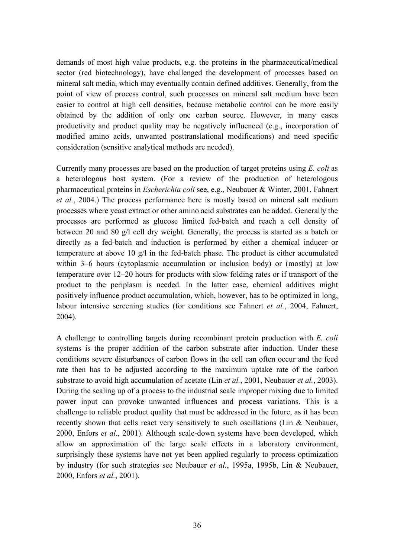demands of most high value products, e.g. the proteins in the pharmaceutical/medical sector (red biotechnology), have challenged the development of processes based on mineral salt media, which may eventually contain defined additives. Generally, from the point of view of process control, such processes on mineral salt medium have been easier to control at high cell densities, because metabolic control can be more easily obtained by the addition of only one carbon source. However, in many cases productivity and product quality may be negatively influenced (e.g., incorporation of modified amino acids, unwanted posttranslational modifications) and need specific consideration (sensitive analytical methods are needed).

Currently many processes are based on the production of target proteins using *E. coli* as a heterologous host system. (For a review of the production of heterologous pharmaceutical proteins in *Escherichia coli* see, e.g., Neubauer & Winter, 2001, Fahnert *et al.*, 2004.) The process performance here is mostly based on mineral salt medium processes where yeast extract or other amino acid substrates can be added. Generally the processes are performed as glucose limited fed-batch and reach a cell density of between 20 and 80 g/l cell dry weight. Generally, the process is started as a batch or directly as a fed-batch and induction is performed by either a chemical inducer or temperature at above 10 g/l in the fed-batch phase. The product is either accumulated within 3–6 hours (cytoplasmic accumulation or inclusion body) or (mostly) at low temperature over  $12-20$  hours for products with slow folding rates or if transport of the product to the periplasm is needed. In the latter case, chemical additives might positively influence product accumulation, which, however, has to be optimized in long, labour intensive screening studies (for conditions see Fahnert *et al.*, 2004, Fahnert, 2004).

A challenge to controlling targets during recombinant protein production with *E. coli* systems is the proper addition of the carbon substrate after induction. Under these conditions severe disturbances of carbon flows in the cell can often occur and the feed rate then has to be adjusted according to the maximum uptake rate of the carbon substrate to avoid high accumulation of acetate (Lin *et al.*, 2001, Neubauer *et al.*, 2003). During the scaling up of a process to the industrial scale improper mixing due to limited power input can provoke unwanted influences and process variations. This is a challenge to reliable product quality that must be addressed in the future, as it has been recently shown that cells react very sensitively to such oscillations (Lin & Neubauer, 2000, Enfors *et al.*, 2001). Although scale-down systems have been developed, which allow an approximation of the large scale effects in a laboratory environment, surprisingly these systems have not yet been applied regularly to process optimization by industry (for such strategies see Neubauer *et al.*, 1995a, 1995b, Lin & Neubauer, 2000, Enfors *et al.*, 2001).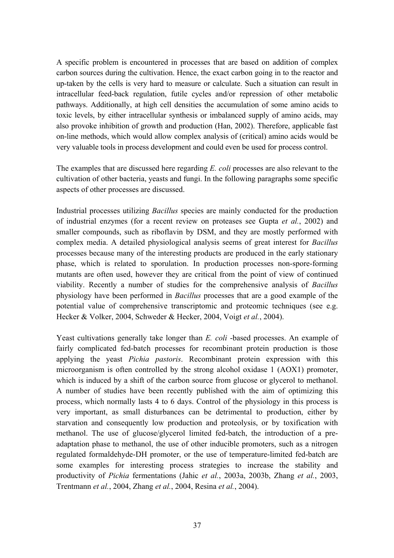A specific problem is encountered in processes that are based on addition of complex carbon sources during the cultivation. Hence, the exact carbon going in to the reactor and up-taken by the cells is very hard to measure or calculate. Such a situation can result in intracellular feed-back regulation, futile cycles and/or repression of other metabolic pathways. Additionally, at high cell densities the accumulation of some amino acids to toxic levels, by either intracellular synthesis or imbalanced supply of amino acids, may also provoke inhibition of growth and production (Han, 2002). Therefore, applicable fast on-line methods, which would allow complex analysis of (critical) amino acids would be very valuable tools in process development and could even be used for process control.

The examples that are discussed here regarding *E. coli* processes are also relevant to the cultivation of other bacteria, yeasts and fungi. In the following paragraphs some specific aspects of other processes are discussed.

Industrial processes utilizing *Bacillus* species are mainly conducted for the production of industrial enzymes (for a recent review on proteases see Gupta *et al.*, 2002) and smaller compounds, such as riboflavin by DSM, and they are mostly performed with complex media. A detailed physiological analysis seems of great interest for *Bacillus* processes because many of the interesting products are produced in the early stationary phase, which is related to sporulation. In production processes non-spore-forming mutants are often used, however they are critical from the point of view of continued viability. Recently a number of studies for the comprehensive analysis of *Bacillus* physiology have been performed in *Bacillus* processes that are a good example of the potential value of comprehensive transcriptomic and proteomic techniques (see e.g. Hecker & Volker, 2004, Schweder & Hecker, 2004, Voigt *et al.*, 2004).

Yeast cultivations generally take longer than *E. coli* -based processes. An example of fairly complicated fed-batch processes for recombinant protein production is those applying the yeast *Pichia pastoris*. Recombinant protein expression with this microorganism is often controlled by the strong alcohol oxidase 1 (AOX1) promoter, which is induced by a shift of the carbon source from glucose or glycerol to methanol. A number of studies have been recently published with the aim of optimizing this process, which normally lasts 4 to 6 days. Control of the physiology in this process is very important, as small disturbances can be detrimental to production, either by starvation and consequently low production and proteolysis, or by toxification with methanol. The use of glucose/glycerol limited fed-batch, the introduction of a preadaptation phase to methanol, the use of other inducible promoters, such as a nitrogen regulated formaldehyde-DH promoter, or the use of temperature-limited fed-batch are some examples for interesting process strategies to increase the stability and productivity of *Pichia* fermentations (Jahic *et al.*, 2003a, 2003b, Zhang *et al.*, 2003, Trentmann *et al.*, 2004, Zhang *et al.*, 2004, Resina *et al.*, 2004).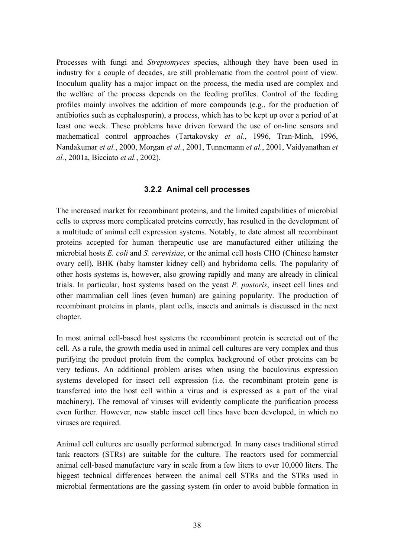Processes with fungi and *Streptomyces* species, although they have been used in industry for a couple of decades, are still problematic from the control point of view. Inoculum quality has a major impact on the process, the media used are complex and the welfare of the process depends on the feeding profiles. Control of the feeding profiles mainly involves the addition of more compounds (e.g., for the production of antibiotics such as cephalosporin), a process, which has to be kept up over a period of at least one week. These problems have driven forward the use of on-line sensors and mathematical control approaches (Tartakovsky *et al.*, 1996, Tran-Minh, 1996, Nandakumar *et al.*, 2000, Morgan *et al.*, 2001, Tunnemann *et al.*, 2001, Vaidyanathan *et al.*, 2001a, Bicciato *et al.*, 2002).

#### **3.2.2 Animal cell processes**

The increased market for recombinant proteins, and the limited capabilities of microbial cells to express more complicated proteins correctly, has resulted in the development of a multitude of animal cell expression systems. Notably, to date almost all recombinant proteins accepted for human therapeutic use are manufactured either utilizing the microbial hosts *E. coli* and *S. cerevisiae*, or the animal cell hosts CHO (Chinese hamster ovary cell), BHK (baby hamster kidney cell) and hybridoma cells. The popularity of other hosts systems is, however, also growing rapidly and many are already in clinical trials. In particular, host systems based on the yeast *P. pastoris*, insect cell lines and other mammalian cell lines (even human) are gaining popularity. The production of recombinant proteins in plants, plant cells, insects and animals is discussed in the next chapter.

In most animal cell-based host systems the recombinant protein is secreted out of the cell. As a rule, the growth media used in animal cell cultures are very complex and thus purifying the product protein from the complex background of other proteins can be very tedious. An additional problem arises when using the baculovirus expression systems developed for insect cell expression (i.e. the recombinant protein gene is transferred into the host cell within a virus and is expressed as a part of the viral machinery). The removal of viruses will evidently complicate the purification process even further. However, new stable insect cell lines have been developed, in which no viruses are required.

Animal cell cultures are usually performed submerged. In many cases traditional stirred tank reactors (STRs) are suitable for the culture. The reactors used for commercial animal cell-based manufacture vary in scale from a few liters to over 10,000 liters. The biggest technical differences between the animal cell STRs and the STRs used in microbial fermentations are the gassing system (in order to avoid bubble formation in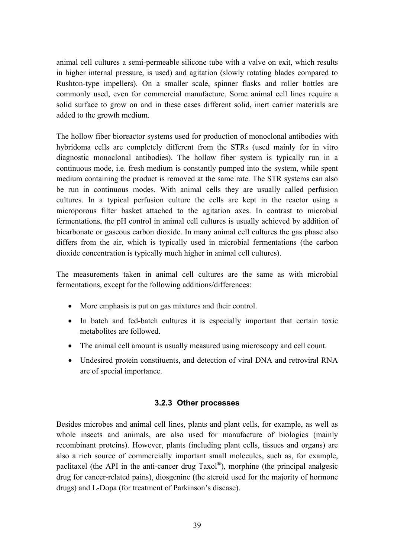animal cell cultures a semi-permeable silicone tube with a valve on exit, which results in higher internal pressure, is used) and agitation (slowly rotating blades compared to Rushton-type impellers). On a smaller scale, spinner flasks and roller bottles are commonly used, even for commercial manufacture. Some animal cell lines require a solid surface to grow on and in these cases different solid, inert carrier materials are added to the growth medium.

The hollow fiber bioreactor systems used for production of monoclonal antibodies with hybridoma cells are completely different from the STRs (used mainly for in vitro diagnostic monoclonal antibodies). The hollow fiber system is typically run in a continuous mode, i.e. fresh medium is constantly pumped into the system, while spent medium containing the product is removed at the same rate. The STR systems can also be run in continuous modes. With animal cells they are usually called perfusion cultures. In a typical perfusion culture the cells are kept in the reactor using a microporous filter basket attached to the agitation axes. In contrast to microbial fermentations, the pH control in animal cell cultures is usually achieved by addition of bicarbonate or gaseous carbon dioxide. In many animal cell cultures the gas phase also differs from the air, which is typically used in microbial fermentations (the carbon dioxide concentration is typically much higher in animal cell cultures).

The measurements taken in animal cell cultures are the same as with microbial fermentations, except for the following additions/differences:

- More emphasis is put on gas mixtures and their control.
- In batch and fed-batch cultures it is especially important that certain toxic metabolites are followed.
- The animal cell amount is usually measured using microscopy and cell count.
- Undesired protein constituents, and detection of viral DNA and retroviral RNA are of special importance.

#### **3.2.3 Other processes**

Besides microbes and animal cell lines, plants and plant cells, for example, as well as whole insects and animals, are also used for manufacture of biologics (mainly recombinant proteins). However, plants (including plant cells, tissues and organs) are also a rich source of commercially important small molecules, such as, for example, paclitaxel (the API in the anti-cancer drug  $Taxd\mathbb{R}^n$ ), morphine (the principal analgesic drug for cancer-related pains), diosgenine (the steroid used for the majority of hormone drugs) and L-Dopa (for treatment of Parkinson's disease).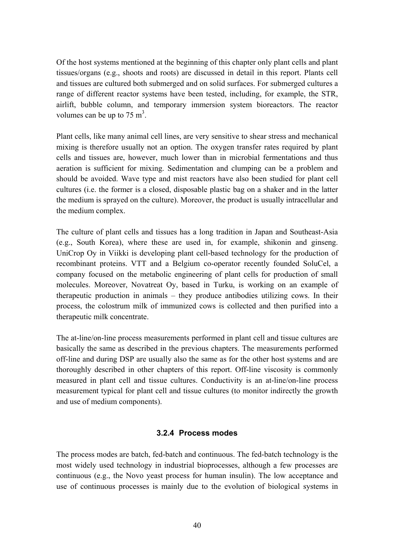Of the host systems mentioned at the beginning of this chapter only plant cells and plant tissues/organs (e.g., shoots and roots) are discussed in detail in this report. Plants cell and tissues are cultured both submerged and on solid surfaces. For submerged cultures a range of different reactor systems have been tested, including, for example, the STR, airlift, bubble column, and temporary immersion system bioreactors. The reactor volumes can be up to  $75 \text{ m}^3$ .

Plant cells, like many animal cell lines, are very sensitive to shear stress and mechanical mixing is therefore usually not an option. The oxygen transfer rates required by plant cells and tissues are, however, much lower than in microbial fermentations and thus aeration is sufficient for mixing. Sedimentation and clumping can be a problem and should be avoided. Wave type and mist reactors have also been studied for plant cell cultures (i.e. the former is a closed, disposable plastic bag on a shaker and in the latter the medium is sprayed on the culture). Moreover, the product is usually intracellular and the medium complex.

The culture of plant cells and tissues has a long tradition in Japan and Southeast-Asia (e.g., South Korea), where these are used in, for example, shikonin and ginseng. UniCrop Oy in Viikki is developing plant cell-based technology for the production of recombinant proteins. VTT and a Belgium co-operator recently founded SoluCel, a company focused on the metabolic engineering of plant cells for production of small molecules. Moreover, Novatreat Oy, based in Turku, is working on an example of therapeutic production in animals  $-$  they produce antibodies utilizing cows. In their process, the colostrum milk of immunized cows is collected and then purified into a therapeutic milk concentrate.

The at-line/on-line process measurements performed in plant cell and tissue cultures are basically the same as described in the previous chapters. The measurements performed off-line and during DSP are usually also the same as for the other host systems and are thoroughly described in other chapters of this report. Off-line viscosity is commonly measured in plant cell and tissue cultures. Conductivity is an at-line/on-line process measurement typical for plant cell and tissue cultures (to monitor indirectly the growth and use of medium components).

#### **3.2.4 Process modes**

The process modes are batch, fed-batch and continuous. The fed-batch technology is the most widely used technology in industrial bioprocesses, although a few processes are continuous (e.g., the Novo yeast process for human insulin). The low acceptance and use of continuous processes is mainly due to the evolution of biological systems in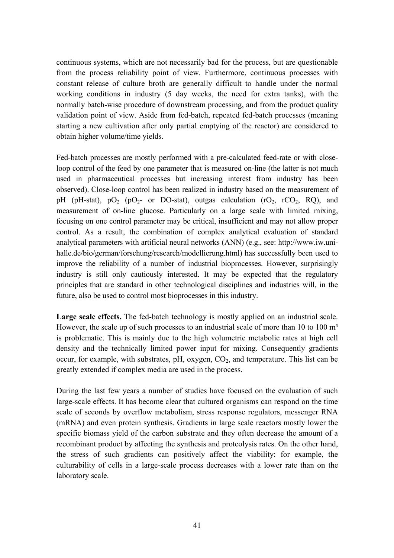continuous systems, which are not necessarily bad for the process, but are questionable from the process reliability point of view. Furthermore, continuous processes with constant release of culture broth are generally difficult to handle under the normal working conditions in industry (5 day weeks, the need for extra tanks), with the normally batch-wise procedure of downstream processing, and from the product quality validation point of view. Aside from fed-batch, repeated fed-batch processes (meaning starting a new cultivation after only partial emptying of the reactor) are considered to obtain higher volume/time yields.

Fed-batch processes are mostly performed with a pre-calculated feed-rate or with closeloop control of the feed by one parameter that is measured on-line (the latter is not much used in pharmaceutical processes but increasing interest from industry has been observed). Close-loop control has been realized in industry based on the measurement of pH (pH-stat), pO<sub>2</sub> (pO<sub>2</sub>- or DO-stat), outgas calculation (rO<sub>2</sub>, rCO<sub>2</sub>, RO), and measurement of on-line glucose. Particularly on a large scale with limited mixing, focusing on one control parameter may be critical, insufficient and may not allow proper control. As a result, the combination of complex analytical evaluation of standard [analytical parameters with artificial neural networks \(ANN\) \(e.g., see: http://www.iw.uni](http://www.iw.uni-halle)halle.de/bio/german/forschung/research/modellierung.html) has successfully been used to improve the reliability of a number of industrial bioprocesses. However, surprisingly industry is still only cautiously interested. It may be expected that the regulatory principles that are standard in other technological disciplines and industries will, in the future, also be used to control most bioprocesses in this industry.

Large scale effects. The fed-batch technology is mostly applied on an industrial scale. However, the scale up of such processes to an industrial scale of more than 10 to 100  $m<sup>3</sup>$ is problematic. This is mainly due to the high volumetric metabolic rates at high cell density and the technically limited power input for mixing. Consequently gradients occur, for example, with substrates,  $pH$ , oxygen,  $CO<sub>2</sub>$ , and temperature. This list can be greatly extended if complex media are used in the process.

During the last few years a number of studies have focused on the evaluation of such large-scale effects. It has become clear that cultured organisms can respond on the time scale of seconds by overflow metabolism, stress response regulators, messenger RNA (mRNA) and even protein synthesis. Gradients in large scale reactors mostly lower the specific biomass yield of the carbon substrate and they often decrease the amount of a recombinant product by affecting the synthesis and proteolysis rates. On the other hand, the stress of such gradients can positively affect the viability: for example, the culturability of cells in a large-scale process decreases with a lower rate than on the laboratory scale.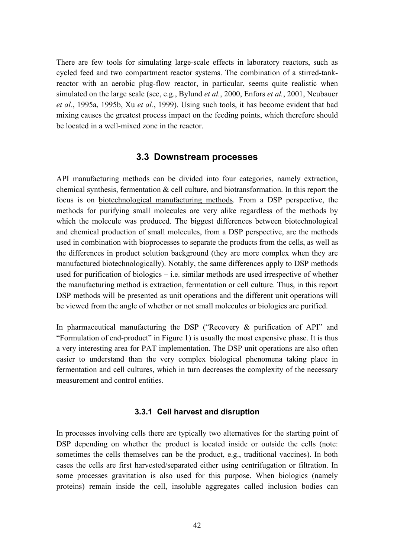There are few tools for simulating large-scale effects in laboratory reactors, such as cycled feed and two compartment reactor systems. The combination of a stirred-tankreactor with an aerobic plug-flow reactor, in particular, seems quite realistic when simulated on the large scale (see, e.g., Bylund *et al.*, 2000, Enfors *et al.*, 2001, Neubauer *et al.*, 1995a, 1995b, Xu *et al.*, 1999). Using such tools, it has become evident that bad mixing causes the greatest process impact on the feeding points, which therefore should be located in a well-mixed zone in the reactor.

#### **3.3 Downstream processes**

API manufacturing methods can be divided into four categories, namely extraction, chemical synthesis, fermentation & cell culture, and biotransformation. In this report the focus is on biotechnological manufacturing methods. From a DSP perspective, the methods for purifying small molecules are very alike regardless of the methods by which the molecule was produced. The biggest differences between biotechnological and chemical production of small molecules, from a DSP perspective, are the methods used in combination with bioprocesses to separate the products from the cells, as well as the differences in product solution background (they are more complex when they are manufactured biotechnologically). Notably, the same differences apply to DSP methods used for purification of biologics  $-$  i.e. similar methods are used irrespective of whether the manufacturing method is extraction, fermentation or cell culture. Thus, in this report DSP methods will be presented as unit operations and the different unit operations will be viewed from the angle of whether or not small molecules or biologics are purified.

In pharmaceutical manufacturing the DSP ( $\text{``Recovery } \& \text{ purification of API''}$  and ìFormulation of end-productî in Figure 1) is usually the most expensive phase. It is thus a very interesting area for PAT implementation. The DSP unit operations are also often easier to understand than the very complex biological phenomena taking place in fermentation and cell cultures, which in turn decreases the complexity of the necessary measurement and control entities.

#### **3.3.1 Cell harvest and disruption**

In processes involving cells there are typically two alternatives for the starting point of DSP depending on whether the product is located inside or outside the cells (note: sometimes the cells themselves can be the product, e.g., traditional vaccines). In both cases the cells are first harvested/separated either using centrifugation or filtration. In some processes gravitation is also used for this purpose. When biologics (namely proteins) remain inside the cell, insoluble aggregates called inclusion bodies can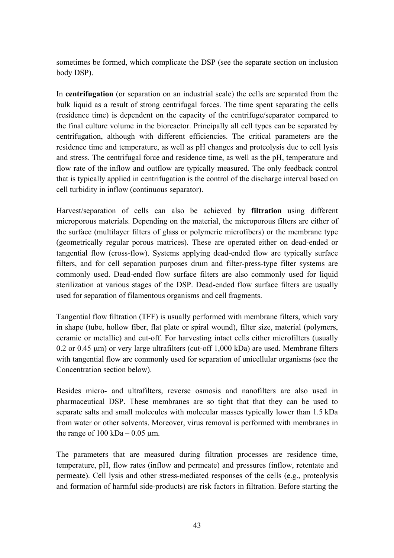sometimes be formed, which complicate the DSP (see the separate section on inclusion body DSP).

In **centrifugation** (or separation on an industrial scale) the cells are separated from the bulk liquid as a result of strong centrifugal forces. The time spent separating the cells (residence time) is dependent on the capacity of the centrifuge/separator compared to the final culture volume in the bioreactor. Principally all cell types can be separated by centrifugation, although with different efficiencies. The critical parameters are the residence time and temperature, as well as pH changes and proteolysis due to cell lysis and stress. The centrifugal force and residence time, as well as the pH, temperature and flow rate of the inflow and outflow are typically measured. The only feedback control that is typically applied in centrifugation is the control of the discharge interval based on cell turbidity in inflow (continuous separator).

Harvest/separation of cells can also be achieved by **filtration** using different microporous materials. Depending on the material, the microporous filters are either of the surface (multilayer filters of glass or polymeric microfibers) or the membrane type (geometrically regular porous matrices). These are operated either on dead-ended or tangential flow (cross-flow). Systems applying dead-ended flow are typically surface filters, and for cell separation purposes drum and filter-press-type filter systems are commonly used. Dead-ended flow surface filters are also commonly used for liquid sterilization at various stages of the DSP. Dead-ended flow surface filters are usually used for separation of filamentous organisms and cell fragments.

Tangential flow filtration (TFF) is usually performed with membrane filters, which vary in shape (tube, hollow fiber, flat plate or spiral wound), filter size, material (polymers, ceramic or metallic) and cut-off. For harvesting intact cells either microfilters (usually  $0.2$  or  $0.45 \mu m$ ) or very large ultrafilters (cut-off 1,000 kDa) are used. Membrane filters with tangential flow are commonly used for separation of unicellular organisms (see the Concentration section below).

Besides micro- and ultrafilters, reverse osmosis and nanofilters are also used in pharmaceutical DSP. These membranes are so tight that that they can be used to separate salts and small molecules with molecular masses typically lower than 1.5 kDa from water or other solvents. Moreover, virus removal is performed with membranes in the range of  $100 \text{ kDa} - 0.05 \text{ µm}$ .

The parameters that are measured during filtration processes are residence time, temperature, pH, flow rates (inflow and permeate) and pressures (inflow, retentate and permeate). Cell lysis and other stress-mediated responses of the cells (e.g., proteolysis and formation of harmful side-products) are risk factors in filtration. Before starting the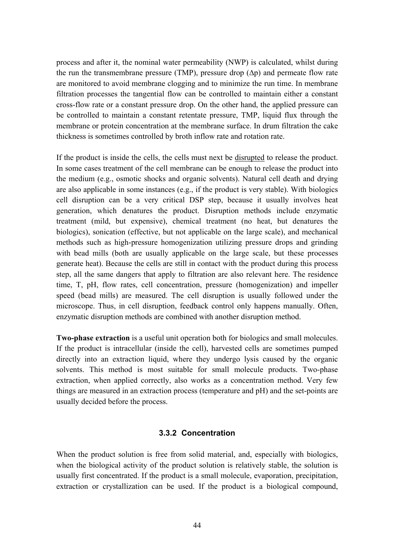process and after it, the nominal water permeability (NWP) is calculated, whilst during the run the transmembrane pressure (TMP), pressure drop  $(\Delta p)$  and permeate flow rate are monitored to avoid membrane clogging and to minimize the run time. In membrane filtration processes the tangential flow can be controlled to maintain either a constant cross-flow rate or a constant pressure drop. On the other hand, the applied pressure can be controlled to maintain a constant retentate pressure, TMP, liquid flux through the membrane or protein concentration at the membrane surface. In drum filtration the cake thickness is sometimes controlled by broth inflow rate and rotation rate.

If the product is inside the cells, the cells must next be disrupted to release the product. In some cases treatment of the cell membrane can be enough to release the product into the medium (e.g., osmotic shocks and organic solvents). Natural cell death and drying are also applicable in some instances (e.g., if the product is very stable). With biologics cell disruption can be a very critical DSP step, because it usually involves heat generation, which denatures the product. Disruption methods include enzymatic treatment (mild, but expensive), chemical treatment (no heat, but denatures the biologics), sonication (effective, but not applicable on the large scale), and mechanical methods such as high-pressure homogenization utilizing pressure drops and grinding with bead mills (both are usually applicable on the large scale, but these processes generate heat). Because the cells are still in contact with the product during this process step, all the same dangers that apply to filtration are also relevant here. The residence time, T, pH, flow rates, cell concentration, pressure (homogenization) and impeller speed (bead mills) are measured. The cell disruption is usually followed under the microscope. Thus, in cell disruption, feedback control only happens manually. Often, enzymatic disruption methods are combined with another disruption method.

**Two-phase extraction** is a useful unit operation both for biologics and small molecules. If the product is intracellular (inside the cell), harvested cells are sometimes pumped directly into an extraction liquid, where they undergo lysis caused by the organic solvents. This method is most suitable for small molecule products. Two-phase extraction, when applied correctly, also works as a concentration method. Very few things are measured in an extraction process (temperature and pH) and the set-points are usually decided before the process.

#### **3.3.2 Concentration**

When the product solution is free from solid material, and, especially with biologics, when the biological activity of the product solution is relatively stable, the solution is usually first concentrated. If the product is a small molecule, evaporation, precipitation, extraction or crystallization can be used. If the product is a biological compound,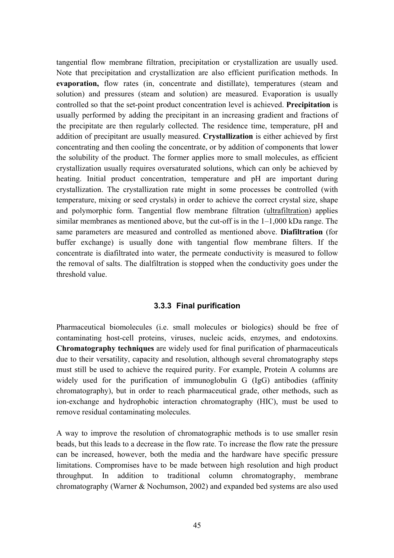tangential flow membrane filtration, precipitation or crystallization are usually used. Note that precipitation and crystallization are also efficient purification methods. In **evaporation,** flow rates (in, concentrate and distillate), temperatures (steam and solution) and pressures (steam and solution) are measured. Evaporation is usually controlled so that the set-point product concentration level is achieved. **Precipitation** is usually performed by adding the precipitant in an increasing gradient and fractions of the precipitate are then regularly collected. The residence time, temperature, pH and addition of precipitant are usually measured. **Crystallization** is either achieved by first concentrating and then cooling the concentrate, or by addition of components that lower the solubility of the product. The former applies more to small molecules, as efficient crystallization usually requires oversaturated solutions, which can only be achieved by heating. Initial product concentration, temperature and pH are important during crystallization. The crystallization rate might in some processes be controlled (with temperature, mixing or seed crystals) in order to achieve the correct crystal size, shape and polymorphic form. Tangential flow membrane filtration (ultrafiltration) applies similar membranes as mentioned above, but the cut-off is in the  $1-1,000$  kDa range. The same parameters are measured and controlled as mentioned above. **Diafiltration** (for buffer exchange) is usually done with tangential flow membrane filters. If the concentrate is diafiltrated into water, the permeate conductivity is measured to follow the removal of salts. The dialfiltration is stopped when the conductivity goes under the threshold value.

#### **3.3.3 Final purification**

Pharmaceutical biomolecules (i.e. small molecules or biologics) should be free of contaminating host-cell proteins, viruses, nucleic acids, enzymes, and endotoxins. **Chromatography techniques** are widely used for final purification of pharmaceuticals due to their versatility, capacity and resolution, although several chromatography steps must still be used to achieve the required purity. For example, Protein A columns are widely used for the purification of immunoglobulin G (IgG) antibodies (affinity chromatography), but in order to reach pharmaceutical grade, other methods, such as ion-exchange and hydrophobic interaction chromatography (HIC), must be used to remove residual contaminating molecules.

A way to improve the resolution of chromatographic methods is to use smaller resin beads, but this leads to a decrease in the flow rate. To increase the flow rate the pressure can be increased, however, both the media and the hardware have specific pressure limitations. Compromises have to be made between high resolution and high product throughput. In addition to traditional column chromatography, membrane chromatography (Warner & Nochumson, 2002) and expanded bed systems are also used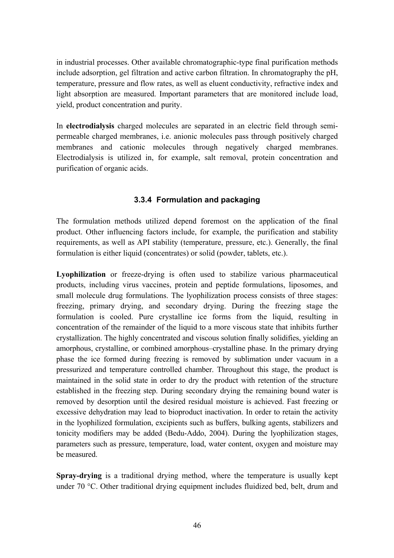in industrial processes. Other available chromatographic-type final purification methods include adsorption, gel filtration and active carbon filtration. In chromatography the pH, temperature, pressure and flow rates, as well as eluent conductivity, refractive index and light absorption are measured. Important parameters that are monitored include load, yield, product concentration and purity.

In **electrodialysis** charged molecules are separated in an electric field through semipermeable charged membranes, i.e. anionic molecules pass through positively charged membranes and cationic molecules through negatively charged membranes. Electrodialysis is utilized in, for example, salt removal, protein concentration and purification of organic acids.

# **3.3.4 Formulation and packaging**

The formulation methods utilized depend foremost on the application of the final product. Other influencing factors include, for example, the purification and stability requirements, as well as API stability (temperature, pressure, etc.). Generally, the final formulation is either liquid (concentrates) or solid (powder, tablets, etc.).

**Lyophilization** or freeze-drying is often used to stabilize various pharmaceutical products, including virus vaccines, protein and peptide formulations, liposomes, and small molecule drug formulations. The lyophilization process consists of three stages: freezing, primary drying, and secondary drying. During the freezing stage the formulation is cooled. Pure crystalline ice forms from the liquid, resulting in concentration of the remainder of the liquid to a more viscous state that inhibits further crystallization. The highly concentrated and viscous solution finally solidifies, yielding an amorphous, crystalline, or combined amorphous-crystalline phase. In the primary drying phase the ice formed during freezing is removed by sublimation under vacuum in a pressurized and temperature controlled chamber. Throughout this stage, the product is maintained in the solid state in order to dry the product with retention of the structure established in the freezing step. During secondary drying the remaining bound water is removed by desorption until the desired residual moisture is achieved. Fast freezing or excessive dehydration may lead to bioproduct inactivation. In order to retain the activity in the lyophilized formulation, excipients such as buffers, bulking agents, stabilizers and tonicity modifiers may be added (Bedu-Addo, 2004). During the lyophilization stages, parameters such as pressure, temperature, load, water content, oxygen and moisture may be measured.

**Spray-drying** is a traditional drying method, where the temperature is usually kept under 70 °C. Other traditional drying equipment includes fluidized bed, belt, drum and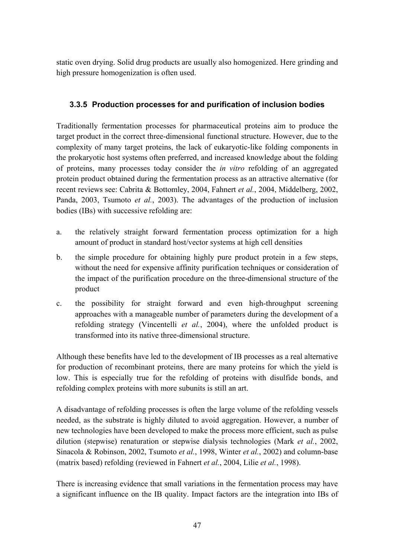static oven drying. Solid drug products are usually also homogenized. Here grinding and high pressure homogenization is often used.

# **3.3.5 Production processes for and purification of inclusion bodies**

Traditionally fermentation processes for pharmaceutical proteins aim to produce the target product in the correct three-dimensional functional structure. However, due to the complexity of many target proteins, the lack of eukaryotic-like folding components in the prokaryotic host systems often preferred, and increased knowledge about the folding of proteins, many processes today consider the *in vitro* refolding of an aggregated protein product obtained during the fermentation process as an attractive alternative (for recent reviews see: Cabrita & Bottomley, 2004, Fahnert *et al.*, 2004, Middelberg, 2002, Panda, 2003, Tsumoto *et al.*, 2003). The advantages of the production of inclusion bodies (IBs) with successive refolding are:

- a. the relatively straight forward fermentation process optimization for a high amount of product in standard host/vector systems at high cell densities
- b. the simple procedure for obtaining highly pure product protein in a few steps, without the need for expensive affinity purification techniques or consideration of the impact of the purification procedure on the three-dimensional structure of the product
- c. the possibility for straight forward and even high-throughput screening approaches with a manageable number of parameters during the development of a refolding strategy (Vincentelli *et al.*, 2004), where the unfolded product is transformed into its native three-dimensional structure.

Although these benefits have led to the development of IB processes as a real alternative for production of recombinant proteins, there are many proteins for which the yield is low. This is especially true for the refolding of proteins with disulfide bonds, and refolding complex proteins with more subunits is still an art.

A disadvantage of refolding processes is often the large volume of the refolding vessels needed, as the substrate is highly diluted to avoid aggregation. However, a number of new technologies have been developed to make the process more efficient, such as pulse dilution (stepwise) renaturation or stepwise dialysis technologies (Mark *et al.*, 2002, Sinacola & Robinson, 2002, Tsumoto *et al.*, 1998, Winter *et al.*, 2002) and column-base (matrix based) refolding (reviewed in Fahnert *et al.*, 2004, Lilie *et al.*, 1998).

There is increasing evidence that small variations in the fermentation process may have a significant influence on the IB quality. Impact factors are the integration into IBs of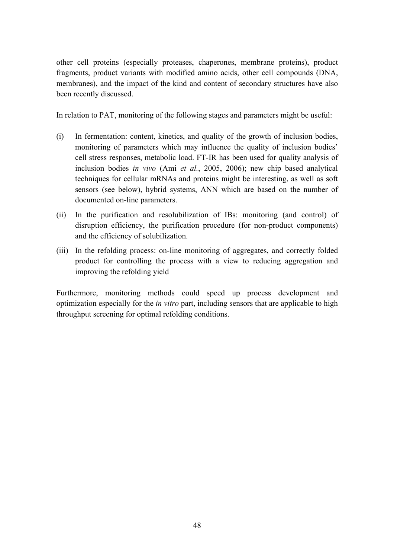other cell proteins (especially proteases, chaperones, membrane proteins), product fragments, product variants with modified amino acids, other cell compounds (DNA, membranes), and the impact of the kind and content of secondary structures have also been recently discussed.

In relation to PAT, monitoring of the following stages and parameters might be useful:

- (i) In fermentation: content, kinetics, and quality of the growth of inclusion bodies, monitoring of parameters which may influence the quality of inclusion bodies<sup>7</sup> cell stress responses, metabolic load. FT-IR has been used for quality analysis of inclusion bodies *in vivo* (Ami *et al.*, 2005, 2006); new chip based analytical techniques for cellular mRNAs and proteins might be interesting, as well as soft sensors (see below), hybrid systems, ANN which are based on the number of documented on-line parameters.
- (ii) In the purification and resolubilization of IBs: monitoring (and control) of disruption efficiency, the purification procedure (for non-product components) and the efficiency of solubilization.
- (iii) In the refolding process: on-line monitoring of aggregates, and correctly folded product for controlling the process with a view to reducing aggregation and improving the refolding yield

Furthermore, monitoring methods could speed up process development and optimization especially for the *in vitro* part, including sensors that are applicable to high throughput screening for optimal refolding conditions.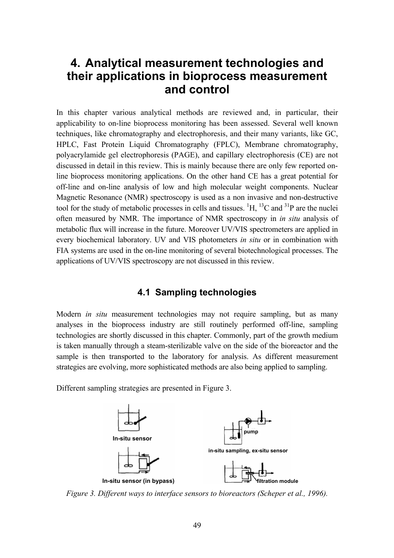# **4. Analytical measurement technologies and their applications in bioprocess measurement and control**

In this chapter various analytical methods are reviewed and, in particular, their applicability to on-line bioprocess monitoring has been assessed. Several well known techniques, like chromatography and electrophoresis, and their many variants, like GC, HPLC, Fast Protein Liquid Chromatography (FPLC), Membrane chromatography, polyacrylamide gel electrophoresis (PAGE), and capillary electrophoresis (CE) are not discussed in detail in this review. This is mainly because there are only few reported online bioprocess monitoring applications. On the other hand CE has a great potential for off-line and on-line analysis of low and high molecular weight components. Nuclear Magnetic Resonance (NMR) spectroscopy is used as a non invasive and non-destructive tool for the study of metabolic processes in cells and tissues.  ${}^{1}H, {}^{13}C$  and  ${}^{31}P$  are the nuclei often measured by NMR. The importance of NMR spectroscopy in *in situ* analysis of metabolic flux will increase in the future. Moreover UV/VIS spectrometers are applied in every biochemical laboratory. UV and VIS photometers *in situ* or in combination with FIA systems are used in the on-line monitoring of several biotechnological processes. The applications of UV/VIS spectroscopy are not discussed in this review.

## **4.1 Sampling technologies**

Modern *in situ* measurement technologies may not require sampling, but as many analyses in the bioprocess industry are still routinely performed off-line, sampling technologies are shortly discussed in this chapter. Commonly, part of the growth medium is taken manually through a steam-sterilizable valve on the side of the bioreactor and the sample is then transported to the laboratory for analysis. As different measurement strategies are evolving, more sophisticated methods are also being applied to sampling.

Different sampling strategies are presented in Figure 3.



*Figure 3. Different ways to interface sensors to bioreactors (Scheper et al., 1996).*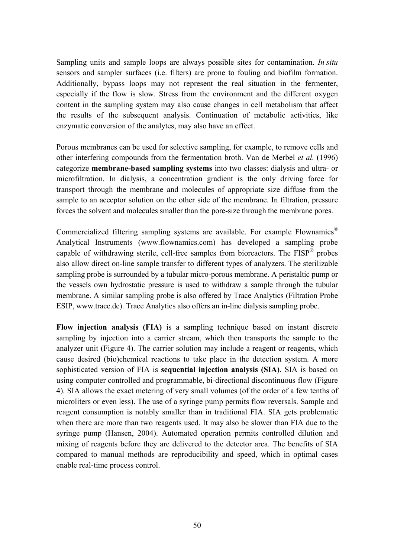Sampling units and sample loops are always possible sites for contamination. *In situ* sensors and sampler surfaces (i.e. filters) are prone to fouling and biofilm formation. Additionally, bypass loops may not represent the real situation in the fermenter, especially if the flow is slow. Stress from the environment and the different oxygen content in the sampling system may also cause changes in cell metabolism that affect the results of the subsequent analysis. Continuation of metabolic activities, like enzymatic conversion of the analytes, may also have an effect.

Porous membranes can be used for selective sampling, for example, to remove cells and other interfering compounds from the fermentation broth. Van de Merbel *et al.* (1996) categorize **membrane-based sampling systems** into two classes: dialysis and ultra- or microfiltration. In dialysis, a concentration gradient is the only driving force for transport through the membrane and molecules of appropriate size diffuse from the sample to an acceptor solution on the other side of the membrane. In filtration, pressure forces the solvent and molecules smaller than the pore-size through the membrane pores.

Commercialized filtering sampling systems are available. For example Flownamics<sup>®</sup> Analytical Instruments (www.flownamics.com) has developed a sampling probe capable of withdrawing sterile, cell-free samples from bioreactors. The  $FISP^{\circledast}$  probes also allow direct on-line sample transfer to different types of analyzers. The sterilizable sampling probe is surrounded by a tubular micro-porous membrane. A peristaltic pump or the vessels own hydrostatic pressure is used to withdraw a sample through the tubular membrane. A similar sampling probe is also offered by Trace Analytics (Filtration Probe ESIP, www.trace.de). Trace Analytics also offers an in-line dialysis sampling probe.

**Flow injection analysis (FIA)** is a sampling technique based on instant discrete sampling by injection into a carrier stream, which then transports the sample to the analyzer unit (Figure 4). The carrier solution may include a reagent or reagents, which cause desired (bio)chemical reactions to take place in the detection system. A more sophisticated version of FIA is **sequential injection analysis (SIA)**. SIA is based on using computer controlled and programmable, bi-directional discontinuous flow (Figure 4). SIA allows the exact metering of very small volumes (of the order of a few tenths of microliters or even less). The use of a syringe pump permits flow reversals. Sample and reagent consumption is notably smaller than in traditional FIA. SIA gets problematic when there are more than two reagents used. It may also be slower than FIA due to the syringe pump (Hansen, 2004). Automated operation permits controlled dilution and mixing of reagents before they are delivered to the detector area. The benefits of SIA compared to manual methods are reproducibility and speed, which in optimal cases enable real-time process control.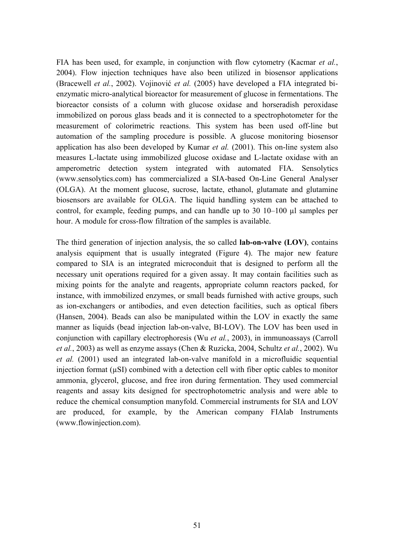FIA has been used, for example, in conjunction with flow cytometry (Kacmar *et al.*, 2004). Flow injection techniques have also been utilized in biosensor applications (Bracewell *et al.*, 2002). Vojinović *et al.* (2005) have developed a FIA integrated bienzymatic micro-analytical bioreactor for measurement of glucose in fermentations. The bioreactor consists of a column with glucose oxidase and horseradish peroxidase immobilized on porous glass beads and it is connected to a spectrophotometer for the measurement of colorimetric reactions. This system has been used off-line but automation of the sampling procedure is possible. A glucose monitoring biosensor application has also been developed by Kumar *et al.* (2001). This on-line system also measures L-lactate using immobilized glucose oxidase and L-lactate oxidase with an amperometric detection system integrated with automated FIA. Sensolytics (www.sensolytics.com) has commercialized a SIA-based On-Line General Analyser (OLGA). At the moment glucose, sucrose, lactate, ethanol, glutamate and glutamine biosensors are available for OLGA. The liquid handling system can be attached to control, for example, feeding pumps, and can handle up to  $30\ 10-100$   $\mu$ l samples per hour. A module for cross-flow filtration of the samples is available.

The third generation of injection analysis, the so called **lab-on-valve (LOV)**, contains analysis equipment that is usually integrated (Figure 4). The major new feature compared to SIA is an integrated microconduit that is designed to perform all the necessary unit operations required for a given assay. It may contain facilities such as mixing points for the analyte and reagents, appropriate column reactors packed, for instance, with immobilized enzymes, or small beads furnished with active groups, such as ion-exchangers or antibodies, and even detection facilities, such as optical fibers (Hansen, 2004). Beads can also be manipulated within the LOV in exactly the same manner as liquids (bead injection lab-on-valve, BI-LOV). The LOV has been used in conjunction with capillary electrophoresis (Wu *et al.*, 2003), in immunoassays (Carroll *et al.*, 2003) as well as enzyme assays (Chen & Ruzicka, 2004, Schultz *et al.*, 2002). Wu *et al.* (2001) used an integrated lab-on-valve manifold in a microfluidic sequential injection format (µSI) combined with a detection cell with fiber optic cables to monitor ammonia, glycerol, glucose, and free iron during fermentation. They used commercial reagents and assay kits designed for spectrophotometric analysis and were able to reduce the chemical consumption manyfold. Commercial instruments for SIA and LOV are produced, for example, by the American company FIAlab Instruments (www.flowinjection.com).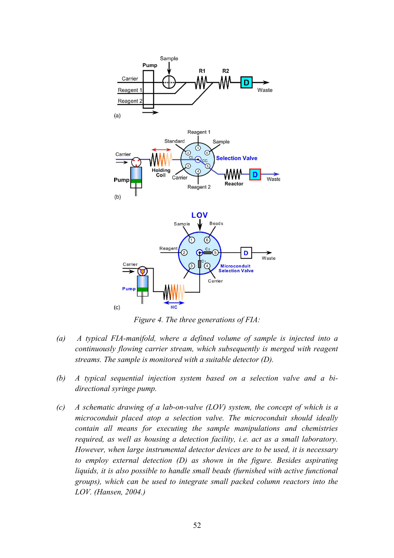

*Figure 4. The three generations of FIA:* 

- *(a) A typical FIA-manifold, where a defined volume of sample is injected into a continuously flowing carrier stream, which subsequently is merged with reagent streams. The sample is monitored with a suitable detector (D).*
- *(b) A typical sequential injection system based on a selection valve and a bidirectional syringe pump.*
- *(c) A schematic drawing of a lab-on-valve (LOV) system, the concept of which is a microconduit placed atop a selection valve. The microconduit should ideally contain all means for executing the sample manipulations and chemistries required, as well as housing a detection facility, i.e. act as a small laboratory. However, when large instrumental detector devices are to be used, it is necessary to employ external detection (D) as shown in the figure. Besides aspirating liquids, it is also possible to handle small beads (furnished with active functional groups), which can be used to integrate small packed column reactors into the LOV. (Hansen, 2004.)*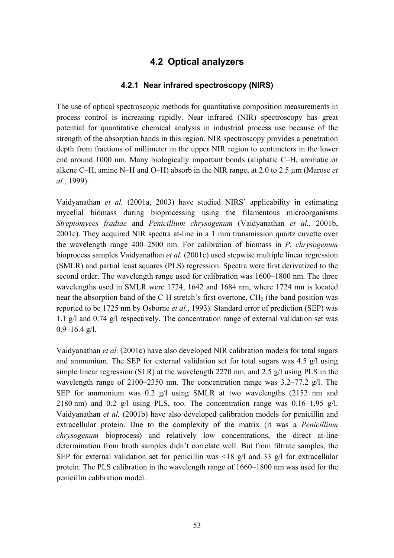# **4.2 Optical analyzers**

#### **4.2.1 Near infrared spectroscopy (NIRS)**

The use of optical spectroscopic methods for quantitative composition measurements in process control is increasing rapidly. Near infrared (NIR) spectroscopy has great potential for quantitative chemical analysis in industrial process use because of the strength of the absorption bands in this region. NIR spectroscopy provides a penetration depth from fractions of millimeter in the upper NIR region to centimeters in the lower end around 1000 nm. Many biologically important bonds (aliphatic C-H, aromatic or alkene C–H, amine N–H and O–H) absorb in the NIR range, at 2.0 to 2.5  $\mu$ m (Marose *et al.*, 1999).

Vaidyanathan *et al.* (2001a, 2003) have studied NIRS' applicability in estimating mycelial biomass during bioprocessing using the filamentous microorganisms *Streptomyces fradiae* and *Penicillium chrysogenum* (Vaidyanathan *et al.*, 2001b, 2001c). They acquired NIR spectra at-line in a 1 mm transmission quartz cuvette over the wavelength range  $400-2500$  nm. For calibration of biomass in *P. chrysogenum* bioprocess samples Vaidyanathan *et al.* (2001c) used stepwise multiple linear regression (SMLR) and partial least squares (PLS) regression. Spectra were first derivatized to the second order. The wavelength range used for calibration was 1600–1800 nm. The three wavelengths used in SMLR were 1724, 1642 and 1684 nm, where 1724 nm is located near the absorption band of the C-H stretch's first overtone,  $CH<sub>2</sub>$  (the band position was reported to be 1725 nm by Osborne *et al.*, 1993). Standard error of prediction (SEP) was 1.1 g/l and 0.74 g/l respectively. The concentration range of external validation set was  $0.9 - 16.4$  g/l.

Vaidyanathan *et al.* (2001c) have also developed NIR calibration models for total sugars and ammonium. The SEP for external validation set for total sugars was 4.5 g/l using simple linear regression (SLR) at the wavelength 2270 nm, and 2.5 g/l using PLS in the wavelength range of 2100–2350 nm. The concentration range was  $3.2-77.2$  g/l. The SEP for ammonium was 0.2 g/l using SMLR at two wavelengths (2152 nm and 2180 nm) and 0.2 g/l using PLS, too. The concentration range was  $0.16-1.95$  g/l. Vaidyanathan *et al.* (2001b) have also developed calibration models for penicillin and extracellular protein. Due to the complexity of the matrix (it was a *Penicillium chrysogenum* bioprocess) and relatively low concentrations, the direct at-line determination from broth samples didn't correlate well. But from filtrate samples, the SEP for external validation set for penicillin was  $\leq 18$  g/l and 33 g/l for extracellular protein. The PLS calibration in the wavelength range of  $1660-1800$  nm was used for the penicillin calibration model.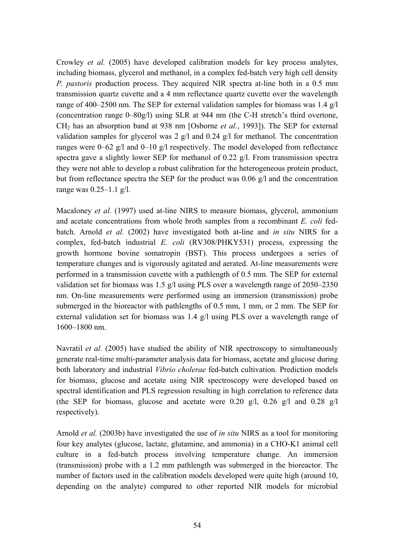Crowley *et al.* (2005) have developed calibration models for key process analytes, including biomass, glycerol and methanol, in a complex fed-batch very high cell density *P. pastoris* production process. They acquired NIR spectra at-line both in a 0.5 mm transmission quartz cuvette and a 4 mm reflectance quartz cuvette over the wavelength range of 400–2500 nm. The SEP for external validation samples for biomass was  $1.4$  g/l (concentration range  $0-80g/l$ ) using SLR at 944 nm (the C-H stretch's third overtone, CH2 has an absorption band at 938 nm [Osborne *et al.*, 1993]). The SEP for external validation samples for glycerol was 2 g/l and 0.24 g/l for methanol. The concentration ranges were  $0-62$  g/l and  $0-10$  g/l respectively. The model developed from reflectance spectra gave a slightly lower SEP for methanol of 0.22 g/l. From transmission spectra they were not able to develop a robust calibration for the heterogeneous protein product, but from reflectance spectra the SEP for the product was 0.06 g/l and the concentration range was  $0.25-1.1$  g/l.

Macaloney *et al.* (1997) used at-line NIRS to measure biomass, glycerol, ammonium and acetate concentrations from whole broth samples from a recombinant *E. coli* fedbatch. Arnold *et al.* (2002) have investigated both at-line and *in situ* NIRS for a complex, fed-batch industrial *E. coli* (RV308/PHKY531) process, expressing the growth hormone bovine somatropin (BST). This process undergoes a series of temperature changes and is vigorously agitated and aerated. At-line measurements were performed in a transmission cuvette with a pathlength of 0.5 mm. The SEP for external validation set for biomass was 1.5 g/l using PLS over a wavelength range of  $2050-2350$ nm. On-line measurements were performed using an immersion (transmission) probe submerged in the bioreactor with pathlengths of 0.5 mm, 1 mm, or 2 mm. The SEP for external validation set for biomass was 1.4 g/l using PLS over a wavelength range of  $1600 - 1800$  nm.

Navratil *et al.* (2005) have studied the ability of NIR spectroscopy to simultaneously generate real-time multi-parameter analysis data for biomass, acetate and glucose during both laboratory and industrial *Vibrio cholerae* fed-batch cultivation. Prediction models for biomass, glucose and acetate using NIR spectroscopy were developed based on spectral identification and PLS regression resulting in high correlation to reference data (the SEP for biomass, glucose and acetate were 0.20 g/l, 0.26 g/l and 0.28 g/l respectively).

Arnold *et al.* (2003b) have investigated the use of *in situ* NIRS as a tool for monitoring four key analytes (glucose, lactate, glutamine, and ammonia) in a CHO-K1 animal cell culture in a fed-batch process involving temperature change. An immersion (transmission) probe with a 1.2 mm pathlength was submerged in the bioreactor. The number of factors used in the calibration models developed were quite high (around 10, depending on the analyte) compared to other reported NIR models for microbial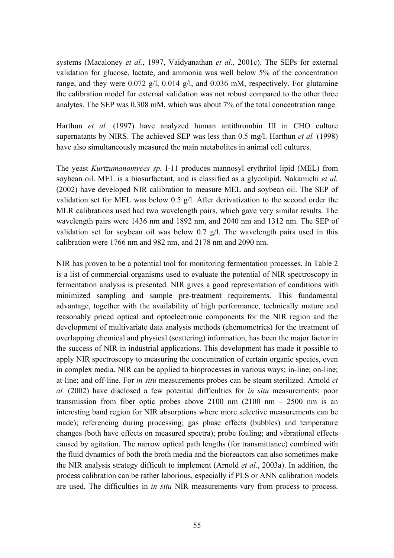systems (Macaloney *et al.*, 1997, Vaidyanathan *et al.*, 2001c). The SEPs for external validation for glucose, lactate, and ammonia was well below 5% of the concentration range, and they were 0.072 g/l, 0.014 g/l, and 0.036 mM, respectively. For glutamine the calibration model for external validation was not robust compared to the other three analytes. The SEP was 0.308 mM, which was about 7% of the total concentration range.

Harthun *et al.* (1997) have analyzed human antithrombin III in CHO culture supernatants by NIRS. The achieved SEP was less than 0.5 mg/l. Harthun *et al.* (1998) have also simultaneously measured the main metabolites in animal cell cultures.

The yeast *Kurtzumanomyces sp.* I-11 produces mannosyl erythritol lipid (MEL) from soybean oil. MEL is a biosurfactant, and is classified as a glycolipid. Nakamichi *et al.* (2002) have developed NIR calibration to measure MEL and soybean oil. The SEP of validation set for MEL was below 0.5 g/l. After derivatization to the second order the MLR calibrations used had two wavelength pairs, which gave very similar results. The wavelength pairs were 1436 nm and 1892 nm, and 2040 nm and 1312 nm. The SEP of validation set for soybean oil was below  $0.7 \text{ g/l}$ . The wavelength pairs used in this calibration were 1766 nm and 982 nm, and 2178 nm and 2090 nm.

NIR has proven to be a potential tool for monitoring fermentation processes. In Table 2 is a list of commercial organisms used to evaluate the potential of NIR spectroscopy in fermentation analysis is presented. NIR gives a good representation of conditions with minimized sampling and sample pre-treatment requirements. This fundamental advantage, together with the availability of high performance, technically mature and reasonably priced optical and optoelectronic components for the NIR region and the development of multivariate data analysis methods (chemometrics) for the treatment of overlapping chemical and physical (scattering) information, has been the major factor in the success of NIR in industrial applications. This development has made it possible to apply NIR spectroscopy to measuring the concentration of certain organic species, even in complex media. NIR can be applied to bioprocesses in various ways; in-line; on-line; at-line; and off-line. For *in situ* measurements probes can be steam sterilized. Arnold *et al.* (2002) have disclosed a few potential difficulties for *in situ* measurements; poor transmission from fiber optic probes above  $2100 \text{ nm}$  ( $2100 \text{ nm}$  –  $2500 \text{ nm}$  is an interesting band region for NIR absorptions where more selective measurements can be made); referencing during processing; gas phase effects (bubbles) and temperature changes (both have effects on measured spectra); probe fouling; and vibrational effects caused by agitation. The narrow optical path lengths (for transmittance) combined with the fluid dynamics of both the broth media and the bioreactors can also sometimes make the NIR analysis strategy difficult to implement (Arnold *et al.*, 2003a). In addition, the process calibration can be rather laborious, especially if PLS or ANN calibration models are used. The difficulties in *in situ* NIR measurements vary from process to process.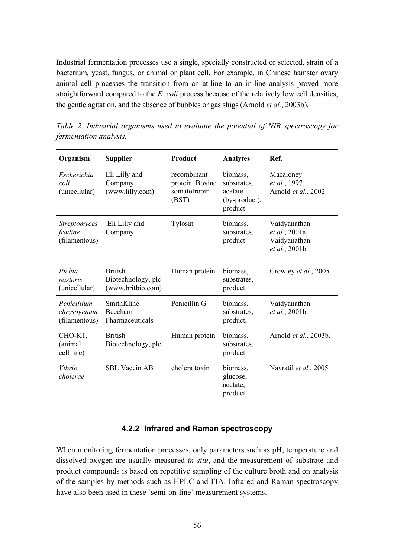Industrial fermentation processes use a single, specially constructed or selected, strain of a bacterium, yeast, fungus, or animal or plant cell. For example, in Chinese hamster ovary animal cell processes the transition from an at-line to an in-line analysis proved more straightforward compared to the *E. coli* process because of the relatively low cell densities, the gentle agitation, and the absence of bubbles or gas slugs (Arnold *et al.*, 2003b).

| Organism                                        | <b>Supplier</b>                                           | Product                                                 | <b>Analytes</b>                                                | Ref.                                                            |
|-------------------------------------------------|-----------------------------------------------------------|---------------------------------------------------------|----------------------------------------------------------------|-----------------------------------------------------------------|
| Escherichia<br>coli<br>(unicellular)            | Eli Lilly and<br>Company<br>(www.lilly.com)               | recombinant<br>protein, Bovine<br>somatotropin<br>(BST) | biomass,<br>substrates,<br>acetate<br>(by-product),<br>product | Macaloney<br>et al., 1997,<br>Arnold et al., 2002               |
| <b>Streptomyces</b><br>fradiae<br>(filamentous) | Eli Lilly and<br>Company                                  | Tylosin                                                 | biomass,<br>substrates,<br>product                             | Vaidyanathan<br>et al., 2001a,<br>Vaidyanathan<br>et al., 2001b |
| Pichia<br>pastoris<br>(unicellular)             | <b>British</b><br>Biotechnology, plc<br>(www.britbio.com) | Human protein                                           | biomass,<br>substrates,<br>product                             | Crowley et al., 2005                                            |
| Penicillium<br>chrysogenum<br>(filamentous)     | SmithKline<br>Beecham<br>Pharmaceuticals                  | Penicillin G                                            | biomass,<br>substrates,<br>product,                            | Vaidyanathan<br>et al., 2001b                                   |
| CHO-K <sub>1</sub><br>(animal<br>cell line)     | <b>British</b><br>Biotechnology, plc                      | Human protein                                           | biomass,<br>substrates,<br>product                             | Arnold <i>et al.</i> , 2003b,                                   |
| Vibrio<br>cholerae                              | <b>SBL Vaccin AB</b>                                      | cholera toxin                                           | biomass,<br>glucose,<br>acetate,<br>product                    | Navratil et al., 2005                                           |

*Table 2. Industrial organisms used to evaluate the potential of NIR spectroscopy for fermentation analysis.* 

## **4.2.2 Infrared and Raman spectroscopy**

When monitoring fermentation processes, only parameters such as pH, temperature and dissolved oxygen are usually measured *in situ*, and the measurement of substrate and product compounds is based on repetitive sampling of the culture broth and on analysis of the samples by methods such as HPLC and FIA. Infrared and Raman spectroscopy have also been used in these 'semi-on-line' measurement systems.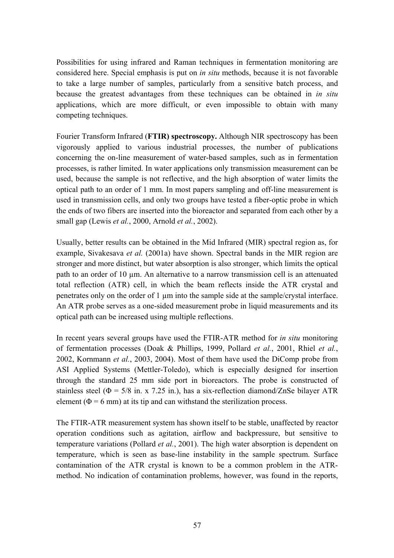Possibilities for using infrared and Raman techniques in fermentation monitoring are considered here. Special emphasis is put on *in situ* methods, because it is not favorable to take a large number of samples, particularly from a sensitive batch process, and because the greatest advantages from these techniques can be obtained in *in situ* applications, which are more difficult, or even impossible to obtain with many competing techniques.

Fourier Transform Infrared (**FTIR) spectroscopy.** Although NIR spectroscopy has been vigorously applied to various industrial processes, the number of publications concerning the on-line measurement of water-based samples, such as in fermentation processes, is rather limited. In water applications only transmission measurement can be used, because the sample is not reflective, and the high absorption of water limits the optical path to an order of 1 mm. In most papers sampling and off-line measurement is used in transmission cells, and only two groups have tested a fiber-optic probe in which the ends of two fibers are inserted into the bioreactor and separated from each other by a small gap (Lewis *et al.*, 2000, Arnold *et al.*, 2002).

Usually, better results can be obtained in the Mid Infrared (MIR) spectral region as, for example, Sivakesava *et al.* (2001a) have shown. Spectral bands in the MIR region are stronger and more distinct, but water absorption is also stronger, which limits the optical path to an order of 10 µm. An alternative to a narrow transmission cell is an attenuated total reflection (ATR) cell, in which the beam reflects inside the ATR crystal and penetrates only on the order of 1 µm into the sample side at the sample/crystal interface. An ATR probe serves as a one-sided measurement probe in liquid measurements and its optical path can be increased using multiple reflections.

In recent years several groups have used the FTIR-ATR method for *in situ* monitoring of fermentation processes (Doak & Phillips, 1999, Pollard *et al.*, 2001, Rhiel *et al.*, 2002, Kornmann *et al.*, 2003, 2004). Most of them have used the DiComp probe from ASI Applied Systems (Mettler-Toledo), which is especially designed for insertion through the standard 25 mm side port in bioreactors. The probe is constructed of stainless steel ( $\Phi$  = 5/8 in. x 7.25 in.), has a six-reflection diamond/ZnSe bilayer ATR element ( $\Phi$  = 6 mm) at its tip and can withstand the sterilization process.

The FTIR-ATR measurement system has shown itself to be stable, unaffected by reactor operation conditions such as agitation, airflow and backpressure, but sensitive to temperature variations (Pollard *et al.*, 2001). The high water absorption is dependent on temperature, which is seen as base-line instability in the sample spectrum. Surface contamination of the ATR crystal is known to be a common problem in the ATRmethod. No indication of contamination problems, however, was found in the reports,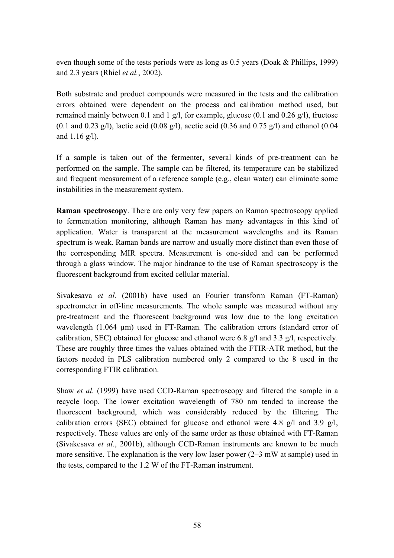even though some of the tests periods were as long as 0.5 years (Doak & Phillips, 1999) and 2.3 years (Rhiel *et al.*, 2002).

Both substrate and product compounds were measured in the tests and the calibration errors obtained were dependent on the process and calibration method used, but remained mainly between 0.1 and 1 g/l, for example, glucose (0.1 and 0.26 g/l), fructose  $(0.1$  and  $(0.23 \text{ g/l})$ , lactic acid  $(0.08 \text{ g/l})$ , acetic acid  $(0.36 \text{ and } 0.75 \text{ g/l})$  and ethanol  $(0.04 \text{ g/l})$ and  $1.16 \frac{g}{l}$ .

If a sample is taken out of the fermenter, several kinds of pre-treatment can be performed on the sample. The sample can be filtered, its temperature can be stabilized and frequent measurement of a reference sample (e.g., clean water) can eliminate some instabilities in the measurement system.

**Raman spectroscopy**. There are only very few papers on Raman spectroscopy applied to fermentation monitoring, although Raman has many advantages in this kind of application. Water is transparent at the measurement wavelengths and its Raman spectrum is weak. Raman bands are narrow and usually more distinct than even those of the corresponding MIR spectra. Measurement is one-sided and can be performed through a glass window. The major hindrance to the use of Raman spectroscopy is the fluorescent background from excited cellular material.

Sivakesava *et al.* (2001b) have used an Fourier transform Raman (FT-Raman) spectrometer in off-line measurements. The whole sample was measured without any pre-treatment and the fluorescent background was low due to the long excitation wavelength (1.064 µm) used in FT-Raman. The calibration errors (standard error of calibration, SEC) obtained for glucose and ethanol were 6.8 g/l and 3.3 g/l, respectively. These are roughly three times the values obtained with the FTIR-ATR method, but the factors needed in PLS calibration numbered only 2 compared to the 8 used in the corresponding FTIR calibration.

Shaw *et al.* (1999) have used CCD-Raman spectroscopy and filtered the sample in a recycle loop. The lower excitation wavelength of 780 nm tended to increase the fluorescent background, which was considerably reduced by the filtering. The calibration errors (SEC) obtained for glucose and ethanol were 4.8 g/l and 3.9 g/l, respectively. These values are only of the same order as those obtained with FT-Raman (Sivakesava *et al.*, 2001b), although CCD-Raman instruments are known to be much more sensitive. The explanation is the very low laser power  $(2-3 \text{ mW at sample})$  used in the tests, compared to the 1.2 W of the FT-Raman instrument.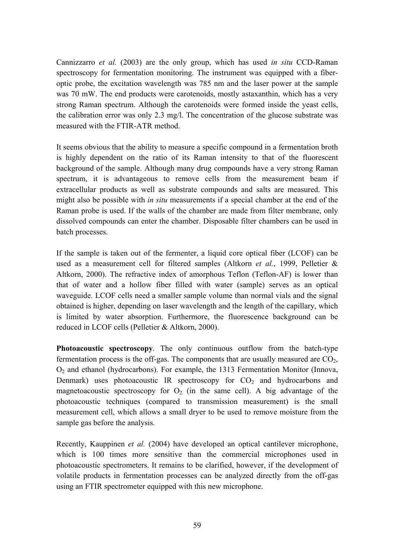Cannizzarro *et al.* (2003) are the only group, which has used *in situ* CCD-Raman spectroscopy for fermentation monitoring. The instrument was equipped with a fiberoptic probe, the excitation wavelength was 785 nm and the laser power at the sample was 70 mW. The end products were carotenoids, mostly astaxanthin, which has a very strong Raman spectrum. Although the carotenoids were formed inside the yeast cells, the calibration error was only 2.3 mg/l. The concentration of the glucose substrate was measured with the FTIR-ATR method.

It seems obvious that the ability to measure a specific compound in a fermentation broth is highly dependent on the ratio of its Raman intensity to that of the fluorescent background of the sample. Although many drug compounds have a very strong Raman spectrum, it is advantageous to remove cells from the measurement beam if extracellular products as well as substrate compounds and salts are measured. This might also be possible with *in situ* measurements if a special chamber at the end of the Raman probe is used. If the walls of the chamber are made from filter membrane, only dissolved compounds can enter the chamber. Disposable filter chambers can be used in batch processes.

If the sample is taken out of the fermenter, a liquid core optical fiber (LCOF) can be used as a measurement cell for filtered samples (Altkorn *et al.*, 1999, Pelletier & Altkorn, 2000). The refractive index of amorphous Teflon (Teflon-AF) is lower than that of water and a hollow fiber filled with water (sample) serves as an optical waveguide. LCOF cells need a smaller sample volume than normal vials and the signal obtained is higher, depending on laser wavelength and the length of the capillary, which is limited by water absorption. Furthermore, the fluorescence background can be reduced in LCOF cells (Pelletier & Altkorn, 2000).

**Photoacoustic spectroscopy**. The only continuous outflow from the batch-type fermentation process is the off-gas. The components that are usually measured are  $CO<sub>2</sub>$ , O2 and ethanol (hydrocarbons). For example, the 1313 Fermentation Monitor (Innova, Denmark) uses photoacoustic IR spectroscopy for  $CO<sub>2</sub>$  and hydrocarbons and magnetoacoustic spectroscopy for  $O_2$  (in the same cell). A big advantage of the photoacoustic techniques (compared to transmission measurement) is the small measurement cell, which allows a small dryer to be used to remove moisture from the sample gas before the analysis.

Recently, Kauppinen *et al.* (2004) have developed an optical cantilever microphone, which is 100 times more sensitive than the commercial microphones used in photoacoustic spectrometers. It remains to be clarified, however, if the development of volatile products in fermentation processes can be analyzed directly from the off-gas using an FTIR spectrometer equipped with this new microphone.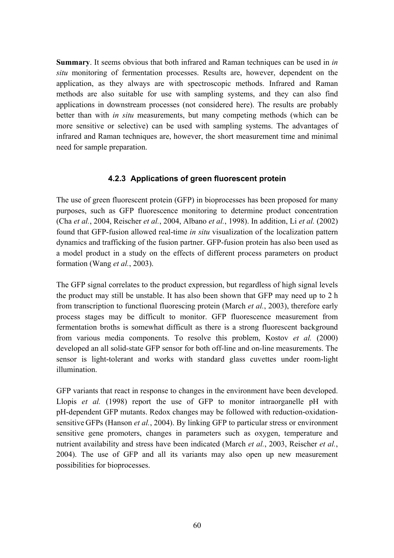**Summary**. It seems obvious that both infrared and Raman techniques can be used in *in situ* monitoring of fermentation processes. Results are, however, dependent on the application, as they always are with spectroscopic methods. Infrared and Raman methods are also suitable for use with sampling systems, and they can also find applications in downstream processes (not considered here). The results are probably better than with *in situ* measurements, but many competing methods (which can be more sensitive or selective) can be used with sampling systems. The advantages of infrared and Raman techniques are, however, the short measurement time and minimal need for sample preparation.

#### **4.2.3 Applications of green fluorescent protein**

The use of green fluorescent protein (GFP) in bioprocesses has been proposed for many purposes, such as GFP fluorescence monitoring to determine product concentration (Cha *et al.*, 2004, Reischer *et al.*, 2004, Albano *et al.*, 1998). In addition, Li *et al.* (2002) found that GFP-fusion allowed real-time *in situ* visualization of the localization pattern dynamics and trafficking of the fusion partner. GFP-fusion protein has also been used as a model product in a study on the effects of different process parameters on product formation (Wang *et al.*, 2003).

The GFP signal correlates to the product expression, but regardless of high signal levels the product may still be unstable. It has also been shown that GFP may need up to 2 h from transcription to functional fluorescing protein (March *et al.*, 2003), therefore early process stages may be difficult to monitor. GFP fluorescence measurement from fermentation broths is somewhat difficult as there is a strong fluorescent background from various media components. To resolve this problem, Kostov *et al.* (2000) developed an all solid-state GFP sensor for both off-line and on-line measurements. The sensor is light-tolerant and works with standard glass cuvettes under room-light illumination.

GFP variants that react in response to changes in the environment have been developed. Llopis *et al.* (1998) report the use of GFP to monitor intraorganelle pH with pH-dependent GFP mutants. Redox changes may be followed with reduction-oxidationsensitive GFPs (Hanson *et al.*, 2004). By linking GFP to particular stress or environment sensitive gene promoters, changes in parameters such as oxygen, temperature and nutrient availability and stress have been indicated (March *et al.*, 2003, Reischer *et al.*, 2004). The use of GFP and all its variants may also open up new measurement possibilities for bioprocesses.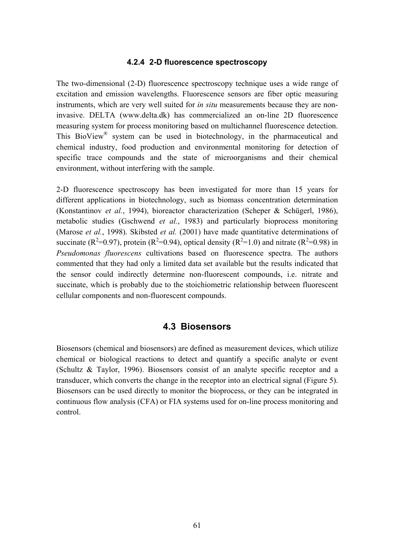#### **4.2.4 2-D fluorescence spectroscopy**

The two-dimensional (2-D) fluorescence spectroscopy technique uses a wide range of excitation and emission wavelengths. Fluorescence sensors are fiber optic measuring instruments, which are very well suited for *in situ* measurements because they are noninvasive. DELTA (www.delta.dk) has commercialized an on-line 2D fluorescence measuring system for process monitoring based on multichannel fluorescence detection. This BioView<sup>®</sup> system can be used in biotechnology, in the pharmaceutical and chemical industry, food production and environmental monitoring for detection of specific trace compounds and the state of microorganisms and their chemical environment, without interfering with the sample.

2-D fluorescence spectroscopy has been investigated for more than 15 years for different applications in biotechnology, such as biomass concentration determination (Konstantinov *et al.*, 1994), bioreactor characterization (Scheper & Schügerl, 1986), metabolic studies (Gschwend *et al.*, 1983) and particularly bioprocess monitoring (Marose *et al.*, 1998). Skibsted *et al.* (2001) have made quantitative determinations of succinate ( $R^2$ =0.97), protein ( $R^2$ =0.94), optical density ( $R^2$ =1.0) and nitrate ( $R^2$ =0.98) in *Pseudomonas fluorescens* cultivations based on fluorescence spectra. The authors commented that they had only a limited data set available but the results indicated that the sensor could indirectly determine non-fluorescent compounds, i.e. nitrate and succinate, which is probably due to the stoichiometric relationship between fluorescent cellular components and non-fluorescent compounds.

#### **4.3 Biosensors**

Biosensors (chemical and biosensors) are defined as measurement devices, which utilize chemical or biological reactions to detect and quantify a specific analyte or event (Schultz & Taylor, 1996). Biosensors consist of an analyte specific receptor and a transducer, which converts the change in the receptor into an electrical signal (Figure 5). Biosensors can be used directly to monitor the bioprocess, or they can be integrated in continuous flow analysis (CFA) or FIA systems used for on-line process monitoring and control.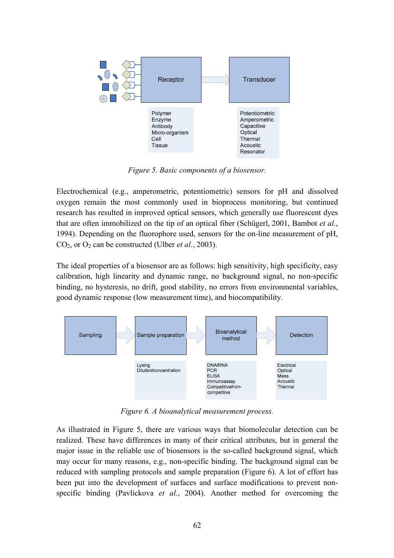

*Figure 5. Basic components of a biosensor.* 

Electrochemical (e.g., amperometric, potentiometric) sensors for pH and dissolved oxygen remain the most commonly used in bioprocess monitoring, but continued research has resulted in improved optical sensors, which generally use fluorescent dyes that are often immobilized on the tip of an optical fiber (Schügerl, 2001, Bambot *et al.*, 1994). Depending on the fluorophore used, sensors for the on-line measurement of pH,  $CO<sub>2</sub>$ , or  $O<sub>2</sub>$  can be constructed (Ulber *et al.*, 2003).

The ideal properties of a biosensor are as follows: high sensitivity, high specificity, easy calibration, high linearity and dynamic range, no background signal, no non-specific binding, no hysteresis, no drift, good stability, no errors from environmental variables, good dynamic response (low measurement time), and biocompatibility.



*Figure 6. A bioanalytical measurement process.* 

As illustrated in Figure 5, there are various ways that biomolecular detection can be realized. These have differences in many of their critical attributes, but in general the major issue in the reliable use of biosensors is the so-called background signal, which may occur for many reasons, e.g., non-specific binding. The background signal can be reduced with sampling protocols and sample preparation (Figure 6). A lot of effort has been put into the development of surfaces and surface modifications to prevent nonspecific binding (Pavlickova *et al.*, 2004). Another method for overcoming the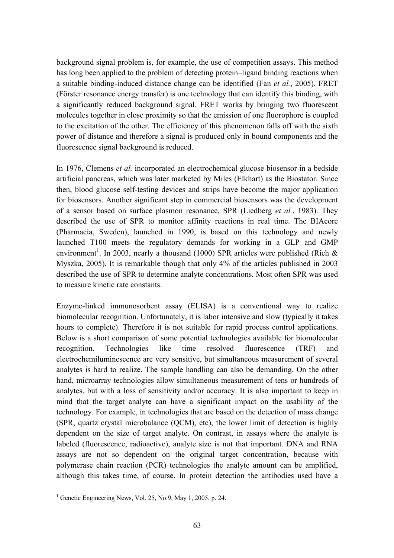background signal problem is, for example, the use of competition assays. This method has long been applied to the problem of detecting protein–ligand binding reactions when a suitable binding-induced distance change can be identified (Fan *et al.*, 2005). FRET (Förster resonance energy transfer) is one technology that can identify this binding, with a significantly reduced background signal. FRET works by bringing two fluorescent molecules together in close proximity so that the emission of one fluorophore is coupled to the excitation of the other. The efficiency of this phenomenon falls off with the sixth power of distance and therefore a signal is produced only in bound components and the fluorescence signal background is reduced.

In 1976, Clemens *et al.* incorporated an electrochemical glucose biosensor in a bedside artificial pancreas, which was later marketed by Miles (Elkhart) as the Biostator. Since then, blood glucose self-testing devices and strips have become the major application for biosensors. Another significant step in commercial biosensors was the development of a sensor based on surface plasmon resonance, SPR (Liedberg *et al.*, 1983). They described the use of SPR to monitor affinity reactions in real time. The BIAcore (Pharmacia, Sweden), launched in 1990, is based on this technology and newly launched T100 meets the regulatory demands for working in a GLP and GMP environment<sup>1</sup>. In 2003, nearly a thousand (1000) SPR articles were published (Rich  $\&$ Myszka, 2005). It is remarkable though that only 4% of the articles published in 2003 described the use of SPR to determine analyte concentrations. Most often SPR was used to measure kinetic rate constants.

Enzyme-linked immunosorbent assay (ELISA) is a conventional way to realize biomolecular recognition. Unfortunately, it is labor intensive and slow (typically it takes hours to complete). Therefore it is not suitable for rapid process control applications. Below is a short comparison of some potential technologies available for biomolecular recognition. Technologies like time resolved fluorescence (TRF) and electrochemiluminescence are very sensitive, but simultaneous measurement of several analytes is hard to realize. The sample handling can also be demanding. On the other hand, microarray technologies allow simultaneous measurement of tens or hundreds of analytes, but with a loss of sensitivity and/or accuracy. It is also important to keep in mind that the target analyte can have a significant impact on the usability of the technology. For example, in technologies that are based on the detection of mass change (SPR, quartz crystal microbalance (QCM), etc), the lower limit of detection is highly dependent on the size of target analyte. On contrast, in assays where the analyte is labeled (fluorescence, radioactive), analyte size is not that important. DNA and RNA assays are not so dependent on the original target concentration, because with polymerase chain reaction (PCR) technologies the analyte amount can be amplified, although this takes time, of course. In protein detection the antibodies used have a

 $\overline{a}$ 

<sup>&</sup>lt;sup>1</sup> Genetic Engineering News, Vol. 25, No.9, May 1, 2005, p. 24.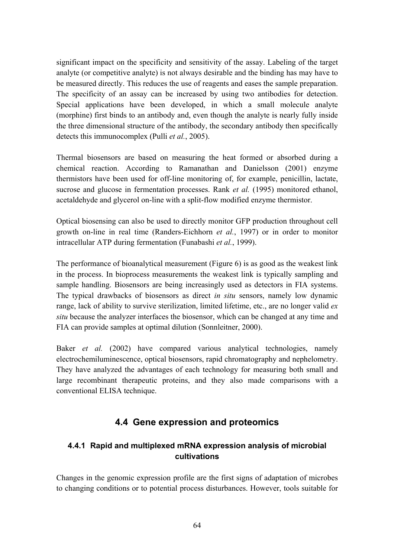significant impact on the specificity and sensitivity of the assay. Labeling of the target analyte (or competitive analyte) is not always desirable and the binding has may have to be measured directly. This reduces the use of reagents and eases the sample preparation. The specificity of an assay can be increased by using two antibodies for detection. Special applications have been developed, in which a small molecule analyte (morphine) first binds to an antibody and, even though the analyte is nearly fully inside the three dimensional structure of the antibody, the secondary antibody then specifically detects this immunocomplex (Pulli *et al.*, 2005).

Thermal biosensors are based on measuring the heat formed or absorbed during a chemical reaction. According to Ramanathan and Danielsson (2001) enzyme thermistors have been used for off-line monitoring of, for example, penicillin, lactate, sucrose and glucose in fermentation processes. Rank *et al.* (1995) monitored ethanol, acetaldehyde and glycerol on-line with a split-flow modified enzyme thermistor.

Optical biosensing can also be used to directly monitor GFP production throughout cell growth on-line in real time (Randers-Eichhorn *et al.*, 1997) or in order to monitor intracellular ATP during fermentation (Funabashi *et al.*, 1999).

The performance of bioanalytical measurement (Figure 6) is as good as the weakest link in the process. In bioprocess measurements the weakest link is typically sampling and sample handling. Biosensors are being increasingly used as detectors in FIA systems. The typical drawbacks of biosensors as direct *in situ* sensors, namely low dynamic range, lack of ability to survive sterilization, limited lifetime, etc., are no longer valid *ex situ* because the analyzer interfaces the biosensor, which can be changed at any time and FIA can provide samples at optimal dilution (Sonnleitner, 2000).

Baker *et al.* (2002) have compared various analytical technologies, namely electrochemiluminescence, optical biosensors, rapid chromatography and nephelometry. They have analyzed the advantages of each technology for measuring both small and large recombinant therapeutic proteins, and they also made comparisons with a conventional ELISA technique.

# **4.4 Gene expression and proteomics**

# **4.4.1 Rapid and multiplexed mRNA expression analysis of microbial cultivations**

Changes in the genomic expression profile are the first signs of adaptation of microbes to changing conditions or to potential process disturbances. However, tools suitable for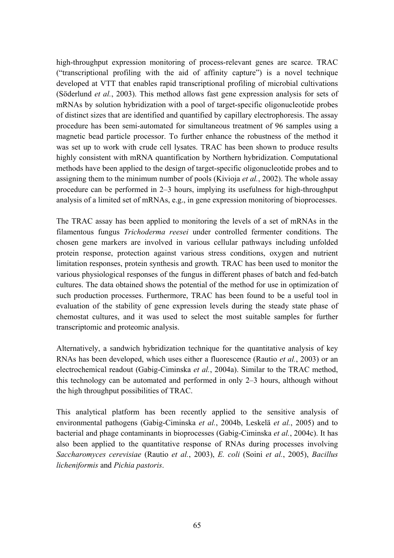high-throughput expression monitoring of process-relevant genes are scarce. TRAC ("transcriptional profiling with the aid of affinity capture") is a novel technique developed at VTT that enables rapid transcriptional profiling of microbial cultivations (Söderlund *et al.*, 2003). This method allows fast gene expression analysis for sets of mRNAs by solution hybridization with a pool of target-specific oligonucleotide probes of distinct sizes that are identified and quantified by capillary electrophoresis. The assay procedure has been semi-automated for simultaneous treatment of 96 samples using a magnetic bead particle processor. To further enhance the robustness of the method it was set up to work with crude cell lysates. TRAC has been shown to produce results highly consistent with mRNA quantification by Northern hybridization. Computational methods have been applied to the design of target-specific oligonucleotide probes and to assigning them to the minimum number of pools (Kivioja *et al.*, 2002). The whole assay procedure can be performed in  $2-3$  hours, implying its usefulness for high-throughput analysis of a limited set of mRNAs, e.g., in gene expression monitoring of bioprocesses.

The TRAC assay has been applied to monitoring the levels of a set of mRNAs in the filamentous fungus *Trichoderma reesei* under controlled fermenter conditions. The chosen gene markers are involved in various cellular pathways including unfolded protein response, protection against various stress conditions, oxygen and nutrient limitation responses, protein synthesis and growth*.* TRAC has been used to monitor the various physiological responses of the fungus in different phases of batch and fed-batch cultures. The data obtained shows the potential of the method for use in optimization of such production processes. Furthermore, TRAC has been found to be a useful tool in evaluation of the stability of gene expression levels during the steady state phase of chemostat cultures, and it was used to select the most suitable samples for further transcriptomic and proteomic analysis.

Alternatively, a sandwich hybridization technique for the quantitative analysis of key RNAs has been developed, which uses either a fluorescence (Rautio *et al.*, 2003) or an electrochemical readout (Gabig-Ciminska *et al.*, 2004a). Similar to the TRAC method, this technology can be automated and performed in only  $2-3$  hours, although without the high throughput possibilities of TRAC.

This analytical platform has been recently applied to the sensitive analysis of environmental pathogens (Gabig-Ciminska *et al.*, 2004b, Leskelä *et al.*, 2005) and to bacterial and phage contaminants in bioprocesses (Gabig-Ciminska *et al.*, 2004c). It has also been applied to the quantitative response of RNAs during processes involving *Saccharomyces cerevisiae* (Rautio *et al.*, 2003), *E. coli* (Soini *et al.*, 2005), *Bacillus licheniformis* and *Pichia pastoris*.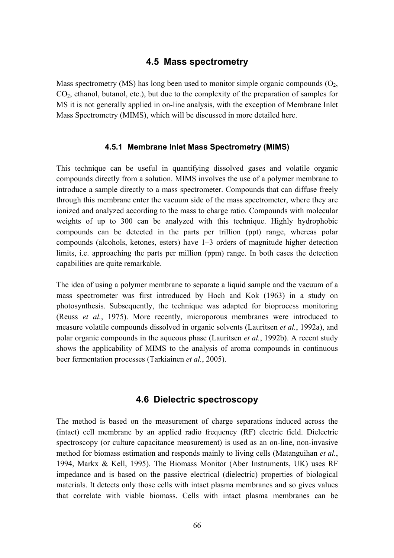#### **4.5 Mass spectrometry**

Mass spectrometry (MS) has long been used to monitor simple organic compounds  $(O_2, Q_1)$  $CO<sub>2</sub>$ , ethanol, butanol, etc.), but due to the complexity of the preparation of samples for MS it is not generally applied in on-line analysis, with the exception of Membrane Inlet Mass Spectrometry (MIMS), which will be discussed in more detailed here.

#### **4.5.1 Membrane Inlet Mass Spectrometry (MIMS)**

This technique can be useful in quantifying dissolved gases and volatile organic compounds directly from a solution. MIMS involves the use of a polymer membrane to introduce a sample directly to a mass spectrometer. Compounds that can diffuse freely through this membrane enter the vacuum side of the mass spectrometer, where they are ionized and analyzed according to the mass to charge ratio. Compounds with molecular weights of up to 300 can be analyzed with this technique. Highly hydrophobic compounds can be detected in the parts per trillion (ppt) range, whereas polar compounds (alcohols, ketones, esters) have  $1-3$  orders of magnitude higher detection limits, i.e. approaching the parts per million (ppm) range. In both cases the detection capabilities are quite remarkable.

The idea of using a polymer membrane to separate a liquid sample and the vacuum of a mass spectrometer was first introduced by Hoch and Kok (1963) in a study on photosynthesis. Subsequently, the technique was adapted for bioprocess monitoring (Reuss *et al.*, 1975). More recently, microporous membranes were introduced to measure volatile compounds dissolved in organic solvents (Lauritsen *et al.*, 1992a), and polar organic compounds in the aqueous phase (Lauritsen *et al.*, 1992b). A recent study shows the applicability of MIMS to the analysis of aroma compounds in continuous beer fermentation processes (Tarkiainen *et al.*, 2005).

#### **4.6 Dielectric spectroscopy**

The method is based on the measurement of charge separations induced across the (intact) cell membrane by an applied radio frequency (RF) electric field. Dielectric spectroscopy (or culture capacitance measurement) is used as an on-line, non-invasive method for biomass estimation and responds mainly to living cells (Matanguihan *et al.*, 1994, Markx & Kell, 1995). The Biomass Monitor (Aber Instruments, UK) uses RF impedance and is based on the passive electrical (dielectric) properties of biological materials. It detects only those cells with intact plasma membranes and so gives values that correlate with viable biomass. Cells with intact plasma membranes can be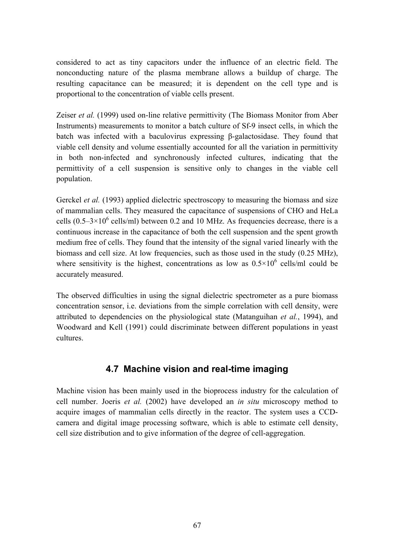considered to act as tiny capacitors under the influence of an electric field. The nonconducting nature of the plasma membrane allows a buildup of charge. The resulting capacitance can be measured; it is dependent on the cell type and is proportional to the concentration of viable cells present.

Zeiser *et al.* (1999) used on-line relative permittivity (The Biomass Monitor from Aber Instruments) measurements to monitor a batch culture of Sf-9 insect cells, in which the batch was infected with a baculovirus expressing β-galactosidase. They found that viable cell density and volume essentially accounted for all the variation in permittivity in both non-infected and synchronously infected cultures, indicating that the permittivity of a cell suspension is sensitive only to changes in the viable cell population.

Gerckel *et al.* (1993) applied dielectric spectroscopy to measuring the biomass and size of mammalian cells. They measured the capacitance of suspensions of CHO and HeLa cells  $(0.5-3\times10^6 \text{ cells/ml})$  between 0.2 and 10 MHz. As frequencies decrease, there is a continuous increase in the capacitance of both the cell suspension and the spent growth medium free of cells. They found that the intensity of the signal varied linearly with the biomass and cell size. At low frequencies, such as those used in the study (0.25 MHz), where sensitivity is the highest, concentrations as low as  $0.5 \times 10^6$  cells/ml could be accurately measured.

The observed difficulties in using the signal dielectric spectrometer as a pure biomass concentration sensor, i.e. deviations from the simple correlation with cell density, were attributed to dependencies on the physiological state (Matanguihan *et al.*, 1994), and Woodward and Kell (1991) could discriminate between different populations in yeast cultures.

# **4.7 Machine vision and real-time imaging**

Machine vision has been mainly used in the bioprocess industry for the calculation of cell number. Joeris *et al.* (2002) have developed an *in situ* microscopy method to acquire images of mammalian cells directly in the reactor. The system uses a CCDcamera and digital image processing software, which is able to estimate cell density, cell size distribution and to give information of the degree of cell-aggregation.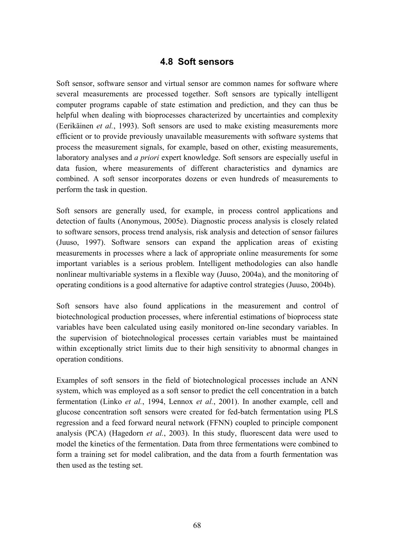# **4.8 Soft sensors**

Soft sensor, software sensor and virtual sensor are common names for software where several measurements are processed together. Soft sensors are typically intelligent computer programs capable of state estimation and prediction, and they can thus be helpful when dealing with bioprocesses characterized by uncertainties and complexity (Eerik‰inen *et al.*, 1993). Soft sensors are used to make existing measurements more efficient or to provide previously unavailable measurements with software systems that process the measurement signals, for example, based on other, existing measurements, laboratory analyses and *a priori* expert knowledge. Soft sensors are especially useful in data fusion, where measurements of different characteristics and dynamics are combined. A soft sensor incorporates dozens or even hundreds of measurements to perform the task in question.

Soft sensors are generally used, for example, in process control applications and detection of faults (Anonymous, 2005e). Diagnostic process analysis is closely related to software sensors, process trend analysis, risk analysis and detection of sensor failures (Juuso, 1997). Software sensors can expand the application areas of existing measurements in processes where a lack of appropriate online measurements for some important variables is a serious problem. Intelligent methodologies can also handle nonlinear multivariable systems in a flexible way (Juuso, 2004a), and the monitoring of operating conditions is a good alternative for adaptive control strategies (Juuso, 2004b).

Soft sensors have also found applications in the measurement and control of biotechnological production processes, where inferential estimations of bioprocess state variables have been calculated using easily monitored on-line secondary variables. In the supervision of biotechnological processes certain variables must be maintained within exceptionally strict limits due to their high sensitivity to abnormal changes in operation conditions.

Examples of soft sensors in the field of biotechnological processes include an ANN system, which was employed as a soft sensor to predict the cell concentration in a batch fermentation (Linko *et al.*, 1994, Lennox *et al.*, 2001). In another example, cell and glucose concentration soft sensors were created for fed-batch fermentation using PLS regression and a feed forward neural network (FFNN) coupled to principle component analysis (PCA) (Hagedorn *et al.*, 2003). In this study, fluorescent data were used to model the kinetics of the fermentation. Data from three fermentations were combined to form a training set for model calibration, and the data from a fourth fermentation was then used as the testing set.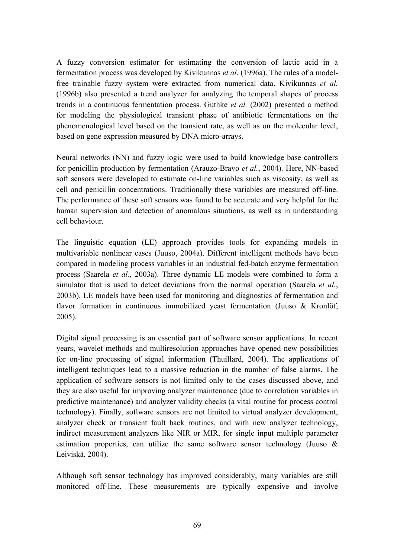A fuzzy conversion estimator for estimating the conversion of lactic acid in a fermentation process was developed by Kivikunnas *et al*. (1996a). The rules of a modelfree trainable fuzzy system were extracted from numerical data. Kivikunnas *et al.* (1996b) also presented a trend analyzer for analyzing the temporal shapes of process trends in a continuous fermentation process. Guthke *et al.* (2002) presented a method for modeling the physiological transient phase of antibiotic fermentations on the phenomenological level based on the transient rate, as well as on the molecular level, based on gene expression measured by DNA micro-arrays.

Neural networks (NN) and fuzzy logic were used to build knowledge base controllers for penicillin production by fermentation (Arauzo-Bravo *et al.*, 2004). Here, NN-based soft sensors were developed to estimate on-line variables such as viscosity, as well as cell and penicillin concentrations. Traditionally these variables are measured off-line. The performance of these soft sensors was found to be accurate and very helpful for the human supervision and detection of anomalous situations, as well as in understanding cell behaviour.

The linguistic equation (LE) approach provides tools for expanding models in multivariable nonlinear cases (Juuso, 2004a). Different intelligent methods have been compared in modeling process variables in an industrial fed-batch enzyme fermentation process (Saarela *et al.*, 2003a). Three dynamic LE models were combined to form a simulator that is used to detect deviations from the normal operation (Saarela *et al.*, 2003b). LE models have been used for monitoring and diagnostics of fermentation and flavor formation in continuous immobilized yeast fermentation (Juuso  $\&$  Kronlöf, 2005).

Digital signal processing is an essential part of software sensor applications. In recent years, wavelet methods and multiresolution approaches have opened new possibilities for on-line processing of signal information (Thuillard, 2004). The applications of intelligent techniques lead to a massive reduction in the number of false alarms. The application of software sensors is not limited only to the cases discussed above, and they are also useful for improving analyzer maintenance (due to correlation variables in predictive maintenance) and analyzer validity checks (a vital routine for process control technology). Finally, software sensors are not limited to virtual analyzer development, analyzer check or transient fault back routines, and with new analyzer technology, indirect measurement analyzers like NIR or MIR, for single input multiple parameter estimation properties, can utilize the same software sensor technology (Juuso & Leiviskä, 2004).

Although soft sensor technology has improved considerably, many variables are still monitored off-line. These measurements are typically expensive and involve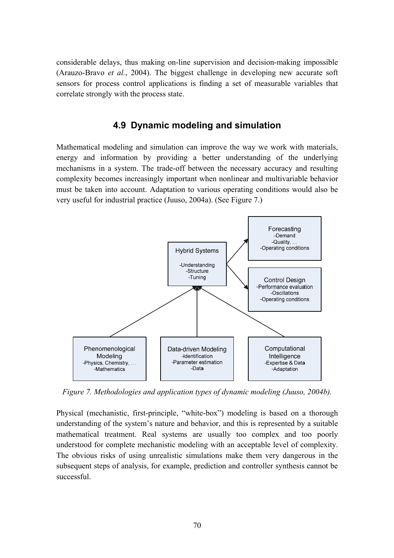considerable delays, thus making on-line supervision and decision-making impossible (Arauzo-Bravo *et al.*, 2004). The biggest challenge in developing new accurate soft sensors for process control applications is finding a set of measurable variables that correlate strongly with the process state.

## **4.9 Dynamic modeling and simulation**

Mathematical modeling and simulation can improve the way we work with materials, energy and information by providing a better understanding of the underlying mechanisms in a system. The trade-off between the necessary accuracy and resulting complexity becomes increasingly important when nonlinear and multivariable behavior must be taken into account. Adaptation to various operating conditions would also be very useful for industrial practice (Juuso, 2004a). (See Figure 7.)



*Figure 7. Methodologies and application types of dynamic modeling (Juuso, 2004b).* 

Physical (mechanistic, first-principle, "white-box") modeling is based on a thorough understanding of the system's nature and behavior, and this is represented by a suitable mathematical treatment. Real systems are usually too complex and too poorly understood for complete mechanistic modeling with an acceptable level of complexity. The obvious risks of using unrealistic simulations make them very dangerous in the subsequent steps of analysis, for example, prediction and controller synthesis cannot be successful.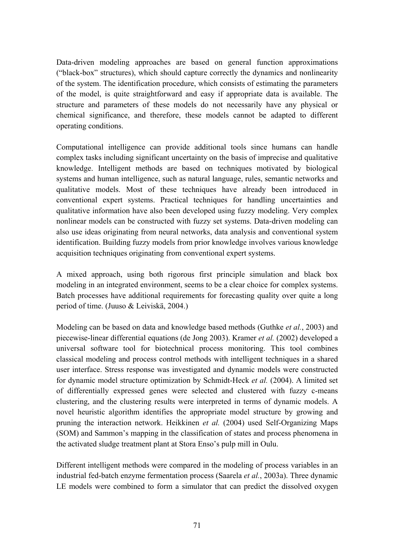Data-driven modeling approaches are based on general function approximations ("black-box" structures), which should capture correctly the dynamics and nonlinearity of the system. The identification procedure, which consists of estimating the parameters of the model, is quite straightforward and easy if appropriate data is available. The structure and parameters of these models do not necessarily have any physical or chemical significance, and therefore, these models cannot be adapted to different operating conditions.

Computational intelligence can provide additional tools since humans can handle complex tasks including significant uncertainty on the basis of imprecise and qualitative knowledge. Intelligent methods are based on techniques motivated by biological systems and human intelligence, such as natural language, rules, semantic networks and qualitative models. Most of these techniques have already been introduced in conventional expert systems. Practical techniques for handling uncertainties and qualitative information have also been developed using fuzzy modeling. Very complex nonlinear models can be constructed with fuzzy set systems. Data-driven modeling can also use ideas originating from neural networks, data analysis and conventional system identification. Building fuzzy models from prior knowledge involves various knowledge acquisition techniques originating from conventional expert systems.

A mixed approach, using both rigorous first principle simulation and black box modeling in an integrated environment, seems to be a clear choice for complex systems. Batch processes have additional requirements for forecasting quality over quite a long period of time. (Juuso & Leiviskä, 2004.)

Modeling can be based on data and knowledge based methods (Guthke *et al.*, 2003) and piecewise-linear differential equations (de Jong 2003). Kramer *et al.* (2002) developed a universal software tool for biotechnical process monitoring. This tool combines classical modeling and process control methods with intelligent techniques in a shared user interface. Stress response was investigated and dynamic models were constructed for dynamic model structure optimization by Schmidt-Heck *et al.* (2004). A limited set of differentially expressed genes were selected and clustered with fuzzy c-means clustering, and the clustering results were interpreted in terms of dynamic models. A novel heuristic algorithm identifies the appropriate model structure by growing and pruning the interaction network. Heikkinen *et al.* (2004) used Self-Organizing Maps (SOM) and Sammon's mapping in the classification of states and process phenomena in the activated sludge treatment plant at Stora Enso's pulp mill in Oulu.

Different intelligent methods were compared in the modeling of process variables in an industrial fed-batch enzyme fermentation process (Saarela *et al.*, 2003a). Three dynamic LE models were combined to form a simulator that can predict the dissolved oxygen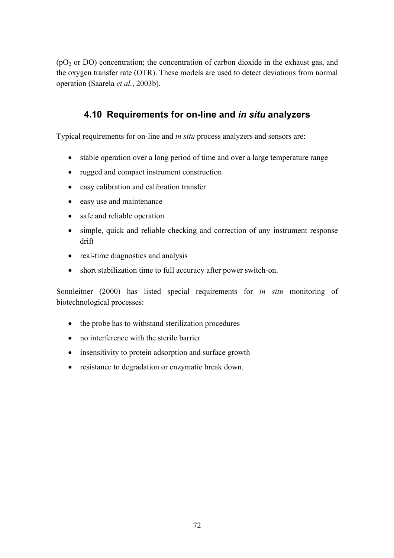$(pO<sub>2</sub>$  or DO) concentration; the concentration of carbon dioxide in the exhaust gas, and the oxygen transfer rate (OTR). These models are used to detect deviations from normal operation (Saarela *et al.*, 2003b).

# **4.10 Requirements for on-line and** *in situ* **analyzers**

Typical requirements for on-line and *in situ* process analyzers and sensors are:

- stable operation over a long period of time and over a large temperature range
- rugged and compact instrument construction
- easy calibration and calibration transfer
- easy use and maintenance
- safe and reliable operation
- simple, quick and reliable checking and correction of any instrument response drift
- real-time diagnostics and analysis
- short stabilization time to full accuracy after power switch-on.

Sonnleitner (2000) has listed special requirements for *in situ* monitoring of biotechnological processes:

- the probe has to withstand sterilization procedures
- no interference with the sterile barrier
- insensitivity to protein adsorption and surface growth
- resistance to degradation or enzymatic break down.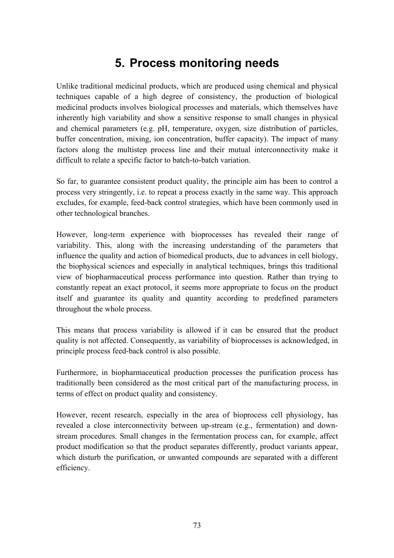## **5. Process monitoring needs**

Unlike traditional medicinal products, which are produced using chemical and physical techniques capable of a high degree of consistency, the production of biological medicinal products involves biological processes and materials, which themselves have inherently high variability and show a sensitive response to small changes in physical and chemical parameters (e.g. pH, temperature, oxygen, size distribution of particles, buffer concentration, mixing, ion concentration, buffer capacity). The impact of many factors along the multistep process line and their mutual interconnectivity make it difficult to relate a specific factor to batch-to-batch variation.

So far, to guarantee consistent product quality, the principle aim has been to control a process very stringently, i.e. to repeat a process exactly in the same way. This approach excludes, for example, feed-back control strategies, which have been commonly used in other technological branches.

However, long-term experience with bioprocesses has revealed their range of variability. This, along with the increasing understanding of the parameters that influence the quality and action of biomedical products, due to advances in cell biology, the biophysical sciences and especially in analytical techniques, brings this traditional view of biopharmaceutical process performance into question. Rather than trying to constantly repeat an exact protocol, it seems more appropriate to focus on the product itself and guarantee its quality and quantity according to predefined parameters throughout the whole process.

This means that process variability is allowed if it can be ensured that the product quality is not affected. Consequently, as variability of bioprocesses is acknowledged, in principle process feed-back control is also possible.

Furthermore, in biopharmaceutical production processes the purification process has traditionally been considered as the most critical part of the manufacturing process, in terms of effect on product quality and consistency.

However, recent research, especially in the area of bioprocess cell physiology, has revealed a close interconnectivity between up-stream (e.g., fermentation) and downstream procedures. Small changes in the fermentation process can, for example, affect product modification so that the product separates differently, product variants appear, which disturb the purification, or unwanted compounds are separated with a different efficiency.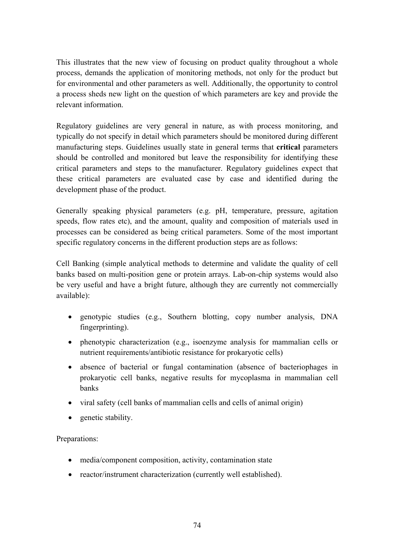This illustrates that the new view of focusing on product quality throughout a whole process, demands the application of monitoring methods, not only for the product but for environmental and other parameters as well. Additionally, the opportunity to control a process sheds new light on the question of which parameters are key and provide the relevant information.

Regulatory guidelines are very general in nature, as with process monitoring, and typically do not specify in detail which parameters should be monitored during different manufacturing steps. Guidelines usually state in general terms that **critical** parameters should be controlled and monitored but leave the responsibility for identifying these critical parameters and steps to the manufacturer. Regulatory guidelines expect that these critical parameters are evaluated case by case and identified during the development phase of the product.

Generally speaking physical parameters (e.g. pH, temperature, pressure, agitation speeds, flow rates etc), and the amount, quality and composition of materials used in processes can be considered as being critical parameters. Some of the most important specific regulatory concerns in the different production steps are as follows:

Cell Banking (simple analytical methods to determine and validate the quality of cell banks based on multi-position gene or protein arrays. Lab-on-chip systems would also be very useful and have a bright future, although they are currently not commercially available):

- genotypic studies (e.g., Southern blotting, copy number analysis, DNA fingerprinting).
- phenotypic characterization (e.g., isoenzyme analysis for mammalian cells or nutrient requirements/antibiotic resistance for prokaryotic cells)
- absence of bacterial or fungal contamination (absence of bacteriophages in prokaryotic cell banks, negative results for mycoplasma in mammalian cell banks
- viral safety (cell banks of mammalian cells and cells of animal origin)
- genetic stability.

Preparations:

- media/component composition, activity, contamination state
- reactor/instrument characterization (currently well established).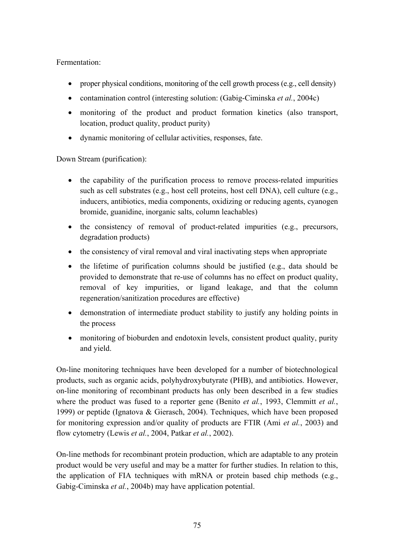Fermentation:

- proper physical conditions, monitoring of the cell growth process (e.g., cell density)
- contamination control (interesting solution: (Gabig-Ciminska *et al.*, 2004c)
- monitoring of the product and product formation kinetics (also transport, location, product quality, product purity)
- dynamic monitoring of cellular activities, responses, fate.

Down Stream (purification):

- the capability of the purification process to remove process-related impurities such as cell substrates (e.g., host cell proteins, host cell DNA), cell culture (e.g., inducers, antibiotics, media components, oxidizing or reducing agents, cyanogen bromide, guanidine, inorganic salts, column leachables)
- the consistency of removal of product-related impurities (e.g., precursors, degradation products)
- the consistency of viral removal and viral inactivating steps when appropriate
- the lifetime of purification columns should be justified (e.g., data should be provided to demonstrate that re-use of columns has no effect on product quality, removal of key impurities, or ligand leakage, and that the column regeneration/sanitization procedures are effective)
- demonstration of intermediate product stability to justify any holding points in the process
- monitoring of bioburden and endotoxin levels, consistent product quality, purity and yield.

On-line monitoring techniques have been developed for a number of biotechnological products, such as organic acids, polyhydroxybutyrate (PHB), and antibiotics. However, on-line monitoring of recombinant products has only been described in a few studies where the product was fused to a reporter gene (Benito *et al.*, 1993, Clemmitt *et al.*, 1999) or peptide (Ignatova & Gierasch, 2004). Techniques, which have been proposed for monitoring expression and/or quality of products are FTIR (Ami *et al.*, 2003) and flow cytometry (Lewis *et al.*, 2004, Patkar *et al.*, 2002).

On-line methods for recombinant protein production, which are adaptable to any protein product would be very useful and may be a matter for further studies. In relation to this, the application of FIA techniques with mRNA or protein based chip methods (e.g., Gabig-Ciminska *et al.*, 2004b) may have application potential.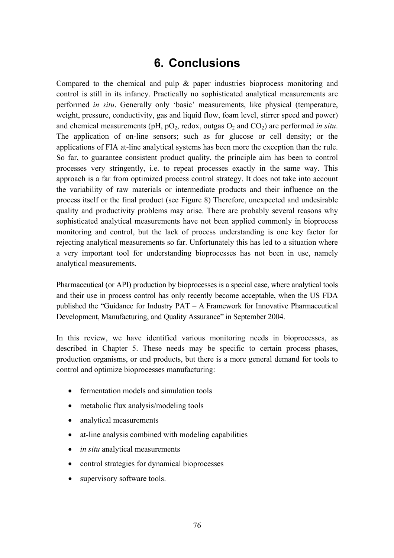## **6. Conclusions**

Compared to the chemical and pulp & paper industries bioprocess monitoring and control is still in its infancy. Practically no sophisticated analytical measurements are performed *in situ*. Generally only 'basic' measurements, like physical (temperature, weight, pressure, conductivity, gas and liquid flow, foam level, stirrer speed and power) and chemical measurements ( $pH$ ,  $pO_2$ , redox, outgas  $O_2$  and  $CO_2$ ) are performed *in situ*. The application of on-line sensors; such as for glucose or cell density; or the applications of FIA at-line analytical systems has been more the exception than the rule. So far, to guarantee consistent product quality, the principle aim has been to control processes very stringently, i.e. to repeat processes exactly in the same way. This approach is a far from optimized process control strategy. It does not take into account the variability of raw materials or intermediate products and their influence on the process itself or the final product (see Figure 8) Therefore, unexpected and undesirable quality and productivity problems may arise. There are probably several reasons why sophisticated analytical measurements have not been applied commonly in bioprocess monitoring and control, but the lack of process understanding is one key factor for rejecting analytical measurements so far. Unfortunately this has led to a situation where a very important tool for understanding bioprocesses has not been in use, namely analytical measurements.

Pharmaceutical (or API) production by bioprocesses is a special case, where analytical tools and their use in process control has only recently become acceptable, when the US FDA published the "Guidance for Industry  $PAT - A$  Framework for Innovative Pharmaceutical Development, Manufacturing, and Quality Assurance" in September 2004.

In this review, we have identified various monitoring needs in bioprocesses, as described in Chapter 5. These needs may be specific to certain process phases, production organisms, or end products, but there is a more general demand for tools to control and optimize bioprocesses manufacturing:

- fermentation models and simulation tools
- metabolic flux analysis/modeling tools
- analytical measurements
- at-line analysis combined with modeling capabilities
- *in situ* analytical measurements
- control strategies for dynamical bioprocesses
- supervisory software tools.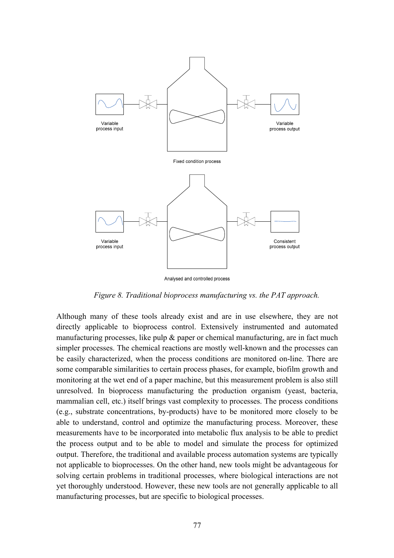

Analysed and controlled process

*Figure 8. Traditional bioprocess manufacturing vs. the PAT approach.* 

Although many of these tools already exist and are in use elsewhere, they are not directly applicable to bioprocess control. Extensively instrumented and automated manufacturing processes, like pulp  $\&$  paper or chemical manufacturing, are in fact much simpler processes. The chemical reactions are mostly well-known and the processes can be easily characterized, when the process conditions are monitored on-line. There are some comparable similarities to certain process phases, for example, biofilm growth and monitoring at the wet end of a paper machine, but this measurement problem is also still unresolved. In bioprocess manufacturing the production organism (yeast, bacteria, mammalian cell, etc.) itself brings vast complexity to processes. The process conditions (e.g., substrate concentrations, by-products) have to be monitored more closely to be able to understand, control and optimize the manufacturing process. Moreover, these measurements have to be incorporated into metabolic flux analysis to be able to predict the process output and to be able to model and simulate the process for optimized output. Therefore, the traditional and available process automation systems are typically not applicable to bioprocesses. On the other hand, new tools might be advantageous for solving certain problems in traditional processes, where biological interactions are not yet thoroughly understood. However, these new tools are not generally applicable to all manufacturing processes, but are specific to biological processes.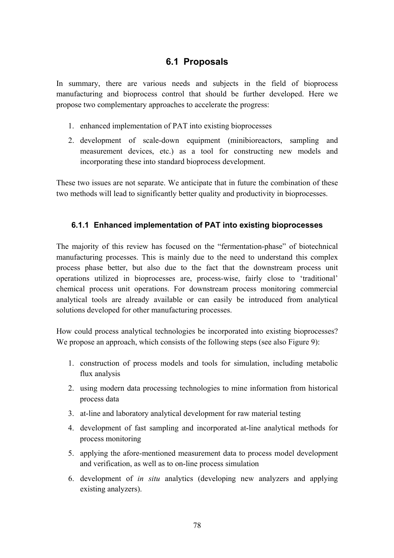### **6.1 Proposals**

In summary, there are various needs and subjects in the field of bioprocess manufacturing and bioprocess control that should be further developed. Here we propose two complementary approaches to accelerate the progress:

- 1. enhanced implementation of PAT into existing bioprocesses
- 2. development of scale-down equipment (minibioreactors, sampling and measurement devices, etc.) as a tool for constructing new models and incorporating these into standard bioprocess development.

These two issues are not separate. We anticipate that in future the combination of these two methods will lead to significantly better quality and productivity in bioprocesses.

#### **6.1.1 Enhanced implementation of PAT into existing bioprocesses**

The majority of this review has focused on the "fermentation-phase" of biotechnical manufacturing processes. This is mainly due to the need to understand this complex process phase better, but also due to the fact that the downstream process unit operations utilized in bioprocesses are, process-wise, fairly close to 'traditional' chemical process unit operations. For downstream process monitoring commercial analytical tools are already available or can easily be introduced from analytical solutions developed for other manufacturing processes.

How could process analytical technologies be incorporated into existing bioprocesses? We propose an approach, which consists of the following steps (see also Figure 9):

- 1. construction of process models and tools for simulation, including metabolic flux analysis
- 2. using modern data processing technologies to mine information from historical process data
- 3. at-line and laboratory analytical development for raw material testing
- 4. development of fast sampling and incorporated at-line analytical methods for process monitoring
- 5. applying the afore-mentioned measurement data to process model development and verification, as well as to on-line process simulation
- 6. development of *in situ* analytics (developing new analyzers and applying existing analyzers).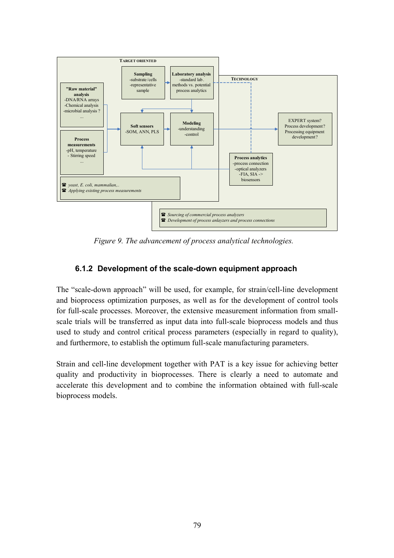

*Figure 9. The advancement of process analytical technologies.* 

#### **6.1.2 Development of the scale-down equipment approach**

The "scale-down approach" will be used, for example, for strain/cell-line development and bioprocess optimization purposes, as well as for the development of control tools for full-scale processes. Moreover, the extensive measurement information from smallscale trials will be transferred as input data into full-scale bioprocess models and thus used to study and control critical process parameters (especially in regard to quality), and furthermore, to establish the optimum full-scale manufacturing parameters.

Strain and cell-line development together with PAT is a key issue for achieving better quality and productivity in bioprocesses. There is clearly a need to automate and accelerate this development and to combine the information obtained with full-scale bioprocess models.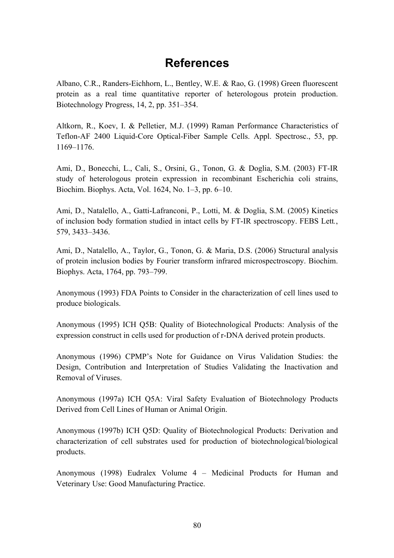## **References**

Albano, C.R., Randers-Eichhorn, L., Bentley, W.E. & Rao, G. (1998) Green fluorescent protein as a real time quantitative reporter of heterologous protein production. Biotechnology Progress,  $14, 2$ , pp.  $351-354$ .

Altkorn, R., Koev, I. & Pelletier, M.J. (1999) Raman Performance Characteristics of Teflon-AF 2400 Liquid-Core Optical-Fiber Sample Cells. Appl. Spectrosc., 53, pp. 1169–1176.

Ami, D., Bonecchi, L., Cali, S., Orsini, G., Tonon, G. & Doglia, S.M. (2003) FT-IR study of heterologous protein expression in recombinant Escherichia coli strains, Biochim. Biophys. Acta, Vol.  $1624$ , No.  $1-3$ , pp.  $6-10$ .

Ami, D., Natalello, A., Gatti-Lafranconi, P., Lotti, M. & Doglia, S.M. (2005) Kinetics of inclusion body formation studied in intact cells by FT-IR spectroscopy. FEBS Lett*.*, 579, 3433-3436.

Ami, D., Natalello, A., Taylor, G., Tonon, G. & Maria, D.S. (2006) Structural analysis of protein inclusion bodies by Fourier transform infrared microspectroscopy. Biochim. Biophys. Acta, 1764, pp. 793–799.

Anonymous (1993) FDA Points to Consider in the characterization of cell lines used to produce biologicals.

Anonymous (1995) ICH Q5B: Quality of Biotechnological Products: Analysis of the expression construct in cells used for production of r-DNA derived protein products.

Anonymous (1996) CPMPís Note for Guidance on Virus Validation Studies: the Design, Contribution and Interpretation of Studies Validating the Inactivation and Removal of Viruses.

Anonymous (1997a) ICH Q5A: Viral Safety Evaluation of Biotechnology Products Derived from Cell Lines of Human or Animal Origin.

Anonymous (1997b) ICH Q5D: Quality of Biotechnological Products: Derivation and characterization of cell substrates used for production of biotechnological/biological products.

Anonymous (1998) Eudralex Volume  $4$  – Medicinal Products for Human and Veterinary Use: Good Manufacturing Practice.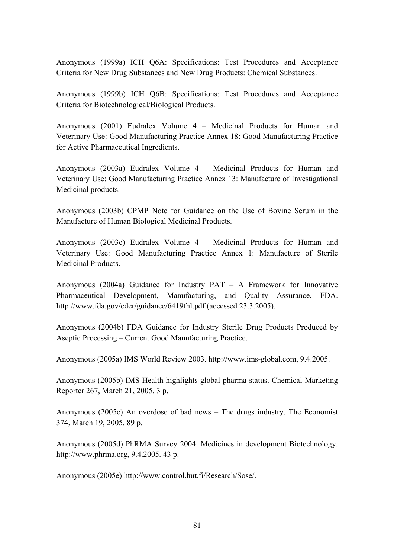Anonymous (1999a) ICH Q6A: Specifications: Test Procedures and Acceptance Criteria for New Drug Substances and New Drug Products: Chemical Substances.

Anonymous (1999b) ICH Q6B: Specifications: Test Procedures and Acceptance Criteria for Biotechnological/Biological Products.

Anonymous (2001) Eudralex Volume 4 - Medicinal Products for Human and Veterinary Use: Good Manufacturing Practice Annex 18: Good Manufacturing Practice for Active Pharmaceutical Ingredients.

Anonymous (2003a) Eudralex Volume  $4$  – Medicinal Products for Human and Veterinary Use: Good Manufacturing Practice Annex 13: Manufacture of Investigational Medicinal products.

Anonymous (2003b) CPMP Note for Guidance on the Use of Bovine Serum in the Manufacture of Human Biological Medicinal Products.

Anonymous (2003c) Eudralex Volume  $4$  – Medicinal Products for Human and Veterinary Use: Good Manufacturing Practice Annex 1: Manufacture of Sterile Medicinal Products.

Anonymous (2004a) Guidance for Industry  $PAT - A$  Framework for Innovative Pharmaceutical Development, Manufacturing, and Quality Assurance, FDA. <http://www.fda.gov/cder/guidance/6419fnl.pdf> (accessed 23.3.2005).

Anonymous (2004b) FDA Guidance for Industry Sterile Drug Products Produced by Aseptic Processing – Current Good Manufacturing Practice.

Anonymous (2005a) IMS World Review 2003. [http://www.ims-global.com,](http://www.ims-global.com) 9.4.2005.

Anonymous (2005b) IMS Health highlights global pharma status. Chemical Marketing Reporter 267, March 21, 2005. 3 p.

Anonymous (2005c) An overdose of bad news  $-$  The drugs industry. The Economist 374, March 19, 2005. 89 p.

Anonymous (2005d) PhRMA Survey 2004: Medicines in development Biotechnology. [http://www.phrma.org,](http://www.phrma.org) 9.4.2005. 43 p.

Anonymous (2005e) [http://www.control.hut.fi/Research/Sose/.](http://www.control.hut.fi/Research/Sose/)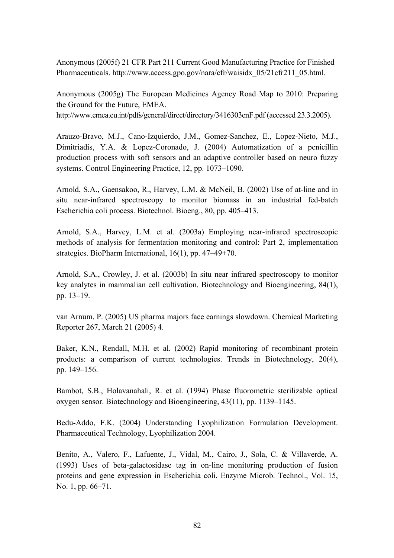Anonymous (2005f) 21 CFR Part 211 Current Good Manufacturing Practice for Finished Pharmaceuticals. [http://www.access.gpo.gov/nara/cfr/waisidx\\_05/21cfr211\\_05.html.](http://www.access.gpo.gov/nara/cfr/waisidx_05/21cfr211_05.html)

Anonymous (2005g) The European Medicines Agency Road Map to 2010: Preparing the Ground for the Future, EMEA. <http://www.emea.eu.int/pdfs/general/direct/directory/3416303enF.pdf>(accessed 23.3.2005).

Arauzo-Bravo, M.J., Cano-Izquierdo, J.M., Gomez-Sanchez, E., Lopez-Nieto, M.J., Dimitriadis, Y.A. & Lopez-Coronado, J. (2004) Automatization of a penicillin production process with soft sensors and an adaptive controller based on neuro fuzzy systems. Control Engineering Practice, 12, pp. 1073–1090.

Arnold, S.A., Gaensakoo, R., Harvey, L.M. & McNeil, B. (2002) Use of at-line and in situ near-infrared spectroscopy to monitor biomass in an industrial fed-batch Escherichia coli process. Biotechnol. Bioeng., 80, pp. 405–413.

Arnold, S.A., Harvey, L.M. et al. (2003a) Employing near-infrared spectroscopic methods of analysis for fermentation monitoring and control: Part 2, implementation strategies. BioPharm International,  $16(1)$ , pp.  $47-49+70$ .

Arnold, S.A., Crowley, J. et al. (2003b) In situ near infrared spectroscopy to monitor key analytes in mammalian cell cultivation. Biotechnology and Bioengineering, 84(1), pp. 13–19.

van Arnum, P. (2005) US pharma majors face earnings slowdown. Chemical Marketing Reporter 267, March 21 (2005) 4.

Baker, K.N., Rendall, M.H. et al. (2002) Rapid monitoring of recombinant protein products: a comparison of current technologies. Trends in Biotechnology, 20(4), pp. 149–156.

Bambot, S.B., Holavanahali, R. et al. (1994) Phase fluorometric sterilizable optical oxygen sensor. Biotechnology and Bioengineering,  $43(11)$ , pp. 1139–1145.

Bedu-Addo, F.K. (2004) Understanding Lyophilization Formulation Development. Pharmaceutical Technology, Lyophilization 2004.

Benito, A., Valero, F., Lafuente, J., Vidal, M., Cairo, J., Sola, C. & Villaverde, A. (1993) Uses of beta-galactosidase tag in on-line monitoring production of fusion proteins and gene expression in Escherichia coli. Enzyme Microb. Technol., Vol. 15, No. 1, pp. 66–71.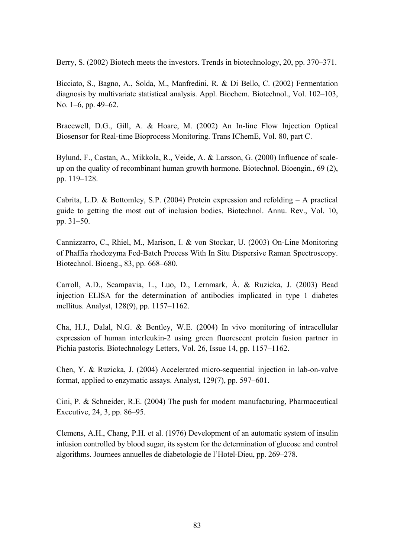Berry, S. (2002) Biotech meets the investors. Trends in biotechnology, 20, pp. 370–371.

Bicciato, S., Bagno, A., Solda, M., Manfredini, R. & Di Bello, C. (2002) Fermentation diagnosis by multivariate statistical analysis. Appl. Biochem. Biotechnol., Vol. 102–103, No. 1–6, pp. 49–62.

Bracewell, D.G., Gill, A. & Hoare, M. (2002) An In-line Flow Injection Optical Biosensor for Real-time Bioprocess Monitoring. Trans IChemE, Vol. 80, part C.

Bylund, F., Castan, A., Mikkola, R., Veide, A. & Larsson, G. (2000) Influence of scaleup on the quality of recombinant human growth hormone. Biotechnol. Bioengin., 69 (2), pp. 119-128.

Cabrita, L.D. & Bottomley, S.P. (2004) Protein expression and refolding  $- A$  practical guide to getting the most out of inclusion bodies. Biotechnol. Annu. Rev., Vol. 10, pp.  $31-50$ .

Cannizzarro, C., Rhiel, M., Marison, I. & von Stockar, U. (2003) On-Line Monitoring of Phaffia rhodozyma Fed-Batch Process With In Situ Dispersive Raman Spectroscopy. Biotechnol. Bioeng.,  $83$ , pp.  $668-680$ .

Carroll, A.D., Scampavia, L., Luo, D., Lernmark, Å. & Ruzicka, J. (2003) Bead injection ELISA for the determination of antibodies implicated in type 1 diabetes mellitus. Analyst,  $128(9)$ , pp.  $1157–1162$ .

Cha, H.J., Dalal, N.G. & Bentley, W.E. (2004) In vivo monitoring of intracellular expression of human interleukin-2 using green fluorescent protein fusion partner in Pichia pastoris. Biotechnology Letters, Vol. 26, Issue 14, pp. 1157–1162.

Chen, Y. & Ruzicka, J. (2004) Accelerated micro-sequential injection in lab-on-valve format, applied to enzymatic assays. Analyst,  $129(7)$ , pp. 597–601.

Cini, P. & Schneider, R.E. (2004) The push for modern manufacturing, Pharmaceutical Executive,  $24, 3$ , pp.  $86-95$ .

Clemens, A.H., Chang, P.H. et al. (1976) Development of an automatic system of insulin infusion controlled by blood sugar, its system for the determination of glucose and control algorithms. Journees annuelles de diabetologie de l'Hotel-Dieu, pp. 269–278.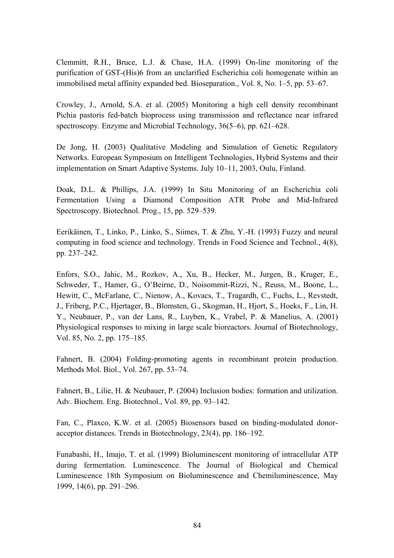Clemmitt, R.H., Bruce, L.J. & Chase, H.A. (1999) On-line monitoring of the purification of GST-(His)6 from an unclarified Escherichia coli homogenate within an immobilised metal affinity expanded bed. Bioseparation., Vol. 8, No.  $1-5$ , pp. 53–67.

Crowley, J., Arnold, S.A. et al. (2005) Monitoring a high cell density recombinant Pichia pastoris fed-batch bioprocess using transmission and reflectance near infrared spectroscopy. Enzyme and Microbial Technology, 36(5–6), pp. 621–628.

De Jong, H. (2003) Qualitative Modeling and Simulation of Genetic Regulatory Networks. European Symposium on Intelligent Technologies, Hybrid Systems and their implementation on Smart Adaptive Systems. July 10–11, 2003, Oulu, Finland.

Doak, D.L. & Phillips, J.A. (1999) In Situ Monitoring of an Escherichia coli Fermentation Using a Diamond Composition ATR Probe and Mid-Infrared Spectroscopy. Biotechnol. Prog.,  $15$ , pp.  $529-539$ .

Eerikäinen, T., Linko, P., Linko, S., Siimes, T. & Zhu, Y.-H. (1993) Fuzzy and neural computing in food science and technology. Trends in Food Science and Technol., 4(8), pp. 237–242.

Enfors, S.O., Jahic, M., Rozkov, A., Xu, B., Hecker, M., Jurgen, B., Kruger, E., Schweder, T., Hamer, G., O'Beirne, D., Noisommit-Rizzi, N., Reuss, M., Boone, L., Hewitt, C., McFarlane, C., Nienow, A., Kovacs, T., Tragardh, C., Fuchs, L., Revstedt, J., Friberg, P.C., Hjertager, B., Blomsten, G., Skogman, H., Hjort, S., Hoeks, F., Lin, H. Y., Neubauer, P., van der Lans, R., Luyben, K., Vrabel, P. & Manelius, A. (2001) Physiological responses to mixing in large scale bioreactors. Journal of Biotechnology, Vol. 85, No. 2, pp. 175–185.

Fahnert, B. (2004) Folding-promoting agents in recombinant protein production. Methods Mol. Biol., Vol. 267, pp. 53-74.

Fahnert, B., Lilie, H. & Neubauer, P. (2004) Inclusion bodies: formation and utilization. Adv. Biochem. Eng. Biotechnol., Vol. 89, pp. 93–142.

Fan, C., Plaxco, K.W. et al. (2005) Biosensors based on binding-modulated donoracceptor distances. Trends in Biotechnology,  $23(4)$ , pp.  $186-192$ .

Funabashi, H., Imajo, T. et al. (1999) Bioluminescent monitoring of intracellular ATP during fermentation. Luminescence. The Journal of Biological and Chemical Luminescence 18th Symposium on Bioluminescence and Chemiluminescence, May 1999, 14(6), pp. 291–296.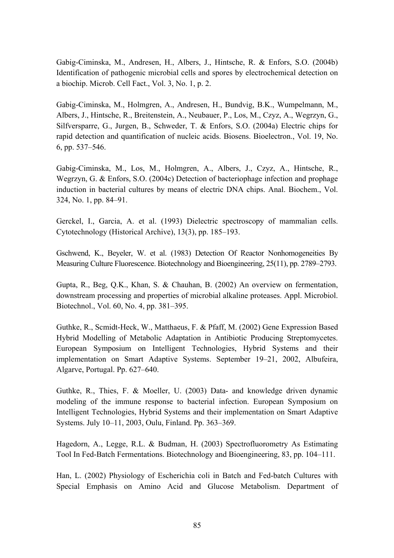Gabig-Ciminska, M., Andresen, H., Albers, J., Hintsche, R. & Enfors, S.O. (2004b) Identification of pathogenic microbial cells and spores by electrochemical detection on a biochip. Microb. Cell Fact., Vol. 3, No. 1, p. 2.

Gabig-Ciminska, M., Holmgren, A., Andresen, H., Bundvig, B.K., Wumpelmann, M., Albers, J., Hintsche, R., Breitenstein, A., Neubauer, P., Los, M., Czyz, A., Wegrzyn, G., Silfversparre, G., Jurgen, B., Schweder, T. & Enfors, S.O. (2004a) Electric chips for rapid detection and quantification of nucleic acids. Biosens. Bioelectron., Vol. 19, No. 6, pp.  $537 - 546$ .

Gabig-Ciminska, M., Los, M., Holmgren, A., Albers, J., Czyz, A., Hintsche, R., Wegrzyn, G. & Enfors, S.O. (2004c) Detection of bacteriophage infection and prophage induction in bacterial cultures by means of electric DNA chips. Anal. Biochem., Vol. 324, No. 1, pp. 84–91.

Gerckel, I., Garcia, A. et al. (1993) Dielectric spectroscopy of mammalian cells. Cytotechnology (Historical Archive),  $13(3)$ , pp.  $185-193$ .

Gschwend, K., Beyeler, W. et al. (1983) Detection Of Reactor Nonhomogeneities By Measuring Culture Fluorescence. Biotechnology and Bioengineering, 25(11), pp. 2789–2793.

Gupta, R., Beg, Q.K., Khan, S. & Chauhan, B. (2002) An overview on fermentation, downstream processing and properties of microbial alkaline proteases. Appl. Microbiol. Biotechnol., Vol. 60, No. 4, pp. 381–395.

Guthke, R., Scmidt-Heck, W., Matthaeus, F. & Pfaff, M. (2002) Gene Expression Based Hybrid Modelling of Metabolic Adaptation in Antibiotic Producing Streptomycetes. European Symposium on Intelligent Technologies, Hybrid Systems and their implementation on Smart Adaptive Systems. September 19–21, 2002, Albufeira, Algarve, Portugal. Pp. 627–640.

Guthke, R., Thies, F. & Moeller, U. (2003) Data- and knowledge driven dynamic modeling of the immune response to bacterial infection. European Symposium on Intelligent Technologies, Hybrid Systems and their implementation on Smart Adaptive Systems. July 10–11, 2003, Oulu, Finland. Pp. 363–369.

Hagedorn, A., Legge, R.L. & Budman, H. (2003) Spectrofluorometry As Estimating Tool In Fed-Batch Fermentations. Biotechnology and Bioengineering, 83, pp. 104–111.

Han, L. (2002) Physiology of Escherichia coli in Batch and Fed-batch Cultures with Special Emphasis on Amino Acid and Glucose Metabolism. Department of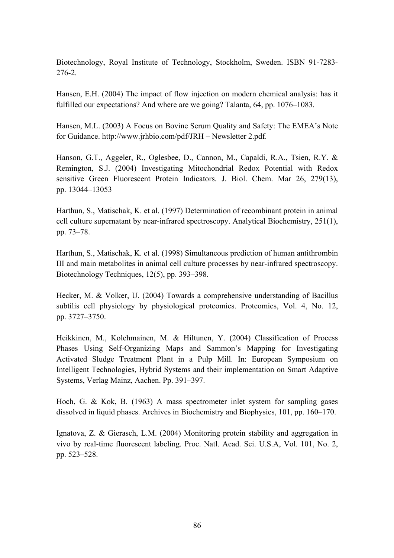Biotechnology, Royal Institute of Technology, Stockholm, Sweden. ISBN 91-7283- 276-2.

Hansen, E.H. (2004) The impact of flow injection on modern chemical analysis: has it fulfilled our expectations? And where are we going? Talanta,  $64$ , pp.  $1076-1083$ .

Hansen, M.L. (2003) A Focus on Bovine Serum Quality and Safety: The EMEA's Note for Guidance.<http://www.jrhbio.com/pdf/JRH>– Newsletter 2.pdf.

Hanson, G.T., Aggeler, R., Oglesbee, D., Cannon, M., Capaldi, R.A., Tsien, R.Y. & Remington, S.J. (2004) Investigating Mitochondrial Redox Potential with Redox sensitive Green Fluorescent Protein Indicators. J. Biol. Chem. Mar 26, 279(13), pp. 13044-13053

Harthun, S., Matischak, K. et al. (1997) Determination of recombinant protein in animal cell culture supernatant by near-infrared spectroscopy. Analytical Biochemistry, 251(1), pp. 73–78.

Harthun, S., Matischak, K. et al. (1998) Simultaneous prediction of human antithrombin III and main metabolites in animal cell culture processes by near-infrared spectroscopy. Biotechnology Techniques,  $12(5)$ , pp. 393–398.

Hecker, M. & Volker, U. (2004) Towards a comprehensive understanding of Bacillus subtilis cell physiology by physiological proteomics. Proteomics, Vol. 4, No. 12, pp. 3727-3750.

Heikkinen, M., Kolehmainen, M. & Hiltunen, Y. (2004) Classification of Process Phases Using Self-Organizing Maps and Sammon's Mapping for Investigating Activated Sludge Treatment Plant in a Pulp Mill. In: European Symposium on Intelligent Technologies, Hybrid Systems and their implementation on Smart Adaptive Systems, Verlag Mainz, Aachen. Pp. 391-397.

Hoch, G. & Kok, B. (1963) A mass spectrometer inlet system for sampling gases dissolved in liquid phases. Archives in Biochemistry and Biophysics,  $101$ , pp.  $160-170$ .

Ignatova, Z. & Gierasch, L.M. (2004) Monitoring protein stability and aggregation in vivo by real-time fluorescent labeling. Proc. Natl. Acad. Sci. U.S.A, Vol. 101, No. 2, pp. 523–528.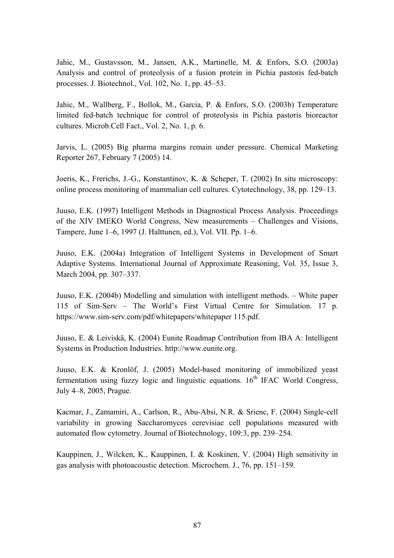Jahic, M., Gustavsson, M., Jansen, A.K., Martinelle, M. & Enfors, S.O. (2003a) Analysis and control of proteolysis of a fusion protein in Pichia pastoris fed-batch processes. J. Biotechnol., Vol.  $102$ , No. 1, pp.  $45-53$ .

Jahic, M., Wallberg, F., Bollok, M., Garcia, P. & Enfors, S.O. (2003b) Temperature limited fed-batch technique for control of proteolysis in Pichia pastoris bioreactor cultures. Microb.Cell Fact., Vol. 2, No. 1, p. 6.

Jarvis, L. (2005) Big pharma margins remain under pressure. Chemical Marketing Reporter 267, February 7 (2005) 14.

Joeris, K., Frerichs, J.-G., Konstantinov, K. & Scheper, T. (2002) In situ microscopy: online process monitoring of mammalian cell cultures. Cytotechnology, 38, pp. 129–13.

Juuso, E.K. (1997) Intelligent Methods in Diagnostical Process Analysis. Proceedings of the XIV IMEKO World Congress, New measurements – Challenges and Visions, Tampere, June 1–6, 1997 (J. Halttunen, ed.), Vol. VII. Pp. 1–6.

Juuso, E.K. (2004a) Integration of Intelligent Systems in Development of Smart Adaptive Systems. International Journal of Approximate Reasoning, Vol. 35, Issue 3, March 2004, pp. 307–337.

Juuso, E.K.  $(2004b)$  Modelling and simulation with intelligent methods.  $\overline{\phantom{a}}$  White paper 115 of Sim-Serv – The World's First Virtual Centre for Simulation. 17 p. <https://www.sim-serv.com/pdf/whitepapers/whitepaper>115.pdf.

Juuso, E. & Leiviskä, K. (2004) Eunite Roadmap Contribution from IBA A: Intelligent Systems in Production Industries. [http://www.eunite.org.](http://www.eunite.org)

Juuso, E.K. & Kronlöf, J. (2005) Model-based monitoring of immobilized yeast fermentation using fuzzy logic and linguistic equations.  $16<sup>th</sup>$  IFAC World Congress, July 4-8, 2005, Prague.

Kacmar, J., Zamamiri, A., Carlson, R., Abu-Absi, N.R. & Srienc, F. (2004) Single-cell variability in growing Saccharomyces cerevisiae cell populations measured with automated flow cytometry. Journal of Biotechnology, 109:3, pp. 239–254.

Kauppinen, J., Wilcken, K., Kauppinen, I. & Koskinen, V. (2004) High sensitivity in gas analysis with photoacoustic detection. Microchem. J.,  $76$ , pp.  $151-159$ .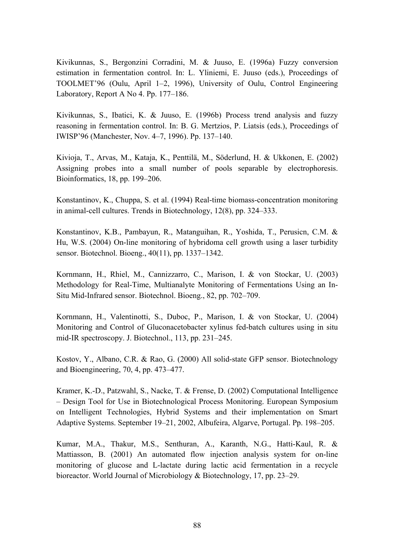Kivikunnas, S., Bergonzini Corradini, M. & Juuso, E. (1996a) Fuzzy conversion estimation in fermentation control. In: L. Yliniemi, E. Juuso (eds.), Proceedings of TOOLMET<sup>'96</sup> (Oulu, April 1–2, 1996), University of Oulu, Control Engineering Laboratory, Report A No 4. Pp.  $177-186$ .

Kivikunnas, S., Ibatici, K. & Juuso, E. (1996b) Process trend analysis and fuzzy reasoning in fermentation control. In: B. G. Mertzios, P. Liatsis (eds.), Proceedings of IWISP<sup>3</sup>96 (Manchester, Nov. 4–7, 1996). Pp. 137–140.

Kivioja, T., Arvas, M., Kataja, K., Penttilä, M., Söderlund, H. & Ukkonen, E. (2002) Assigning probes into a small number of pools separable by electrophoresis. Bioinformatics, 18, pp. 199–206.

Konstantinov, K., Chuppa, S. et al. (1994) Real-time biomass-concentration monitoring in animal-cell cultures. Trends in Biotechnology,  $12(8)$ , pp. 324–333.

Konstantinov, K.B., Pambayun, R., Matanguihan, R., Yoshida, T., Perusicn, C.M. & Hu, W.S. (2004) On-line monitoring of hybridoma cell growth using a laser turbidity sensor. Biotechnol. Bioeng.,  $40(11)$ , pp. 1337–1342.

Kornmann, H., Rhiel, M., Cannizzarro, C., Marison, I. & von Stockar, U. (2003) Methodology for Real-Time, Multianalyte Monitoring of Fermentations Using an In-Situ Mid-Infrared sensor. Biotechnol. Bioeng., 82, pp. 702–709.

Kornmann, H., Valentinotti, S., Duboc, P., Marison, I. & von Stockar, U. (2004) Monitoring and Control of Gluconacetobacter xylinus fed-batch cultures using in situ mid-IR spectroscopy. J. Biotechnol.,  $113$ , pp.  $231-245$ .

Kostov, Y., Albano, C.R. & Rao, G. (2000) All solid-state GFP sensor. Biotechnology and Bioengineering,  $70, 4$ , pp.  $473-477$ .

Kramer, K.-D., Patzwahl, S., Nacke, T. & Frense, D. (2002) Computational Intelligence – Design Tool for Use in Biotechnological Process Monitoring. European Symposium on Intelligent Technologies, Hybrid Systems and their implementation on Smart Adaptive Systems. September 19–21, 2002, Albufeira, Algarve, Portugal. Pp. 198–205.

Kumar, M.A., Thakur, M.S., Senthuran, A., Karanth, N.G., Hatti-Kaul, R. & Mattiasson, B. (2001) An automated flow injection analysis system for on-line monitoring of glucose and L-lactate during lactic acid fermentation in a recycle bioreactor. World Journal of Microbiology  $& Biotechnology, 17, pp. 23–29.$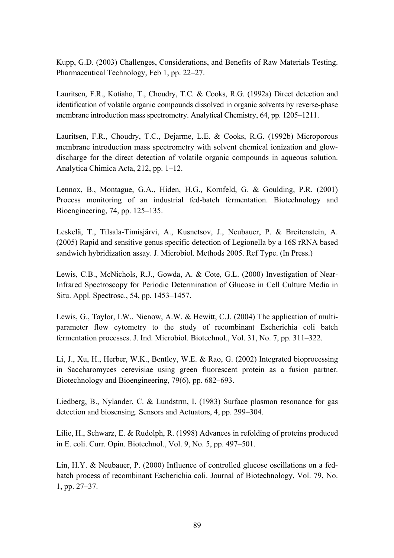Kupp, G.D. (2003) Challenges, Considerations, and Benefits of Raw Materials Testing. Pharmaceutical Technology, Feb 1, pp. 22–27.

Lauritsen, F.R., Kotiaho, T., Choudry, T.C. & Cooks, R.G. (1992a) Direct detection and identification of volatile organic compounds dissolved in organic solvents by reverse-phase membrane introduction mass spectrometry. Analytical Chemistry, 64, pp. 1205-1211.

Lauritsen, F.R., Choudry, T.C., Dejarme, L.E. & Cooks, R.G. (1992b) Microporous membrane introduction mass spectrometry with solvent chemical ionization and glowdischarge for the direct detection of volatile organic compounds in aqueous solution. Analytica Chimica Acta, 212, pp. 1–12.

Lennox, B., Montague, G.A., Hiden, H.G., Kornfeld, G. & Goulding, P.R. (2001) Process monitoring of an industrial fed-batch fermentation. Biotechnology and Bioengineering,  $74$ , pp.  $125-135$ .

Leskelä, T., Tilsala-Timisjärvi, A., Kusnetsov, J., Neubauer, P. & Breitenstein, A. (2005) Rapid and sensitive genus specific detection of Legionella by a 16S rRNA based sandwich hybridization assay. J. Microbiol. Methods 2005. Ref Type. (In Press.)

Lewis, C.B., McNichols, R.J., Gowda, A. & Cote, G.L. (2000) Investigation of Near-Infrared Spectroscopy for Periodic Determination of Glucose in Cell Culture Media in Situ. Appl. Spectrosc.,  $54$ , pp.  $1453-1457$ .

Lewis, G., Taylor, I.W., Nienow, A.W. & Hewitt, C.J. (2004) The application of multiparameter flow cytometry to the study of recombinant Escherichia coli batch fermentation processes. J. Ind. Microbiol. Biotechnol., Vol. 31, No. 7, pp.  $311-322$ .

Li, J., Xu, H., Herber, W.K., Bentley, W.E. & Rao, G. (2002) Integrated bioprocessing in Saccharomyces cerevisiae using green fluorescent protein as a fusion partner. Biotechnology and Bioengineering,  $79(6)$ , pp.  $682-693$ .

Liedberg, B., Nylander, C. & Lundstrm, I. (1983) Surface plasmon resonance for gas detection and biosensing. Sensors and Actuators, 4, pp. 299–304.

Lilie, H., Schwarz, E. & Rudolph, R. (1998) Advances in refolding of proteins produced in E. coli. Curr. Opin. Biotechnol., Vol. 9, No.  $5$ , pp.  $497-501$ .

Lin, H.Y. & Neubauer, P. (2000) Influence of controlled glucose oscillations on a fedbatch process of recombinant Escherichia coli. Journal of Biotechnology, Vol. 79, No.  $1, pp. 27-37.$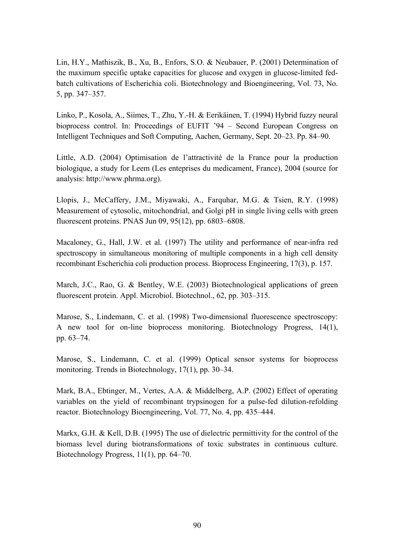Lin, H.Y., Mathiszik, B., Xu, B., Enfors, S.O. & Neubauer, P. (2001) Determination of the maximum specific uptake capacities for glucose and oxygen in glucose-limited fedbatch cultivations of Escherichia coli. Biotechnology and Bioengineering, Vol. 73, No. 5, pp. 347–357.

Linko, P., Kosola, A., Siimes, T., Zhu, Y.-H. & Eerikäinen, T. (1994) Hybrid fuzzy neural bioprocess control. In: Proceedings of EUFIT '94 - Second European Congress on Intelligent Techniques and Soft Computing, Aachen, Germany, Sept. 20–23. Pp. 84–90.

Little, A.D. (2004) Optimisation de l'attractivité de la France pour la production biologique, a study for Leem (Les enteprises du medicament, France), 2004 (source for analysis:<http://www.phrma.org>).

Llopis, J., McCaffery, J.M., Miyawaki, A., Farquhar, M.G. & Tsien, R.Y. (1998) Measurement of cytosolic, mitochondrial, and Golgi pH in single living cells with green fluorescent proteins. PNAS Jun  $09, 95(12)$ , pp.  $6803-6808$ .

Macaloney, G., Hall, J.W. et al. (1997) The utility and performance of near-infra red spectroscopy in simultaneous monitoring of multiple components in a high cell density recombinant Escherichia coli production process. Bioprocess Engineering, 17(3), p. 157.

March, J.C., Rao, G. & Bentley, W.E. (2003) Biotechnological applications of green fluorescent protein. Appl. Microbiol. Biotechnol., 62, pp. 303-315.

Marose, S., Lindemann, C. et al. (1998) Two-dimensional fluorescence spectroscopy: A new tool for on-line bioprocess monitoring. Biotechnology Progress, 14(1), pp. 63–74.

Marose, S., Lindemann, C. et al. (1999) Optical sensor systems for bioprocess monitoring. Trends in Biotechnology,  $17(1)$ , pp. 30–34.

Mark, B.A., Ebtinger, M., Vertes, A.A. & Middelberg, A.P. (2002) Effect of operating variables on the yield of recombinant trypsinogen for a pulse-fed dilution-refolding reactor. Biotechnology Bioengineering, Vol. 77, No. 4, pp. 435–444.

Markx, G.H. & Kell, D.B. (1995) The use of dielectric permittivity for the control of the biomass level during biotransformations of toxic substrates in continuous culture. Biotechnology Progress,  $11(1)$ , pp. 64–70.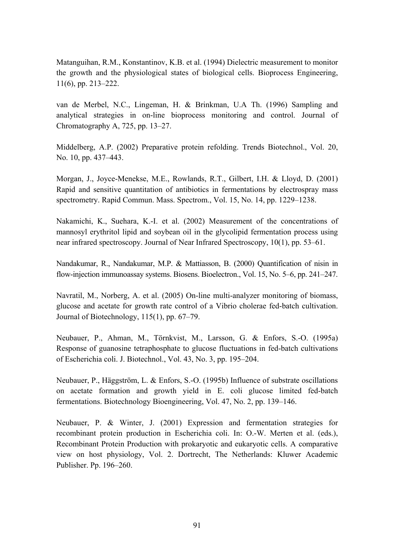Matanguihan, R.M., Konstantinov, K.B. et al. (1994) Dielectric measurement to monitor the growth and the physiological states of biological cells. Bioprocess Engineering,  $11(6)$ , pp. 213–222.

van de Merbel, N.C., Lingeman, H. & Brinkman, U.A Th. (1996) Sampling and analytical strategies in on-line bioprocess monitoring and control. Journal of Chromatography A,  $725$ , pp.  $13-27$ .

Middelberg, A.P. (2002) Preparative protein refolding. Trends Biotechnol., Vol. 20, No. 10, pp. 437–443.

Morgan, J., Joyce-Menekse, M.E., Rowlands, R.T., Gilbert, I.H. & Lloyd, D. (2001) Rapid and sensitive quantitation of antibiotics in fermentations by electrospray mass spectrometry. Rapid Commun. Mass. Spectrom., Vol. 15, No. 14, pp. 1229–1238.

Nakamichi, K., Suehara, K.-I. et al. (2002) Measurement of the concentrations of mannosyl erythritol lipid and soybean oil in the glycolipid fermentation process using near infrared spectroscopy. Journal of Near Infrared Spectroscopy,  $10(1)$ , pp. 53–61.

Nandakumar, R., Nandakumar, M.P. & Mattiasson, B. (2000) Quantification of nisin in flow-injection immunoassay systems. Biosens. Bioelectron., Vol. 15, No.  $5-6$ , pp.  $241-247$ .

Navratil, M., Norberg, A. et al. (2005) On-line multi-analyzer monitoring of biomass, glucose and acetate for growth rate control of a Vibrio cholerae fed-batch cultivation. Journal of Biotechnology,  $115(1)$ , pp.  $67-79$ .

Neubauer, P., Ahman, M., Törnkvist, M., Larsson, G. & Enfors, S.-O. (1995a) Response of guanosine tetraphosphate to glucose fluctuations in fed-batch cultivations of Escherichia coli. J. Biotechnol., Vol. 43, No. 3, pp. 195–204.

Neubauer, P., Häggström, L. & Enfors, S.-O. (1995b) Influence of substrate oscillations on acetate formation and growth yield in E. coli glucose limited fed-batch fermentations. Biotechnology Bioengineering, Vol. 47, No. 2, pp. 139–146.

Neubauer, P. & Winter, J. (2001) Expression and fermentation strategies for recombinant protein production in Escherichia coli. In: O.-W. Merten et al. (eds.), Recombinant Protein Production with prokaryotic and eukaryotic cells. A comparative view on host physiology, Vol. 2. Dortrecht, The Netherlands: Kluwer Academic Publisher. Pp. 196-260.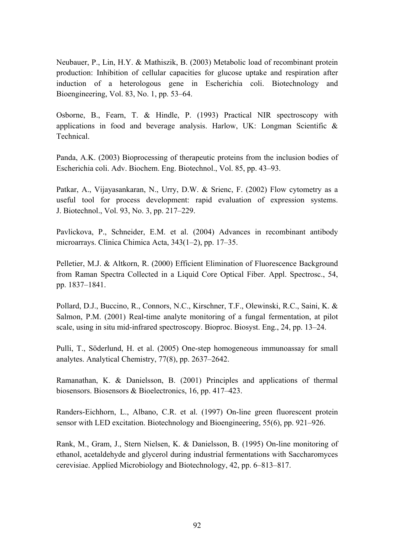Neubauer, P., Lin, H.Y. & Mathiszik, B. (2003) Metabolic load of recombinant protein production: Inhibition of cellular capacities for glucose uptake and respiration after induction of a heterologous gene in Escherichia coli. Biotechnology and Bioengineering, Vol. 83, No. 1, pp.  $53-64$ .

Osborne, B., Fearn, T. & Hindle, P. (1993) Practical NIR spectroscopy with applications in food and beverage analysis. Harlow, UK: Longman Scientific & Technical.

Panda, A.K. (2003) Bioprocessing of therapeutic proteins from the inclusion bodies of Escherichia coli. Adv. Biochem. Eng. Biotechnol., Vol. 85, pp. 43–93.

Patkar, A., Vijayasankaran, N., Urry, D.W. & Srienc, F. (2002) Flow cytometry as a useful tool for process development: rapid evaluation of expression systems. J. Biotechnol., Vol. 93, No. 3, pp. 217–229.

Pavlickova, P., Schneider, E.M. et al. (2004) Advances in recombinant antibody microarrays. Clinica Chimica Acta,  $343(1-2)$ , pp. 17–35.

Pelletier, M.J. & Altkorn, R. (2000) Efficient Elimination of Fluorescence Background from Raman Spectra Collected in a Liquid Core Optical Fiber. Appl. Spectrosc., 54, pp. 1837–1841.

Pollard, D.J., Buccino, R., Connors, N.C., Kirschner, T.F., Olewinski, R.C., Saini, K. & Salmon, P.M. (2001) Real-time analyte monitoring of a fungal fermentation, at pilot scale, using in situ mid-infrared spectroscopy. Bioproc. Biosyst. Eng., 24, pp. 13–24.

Pulli, T., Söderlund, H. et al. (2005) One-step homogeneous immunoassay for small analytes. Analytical Chemistry,  $77(8)$ , pp.  $2637-2642$ .

Ramanathan, K. & Danielsson, B. (2001) Principles and applications of thermal biosensors. Biosensors  $& Bioelectronic, 16, pp. 417–423.$ 

Randers-Eichhorn, L., Albano, C.R. et al. (1997) On-line green fluorescent protein sensor with LED excitation. Biotechnology and Bioengineering,  $55(6)$ , pp. 921–926.

Rank, M., Gram, J., Stern Nielsen, K. & Danielsson, B. (1995) On-line monitoring of ethanol, acetaldehyde and glycerol during industrial fermentations with Saccharomyces cerevisiae. Applied Microbiology and Biotechnology, 42, pp. 6–813–817.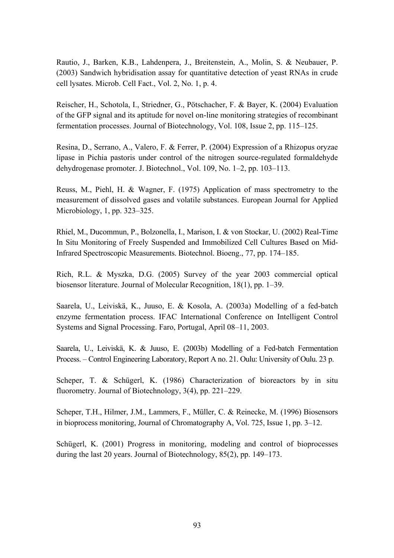Rautio, J., Barken, K.B., Lahdenpera, J., Breitenstein, A., Molin, S. & Neubauer, P. (2003) Sandwich hybridisation assay for quantitative detection of yeast RNAs in crude cell lysates. Microb. Cell Fact., Vol. 2, No. 1, p. 4.

Reischer, H., Schotola, I., Striedner, G., Pötschacher, F. & Bayer, K. (2004) Evaluation of the GFP signal and its aptitude for novel on-line monitoring strategies of recombinant fermentation processes. Journal of Biotechnology, Vol. 108, Issue 2, pp. 115–125.

Resina, D., Serrano, A., Valero, F. & Ferrer, P. (2004) Expression of a Rhizopus oryzae lipase in Pichia pastoris under control of the nitrogen source-regulated formaldehyde dehydrogenase promoter. J. Biotechnol., Vol. 109, No. 1–2, pp. 103–113.

Reuss, M., Piehl, H. & Wagner, F. (1975) Application of mass spectrometry to the measurement of dissolved gases and volatile substances. European Journal for Applied Microbiology, 1, pp.  $323-325$ .

Rhiel, M., Ducommun, P., Bolzonella, I., Marison, I. & von Stockar, U. (2002) Real-Time In Situ Monitoring of Freely Suspended and Immobilized Cell Cultures Based on Mid-Infrared Spectroscopic Measurements. Biotechnol. Bioeng., 77, pp. 174–185.

Rich, R.L. & Myszka, D.G. (2005) Survey of the year 2003 commercial optical biosensor literature. Journal of Molecular Recognition,  $18(1)$ , pp. 1–39.

Saarela, U., Leiviskä, K., Juuso, E. & Kosola, A. (2003a) Modelling of a fed-batch enzyme fermentation process. IFAC International Conference on Intelligent Control Systems and Signal Processing. Faro, Portugal, April 08–11, 2003.

Saarela, U., Leiviskä, K. & Juuso, E. (2003b) Modelling of a Fed-batch Fermentation Process. – Control Engineering Laboratory, Report A no. 21. Oulu: University of Oulu. 23 p.

Scheper, T. & Schügerl, K. (1986) Characterization of bioreactors by in situ fluorometry. Journal of Biotechnology,  $3(4)$ , pp. 221–229.

Scheper, T.H., Hilmer, J.M., Lammers, F., Müller, C. & Reinecke, M. (1996) Biosensors in bioprocess monitoring, Journal of Chromatography A, Vol. 725, Issue 1, pp.  $3-12$ .

Schügerl, K. (2001) Progress in monitoring, modeling and control of bioprocesses during the last 20 years. Journal of Biotechnology,  $85(2)$ , pp. 149–173.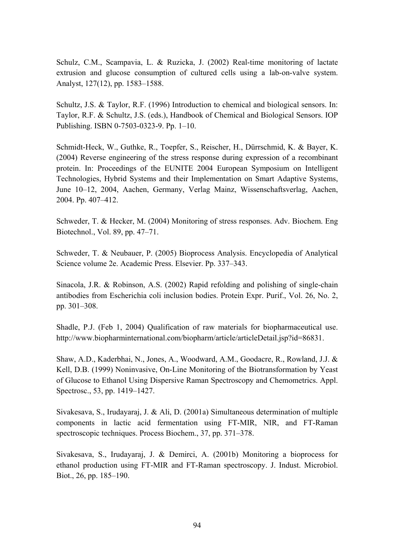Schulz, C.M., Scampavia, L. & Ruzicka, J. (2002) Real-time monitoring of lactate extrusion and glucose consumption of cultured cells using a lab-on-valve system. Analyst, 127(12), pp. 1583–1588.

Schultz, J.S. & Taylor, R.F. (1996) Introduction to chemical and biological sensors. In: Taylor, R.F. & Schultz, J.S. (eds.), Handbook of Chemical and Biological Sensors. IOP Publishing. ISBN 0-7503-0323-9. Pp. 1-10.

Schmidt-Heck, W., Guthke, R., Toepfer, S., Reischer, H., Dürrschmid, K. & Bayer, K. (2004) Reverse engineering of the stress response during expression of a recombinant protein. In: Proceedings of the EUNITE 2004 European Symposium on Intelligent Technologies, Hybrid Systems and their Implementation on Smart Adaptive Systems, June 10-12, 2004, Aachen, Germany, Verlag Mainz, Wissenschaftsverlag, Aachen, 2004. Pp. 407-412.

Schweder, T. & Hecker, M. (2004) Monitoring of stress responses. Adv. Biochem. Eng Biotechnol., Vol. 89, pp. 47–71.

Schweder, T. & Neubauer, P. (2005) Bioprocess Analysis. Encyclopedia of Analytical Science volume 2e. Academic Press. Elsevier. Pp. 337–343.

Sinacola, J.R. & Robinson, A.S. (2002) Rapid refolding and polishing of single-chain antibodies from Escherichia coli inclusion bodies. Protein Expr. Purif., Vol. 26, No. 2, pp. 301-308.

Shadle, P.J. (Feb 1, 2004) Qualification of raw materials for biopharmaceutical use. http://www.biopharminternational.com/biopharm/article/articleDetail.jsp?id=86831.

Shaw, A.D., Kaderbhai, N., Jones, A., Woodward, A.M., Goodacre, R., Rowland, J.J. & Kell, D.B. (1999) Noninvasive, On-Line Monitoring of the Biotransformation by Yeast of Glucose to Ethanol Using Dispersive Raman Spectroscopy and Chemometrics. Appl. Spectrosc., 53, pp.  $1419 - 1427$ .

Sivakesava, S., Irudayaraj, J. & Ali, D. (2001a) Simultaneous determination of multiple components in lactic acid fermentation using FT-MIR, NIR, and FT-Raman spectroscopic techniques. Process Biochem., 37, pp. 371–378.

Sivakesava, S., Irudayaraj, J. & Demirci, A. (2001b) Monitoring a bioprocess for ethanol production using FT-MIR and FT-Raman spectroscopy. J. Indust. Microbiol. Biot., 26, pp. 185–190.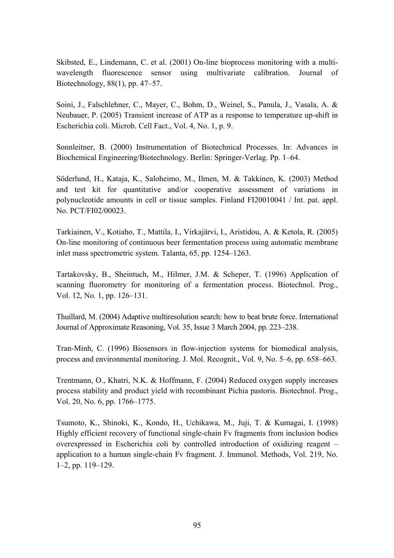Skibsted, E., Lindemann, C. et al. (2001) On-line bioprocess monitoring with a multiwavelength fluorescence sensor using multivariate calibration. Journal of Biotechnology,  $88(1)$ , pp.  $47-57$ .

Soini, J., Falschlehner, C., Mayer, C., Bohm, D., Weinel, S., Panula, J., Vasala, A. & Neubauer, P. (2005) Transient increase of ATP as a response to temperature up-shift in Escherichia coli. Microb. Cell Fact., Vol. 4, No. 1, p. 9.

Sonnleitner, B. (2000) Instrumentation of Biotechnical Processes. In: Advances in Biochemical Engineering/Biotechnology. Berlin: Springer-Verlag. Pp. 1–64.

Söderlund, H., Kataja, K., Saloheimo, M., Ilmen, M. & Takkinen, K. (2003) Method and test kit for quantitative and/or cooperative assessment of variations in polynucleotide amounts in cell or tissue samples. Finland FI20010041 / Int. pat. appl. No. PCT/FI02/00023.

Tarkiainen, V., Kotiaho, T., Mattila, I., Virkajärvi, I., Aristidou, A. & Ketola, R. (2005) On-line monitoring of continuous beer fermentation process using automatic membrane inlet mass spectrometric system. Talanta,  $65$ , pp.  $1254-1263$ .

Tartakovsky, B., Sheintuch, M., Hilmer, J.M. & Scheper, T. (1996) Application of scanning fluorometry for monitoring of a fermentation process. Biotechnol. Prog., Vol. 12, No. 1, pp.  $126-131$ .

Thuillard, M. (2004) Adaptive multiresolution search: how to beat brute force. International Journal of Approximate Reasoning, Vol. 35, Issue 3 March 2004, pp. 223–238.

Tran-Minh, C. (1996) Biosensors in flow-injection systems for biomedical analysis, process and environmental monitoring. J. Mol. Recognit., Vol. 9, No. 5–6, pp. 658–663.

Trentmann, O., Khatri, N.K. & Hoffmann, F. (2004) Reduced oxygen supply increases process stability and product yield with recombinant Pichia pastoris. Biotechnol. Prog., Vol. 20, No. 6, pp. 1766–1775.

Tsumoto, K., Shinoki, K., Kondo, H., Uchikawa, M., Juji, T. & Kumagai, I. (1998) Highly efficient recovery of functional single-chain Fv fragments from inclusion bodies overexpressed in Escherichia coli by controlled introduction of oxidizing reagent  $$ application to a human single-chain Fv fragment. J. Immunol. Methods, Vol. 219, No.  $1-2$ , pp.  $119-129$ .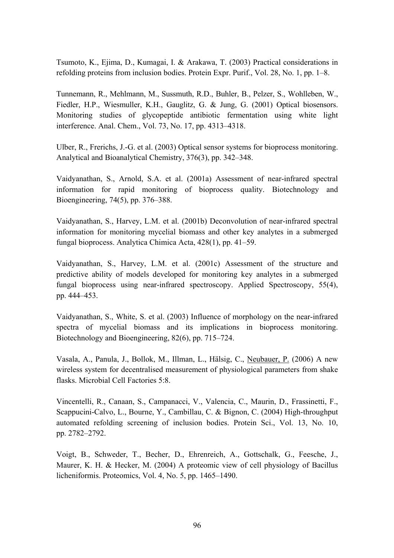Tsumoto, K., Ejima, D., Kumagai, I. & Arakawa, T. (2003) Practical considerations in refolding proteins from inclusion bodies. Protein Expr. Purif., Vol. 28, No. 1, pp.  $1-8$ .

Tunnemann, R., Mehlmann, M., Sussmuth, R.D., Buhler, B., Pelzer, S., Wohlleben, W., Fiedler, H.P., Wiesmuller, K.H., Gauglitz, G. & Jung, G. (2001) Optical biosensors. Monitoring studies of glycopeptide antibiotic fermentation using white light interference. Anal. Chem., Vol. 73, No. 17, pp. 4313-4318.

Ulber, R., Frerichs, J.-G. et al. (2003) Optical sensor systems for bioprocess monitoring. Analytical and Bioanalytical Chemistry,  $376(3)$ , pp.  $342-348$ .

Vaidyanathan, S., Arnold, S.A. et al. (2001a) Assessment of near-infrared spectral information for rapid monitoring of bioprocess quality. Biotechnology and Bioengineering,  $74(5)$ , pp.  $376-388$ .

Vaidyanathan, S., Harvey, L.M. et al. (2001b) Deconvolution of near-infrared spectral information for monitoring mycelial biomass and other key analytes in a submerged fungal bioprocess. Analytica Chimica Acta,  $428(1)$ , pp.  $41-59$ .

Vaidyanathan, S., Harvey, L.M. et al. (2001c) Assessment of the structure and predictive ability of models developed for monitoring key analytes in a submerged fungal bioprocess using near-infrared spectroscopy. Applied Spectroscopy, 55(4), pp. 444–453.

Vaidyanathan, S., White, S. et al. (2003) Influence of morphology on the near-infrared spectra of mycelial biomass and its implications in bioprocess monitoring. Biotechnology and Bioengineering,  $82(6)$ , pp. 715–724.

Vasala, A., Panula, J., Bollok, M., Illman, L., Hälsig, C., Neubauer, P. (2006) A new wireless system for decentralised measurement of physiological parameters from shake flasks. Microbial Cell Factories 5:8.

Vincentelli, R., Canaan, S., Campanacci, V., Valencia, C., Maurin, D., Frassinetti, F., Scappucini-Calvo, L., Bourne, Y., Cambillau, C. & Bignon, C. (2004) High-throughput automated refolding screening of inclusion bodies. Protein Sci., Vol. 13, No. 10, pp. 2782–2792.

Voigt, B., Schweder, T., Becher, D., Ehrenreich, A., Gottschalk, G., Feesche, J., Maurer, K. H. & Hecker, M. (2004) A proteomic view of cell physiology of Bacillus licheniformis. Proteomics, Vol. 4, No. 5, pp.  $1465-1490$ .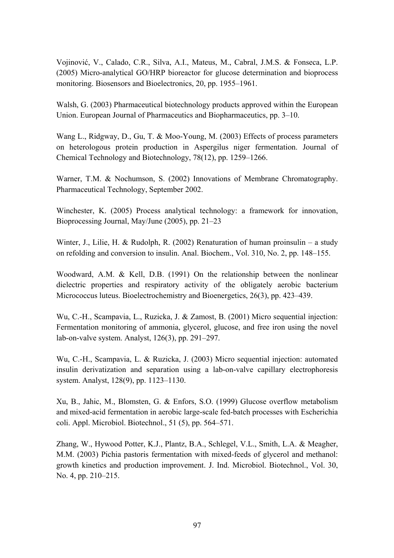Vojinović, V., Calado, C.R., Silva, A.I., Mateus, M., Cabral, J.M.S. & Fonseca, L.P. (2005) Micro-analytical GO/HRP bioreactor for glucose determination and bioprocess monitoring. Biosensors and Bioelectronics, 20, pp. 1955–1961.

Walsh, G. (2003) Pharmaceutical biotechnology products approved within the European Union. European Journal of Pharmaceutics and Biopharmaceutics, pp. 3–10.

Wang L., Ridgway, D., Gu, T. & Moo-Young, M. (2003) Effects of process parameters on heterologous protein production in Aspergilus niger fermentation. Journal of Chemical Technology and Biotechnology,  $78(12)$ , pp. 1259–1266.

Warner, T.M. & Nochumson, S. (2002) Innovations of Membrane Chromatography. Pharmaceutical Technology, September 2002.

Winchester, K. (2005) Process analytical technology: a framework for innovation, Bioprocessing Journal, May/June  $(2005)$ , pp. 21–23

Winter, J., Lilie, H. & Rudolph, R. (2002) Renaturation of human proinsulin  $-$  a study on refolding and conversion to insulin. Anal. Biochem., Vol. 310, No. 2, pp. 148–155.

Woodward, A.M. & Kell, D.B. (1991) On the relationship between the nonlinear dielectric properties and respiratory activity of the obligately aerobic bacterium Micrococcus luteus. Bioelectrochemistry and Bioenergetics,  $26(3)$ , pp. 423–439.

Wu, C.-H., Scampavia, L., Ruzicka, J. & Zamost, B. (2001) Micro sequential injection: Fermentation monitoring of ammonia, glycerol, glucose, and free iron using the novel lab-on-valve system. Analyst,  $126(3)$ , pp.  $291-297$ .

Wu, C.-H., Scampavia, L. & Ruzicka, J. (2003) Micro sequential injection: automated insulin derivatization and separation using a lab-on-valve capillary electrophoresis system. Analyst, 128(9), pp. 1123–1130.

Xu, B., Jahic, M., Blomsten, G. & Enfors, S.O. (1999) Glucose overflow metabolism and mixed-acid fermentation in aerobic large-scale fed-batch processes with Escherichia coli. Appl. Microbiol. Biotechnol., 51 $(5)$ , pp. 564–571.

Zhang, W., Hywood Potter, K.J., Plantz, B.A., Schlegel, V.L., Smith, L.A. & Meagher, M.M. (2003) Pichia pastoris fermentation with mixed-feeds of glycerol and methanol: growth kinetics and production improvement. J. Ind. Microbiol. Biotechnol., Vol. 30, No. 4, pp.  $210-215$ .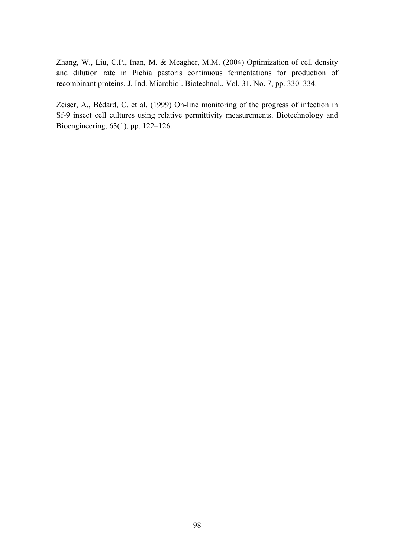Zhang, W., Liu, C.P., Inan, M. & Meagher, M.M. (2004) Optimization of cell density and dilution rate in Pichia pastoris continuous fermentations for production of recombinant proteins. J. Ind. Microbiol. Biotechnol., Vol. 31, No. 7, pp. 330–334.

Zeiser, A., BÈdard, C. et al. (1999) On-line monitoring of the progress of infection in Sf-9 insect cell cultures using relative permittivity measurements. Biotechnology and Bioengineering, 63(1), pp. 122-126.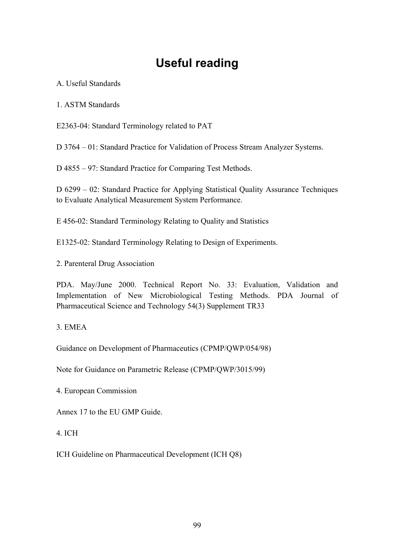# **Useful reading**

A. Useful Standards

1. ASTM Standards

E2363-04: Standard Terminology related to PAT

D 3764 – 01: Standard Practice for Validation of Process Stream Analyzer Systems.

D 4855 – 97: Standard Practice for Comparing Test Methods.

D 6299 – 02: Standard Practice for Applying Statistical Quality Assurance Techniques to Evaluate Analytical Measurement System Performance.

E 456-02: Standard Terminology Relating to Quality and Statistics

E1325-02: Standard Terminology Relating to Design of Experiments.

2. Parenteral Drug Association

PDA. May/June 2000. Technical Report No. 33: Evaluation, Validation and Implementation of New Microbiological Testing Methods. PDA Journal of Pharmaceutical Science and Technology 54(3) Supplement TR33

#### 3. EMEA

Guidance on Development of Pharmaceutics (CPMP/QWP/054/98)

Note for Guidance on Parametric Release (CPMP/QWP/3015/99)

4. European Commission

Annex 17 to the EU GMP Guide.

#### 4. ICH

ICH Guideline on Pharmaceutical Development (ICH Q8)